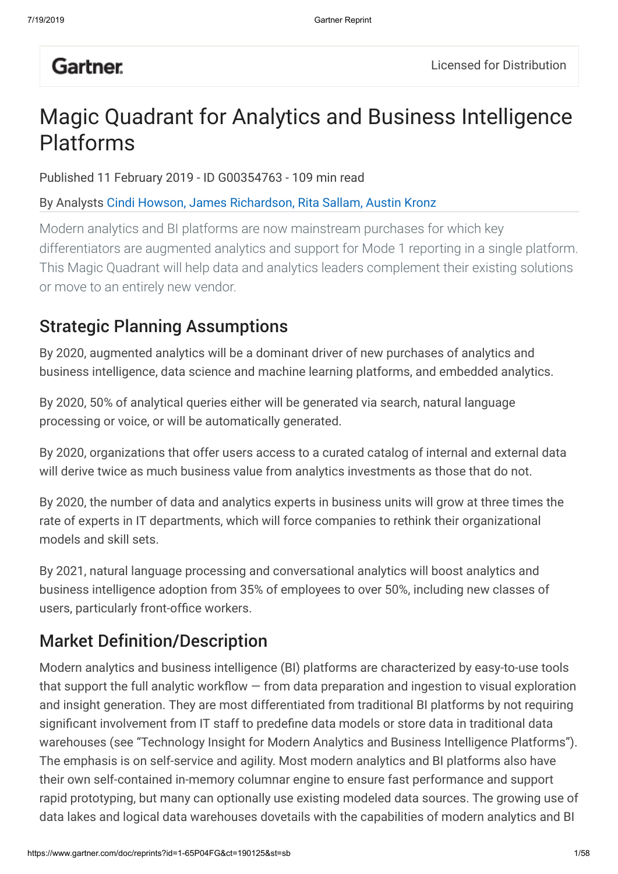# **Gartner**.

# Magic Quadrant for Analytics and Business Intelligence Platforms

Published 11 February 2019 - ID G00354763 - 109 min read

By Analysts Cindi Howson, James Richardson, Rita Sallam, Austin Kronz

Modern analytics and BI platforms are now mainstream purchases for which key differentiators are augmented analytics and support for Mode 1 reporting in a single platform. This Magic Quadrant will help data and analytics leaders complement their existing solutions or move to an entirely new vendor.

## Strategic Planning Assumptions

By 2020, augmented analytics will be a dominant driver of new purchases of analytics and business intelligence, data science and machine learning platforms, and embedded analytics.

By 2020, 50% of analytical queries either will be generated via search, natural language processing or voice, or will be automatically generated.

By 2020, organizations that offer users access to a curated catalog of internal and external data will derive twice as much business value from analytics investments as those that do not.

By 2020, the number of data and analytics experts in business units will grow at three times the rate of experts in IT departments, which will force companies to rethink their organizational models and skill sets.

By 2021, natural language processing and conversational analytics will boost analytics and business intelligence adoption from 35% of employees to over 50%, including new classes of users, particularly front-office workers.

## Market Definition/Description

Modern analytics and business intelligence (BI) platforms are characterized by easy-to-use tools that support the full analytic workflow  $-$  from data preparation and ingestion to visual exploration and insight generation. They are most differentiated from traditional BI platforms by not requiring significant involvement from IT staff to predefine data models or store data in traditional data warehouses (see "Technology Insight for Modern Analytics and Business Intelligence Platforms"). The emphasis is on self-service and agility. Most modern analytics and BI platforms also have their own self-contained in-memory columnar engine to ensure fast performance and support rapid prototyping, but many can optionally use existing modeled data sources. The growing use of data lakes and logical data warehouses dovetails with the capabilities of modern analytics and BI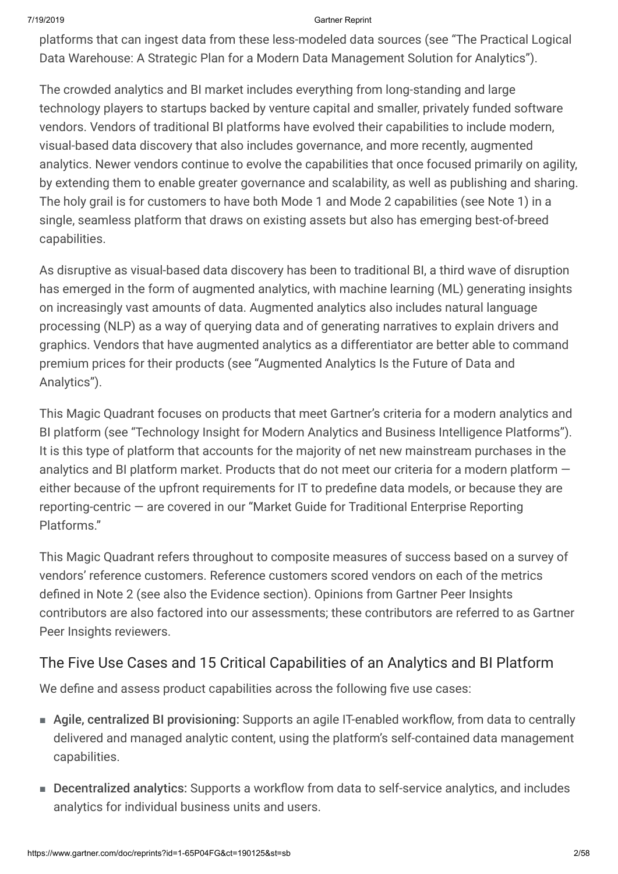platforms that can ingest data from these less-modeled data sources (see "The Practical Logical Data Warehouse: A Strategic Plan for a Modern Data Management Solution for Analytics").

The crowded analytics and BI market includes everything from long-standing and large technology players to startups backed by venture capital and smaller, privately funded software vendors. Vendors of traditional BI platforms have evolved their capabilities to include modern, visual-based data discovery that also includes governance, and more recently, augmented analytics. Newer vendors continue to evolve the capabilities that once focused primarily on agility, by extending them to enable greater governance and scalability, as well as publishing and sharing. The holy grail is for customers to have both Mode 1 and Mode 2 capabilities (see Note 1) in a single, seamless platform that draws on existing assets but also has emerging best-of-breed capabilities.

As disruptive as visual-based data discovery has been to traditional BI, a third wave of disruption has emerged in the form of augmented analytics, with machine learning (ML) generating insights on increasingly vast amounts of data. Augmented analytics also includes natural language processing (NLP) as a way of querying data and of generating narratives to explain drivers and graphics. Vendors that have augmented analytics as a differentiator are better able to command premium prices for their products (see "Augmented Analytics Is the Future of Data and Analytics").

This Magic Quadrant focuses on products that meet Gartner's criteria for a modern analytics and BI platform (see "Technology Insight for Modern Analytics and Business Intelligence Platforms"). It is this type of platform that accounts for the majority of net new mainstream purchases in the analytics and BI platform market. Products that do not meet our criteria for a modern platform either because of the upfront requirements for IT to predefine data models, or because they are reporting-centric — are covered in our "Market Guide for Traditional Enterprise Reporting Platforms."

This Magic Quadrant refers throughout to composite measures of success based on a survey of vendors' reference customers. Reference customers scored vendors on each of the metrics defined in Note 2 (see also the Evidence section). Opinions from Gartner Peer Insights contributors are also factored into our assessments; these contributors are referred to as Gartner Peer Insights reviewers.

## The Five Use Cases and 15 Critical Capabilities of an Analytics and BI Platform

We define and assess product capabilities across the following five use cases:

- Agile, centralized BI provisioning: Supports an agile IT-enabled workflow, from data to centrally delivered and managed analytic content, using the platform's self-contained data management capabilities.
- Decentralized analytics: Supports a workflow from data to self-service analytics, and includes analytics for individual business units and users.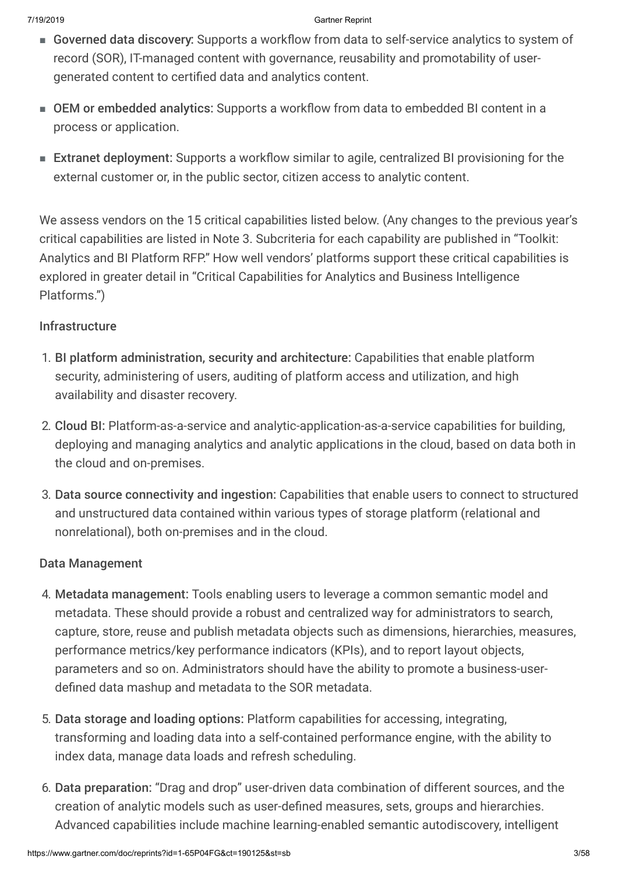- Governed data discovery: Supports a workflow from data to self-service analytics to system of record (SOR), IT-managed content with governance, reusability and promotability of usergenerated content to certified data and analytics content.
- OEM or embedded analytics: Supports a workflow from data to embedded BI content in a process or application.
- Extranet deployment: Supports a workflow similar to agile, centralized BI provisioning for the external customer or, in the public sector, citizen access to analytic content.

We assess vendors on the 15 critical capabilities listed below. (Any changes to the previous year's critical capabilities are listed in Note 3. Subcriteria for each capability are published in "Toolkit: Analytics and BI Platform RFP." How well vendors' platforms support these critical capabilities is explored in greater detail in "Critical Capabilities for Analytics and Business Intelligence Platforms.")

### Infrastructure

- 1. BI platform administration, security and architecture: Capabilities that enable platform security, administering of users, auditing of platform access and utilization, and high availability and disaster recovery.
- 2. Cloud BI: Platform-as-a-service and analytic-application-as-a-service capabilities for building, deploying and managing analytics and analytic applications in the cloud, based on data both in the cloud and on-premises.
- 3. Data source connectivity and ingestion: Capabilities that enable users to connect to structured and unstructured data contained within various types of storage platform (relational and nonrelational), both on-premises and in the cloud.

### Data Management

- 4. Metadata management: Tools enabling users to leverage a common semantic model and metadata. These should provide a robust and centralized way for administrators to search, capture, store, reuse and publish metadata objects such as dimensions, hierarchies, measures, performance metrics/key performance indicators (KPIs), and to report layout objects, parameters and so on. Administrators should have the ability to promote a business-userdefined data mashup and metadata to the SOR metadata.
- 5. Data storage and loading options: Platform capabilities for accessing, integrating, transforming and loading data into a self-contained performance engine, with the ability to index data, manage data loads and refresh scheduling.
- 6. Data preparation: "Drag and drop" user-driven data combination of different sources, and the creation of analytic models such as user-defined measures, sets, groups and hierarchies. Advanced capabilities include machine learning-enabled semantic autodiscovery, intelligent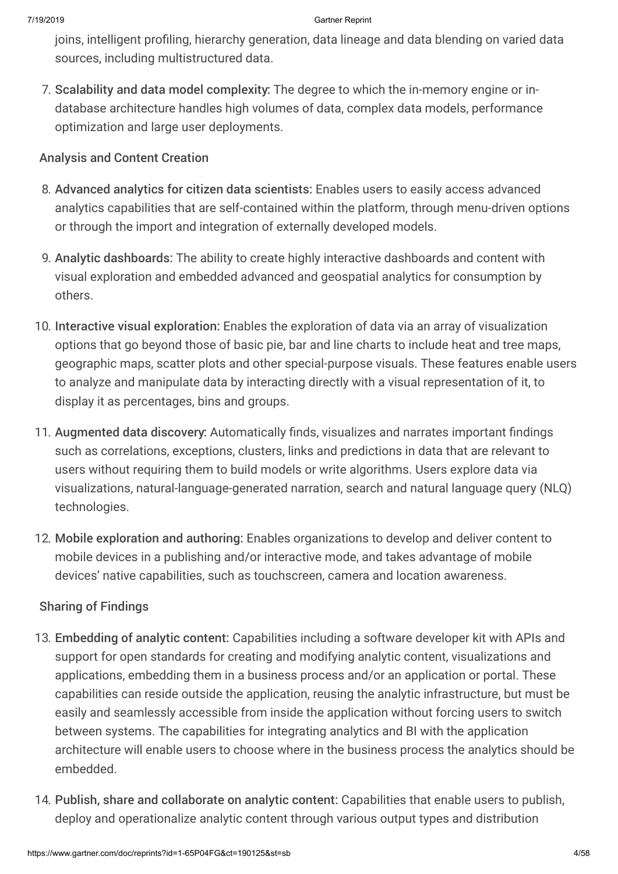joins, intelligent profiling, hierarchy generation, data lineage and data blending on varied data sources, including multistructured data.

7. Scalability and data model complexity: The degree to which the in-memory engine or indatabase architecture handles high volumes of data, complex data models, performance optimization and large user deployments.

### Analysis and Content Creation

- 8. Advanced analytics for citizen data scientists: Enables users to easily access advanced analytics capabilities that are self-contained within the platform, through menu-driven options or through the import and integration of externally developed models.
- 9. Analytic dashboards: The ability to create highly interactive dashboards and content with visual exploration and embedded advanced and geospatial analytics for consumption by others.
- 10. Interactive visual exploration: Enables the exploration of data via an array of visualization options that go beyond those of basic pie, bar and line charts to include heat and tree maps, geographic maps, scatter plots and other special-purpose visuals. These features enable users to analyze and manipulate data by interacting directly with a visual representation of it, to display it as percentages, bins and groups.
- 11. Augmented data discovery: Automatically finds, visualizes and narrates important findings such as correlations, exceptions, clusters, links and predictions in data that are relevant to users without requiring them to build models or write algorithms. Users explore data via visualizations, natural-language-generated narration, search and natural language query (NLQ) technologies.
- 12. Mobile exploration and authoring: Enables organizations to develop and deliver content to mobile devices in a publishing and/or interactive mode, and takes advantage of mobile devices' native capabilities, such as touchscreen, camera and location awareness.

### Sharing of Findings

- 13. Embedding of analytic content: Capabilities including a software developer kit with APIs and support for open standards for creating and modifying analytic content, visualizations and applications, embedding them in a business process and/or an application or portal. These capabilities can reside outside the application, reusing the analytic infrastructure, but must be easily and seamlessly accessible from inside the application without forcing users to switch between systems. The capabilities for integrating analytics and BI with the application architecture will enable users to choose where in the business process the analytics should be embedded.
- 14. Publish, share and collaborate on analytic content: Capabilities that enable users to publish, deploy and operationalize analytic content through various output types and distribution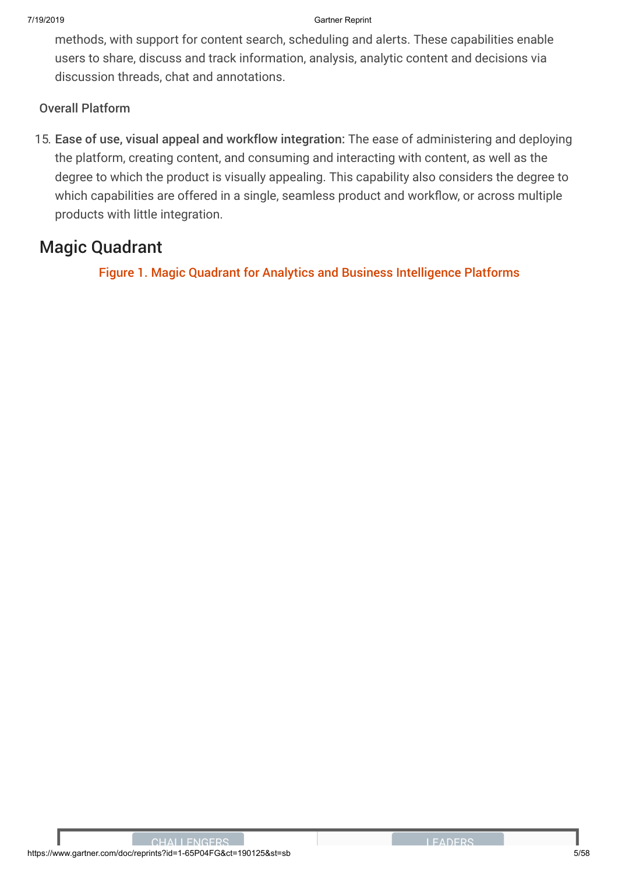methods, with support for content search, scheduling and alerts. These capabilities enable users to share, discuss and track information, analysis, analytic content and decisions via discussion threads, chat and annotations.

### Overall Platform

15. Ease of use, visual appeal and workflow integration: The ease of administering and deploying the platform, creating content, and consuming and interacting with content, as well as the degree to which the product is visually appealing. This capability also considers the degree to which capabilities are offered in a single, seamless product and workflow, or across multiple products with little integration.

## Magic Quadrant

Figure 1. Magic Quadrant for Analytics and Business Intelligence Platforms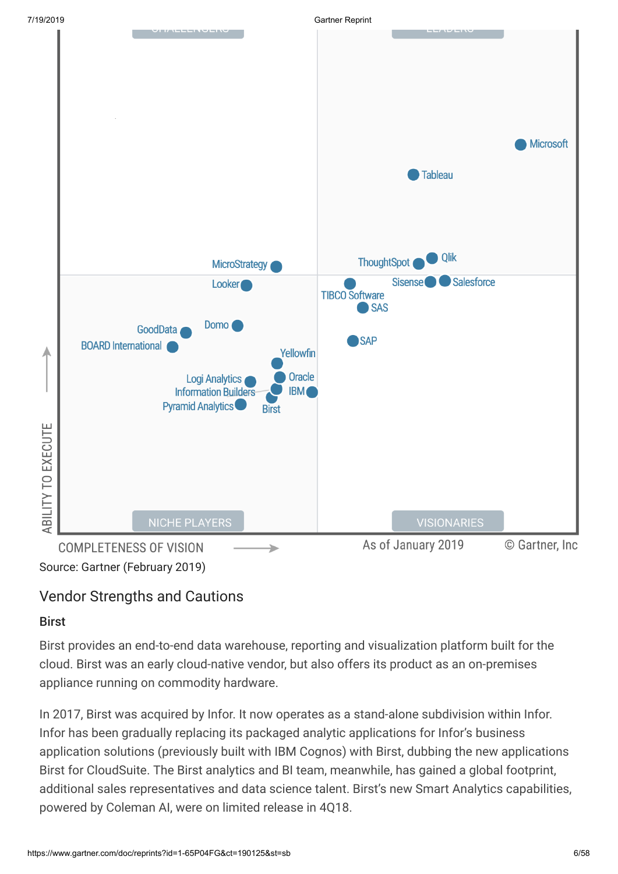

## Vendor Strengths and Cautions

### **Rirst**

Birst provides an end-to-end data warehouse, reporting and visualization platform built for the cloud. Birst was an early cloud-native vendor, but also offers its product as an on-premises appliance running on commodity hardware.

In 2017, Birst was acquired by Infor. It now operates as a stand-alone subdivision within Infor. Infor has been gradually replacing its packaged analytic applications for Infor's business application solutions (previously built with IBM Cognos) with Birst, dubbing the new applications Birst for CloudSuite. The Birst analytics and BI team, meanwhile, has gained a global footprint, additional sales representatives and data science talent. Birst's new Smart Analytics capabilities, powered by Coleman AI, were on limited release in 4Q18.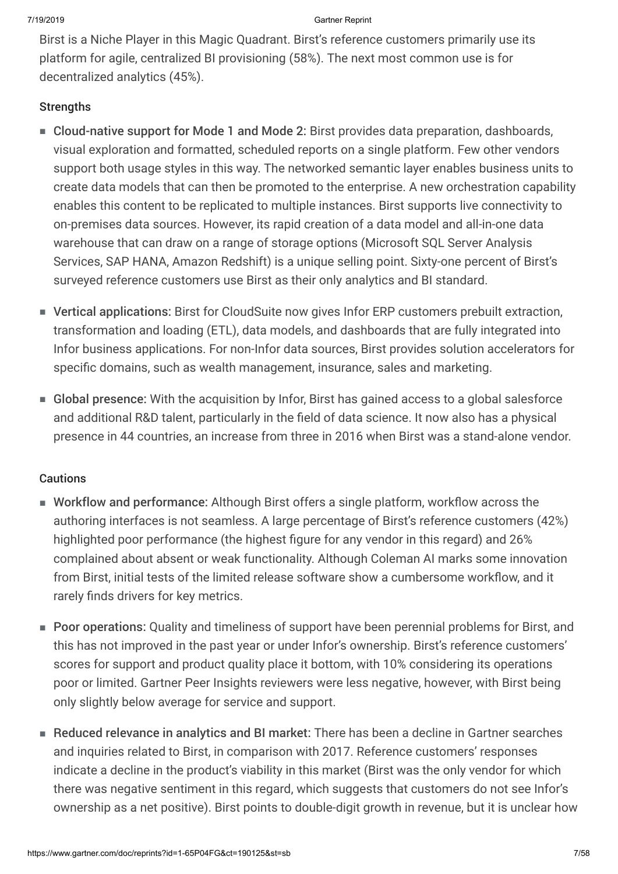Birst is a Niche Player in this Magic Quadrant. Birst's reference customers primarily use its platform for agile, centralized BI provisioning (58%). The next most common use is for decentralized analytics (45%).

### **Strengths**

- Cloud-native support for Mode 1 and Mode 2: Birst provides data preparation, dashboards, visual exploration and formatted, scheduled reports on a single platform. Few other vendors support both usage styles in this way. The networked semantic layer enables business units to create data models that can then be promoted to the enterprise. A new orchestration capability enables this content to be replicated to multiple instances. Birst supports live connectivity to on-premises data sources. However, its rapid creation of a data model and all-in-one data warehouse that can draw on a range of storage options (Microsoft SQL Server Analysis Services, SAP HANA, Amazon Redshift) is a unique selling point. Sixty-one percent of Birst's surveyed reference customers use Birst as their only analytics and BI standard.
- Vertical applications: Birst for CloudSuite now gives Infor ERP customers prebuilt extraction, transformation and loading (ETL), data models, and dashboards that are fully integrated into Infor business applications. For non-Infor data sources, Birst provides solution accelerators for specific domains, such as wealth management, insurance, sales and marketing.
- Global presence: With the acquisition by Infor, Birst has gained access to a global salesforce and additional R&D talent, particularly in the field of data science. It now also has a physical presence in 44 countries, an increase from three in 2016 when Birst was a stand-alone vendor.

### **Cautions**

- Workflow and performance: Although Birst offers a single platform, workflow across the authoring interfaces is not seamless. A large percentage of Birst's reference customers (42%) highlighted poor performance (the highest figure for any vendor in this regard) and 26% complained about absent or weak functionality. Although Coleman AI marks some innovation from Birst, initial tests of the limited release software show a cumbersome workflow, and it rarely finds drivers for key metrics.
- Poor operations: Quality and timeliness of support have been perennial problems for Birst, and this has not improved in the past year or under Infor's ownership. Birst's reference customers' scores for support and product quality place it bottom, with 10% considering its operations poor or limited. Gartner Peer Insights reviewers were less negative, however, with Birst being only slightly below average for service and support.
- Reduced relevance in analytics and BI market: There has been a decline in Gartner searches and inquiries related to Birst, in comparison with 2017. Reference customers' responses indicate a decline in the product's viability in this market (Birst was the only vendor for which there was negative sentiment in this regard, which suggests that customers do not see Infor's ownership as a net positive). Birst points to double-digit growth in revenue, but it is unclear how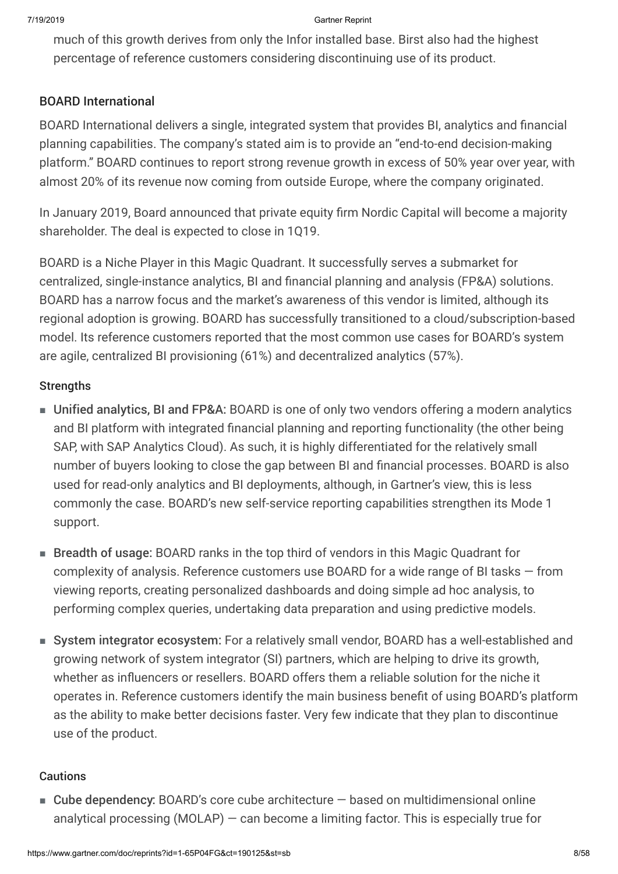much of this growth derives from only the Infor installed base. Birst also had the highest percentage of reference customers considering discontinuing use of its product.

### BOARD International

BOARD International delivers a single, integrated system that provides BI, analytics and financial planning capabilities. The company's stated aim is to provide an "end-to-end decision-making platform." BOARD continues to report strong revenue growth in excess of 50% year over year, with almost 20% of its revenue now coming from outside Europe, where the company originated.

In January 2019, Board announced that private equity firm Nordic Capital will become a majority shareholder. The deal is expected to close in 1Q19.

BOARD is a Niche Player in this Magic Quadrant. It successfully serves a submarket for centralized, single-instance analytics, BI and financial planning and analysis (FP&A) solutions. BOARD has a narrow focus and the market's awareness of this vendor is limited, although its regional adoption is growing. BOARD has successfully transitioned to a cloud/subscription-based model. Its reference customers reported that the most common use cases for BOARD's system are agile, centralized BI provisioning (61%) and decentralized analytics (57%).

### **Strengths**

- Unified analytics, BI and FP&A: BOARD is one of only two vendors offering a modern analytics and BI platform with integrated financial planning and reporting functionality (the other being SAP, with SAP Analytics Cloud). As such, it is highly differentiated for the relatively small number of buyers looking to close the gap between BI and financial processes. BOARD is also used for read-only analytics and BI deployments, although, in Gartner's view, this is less commonly the case. BOARD's new self-service reporting capabilities strengthen its Mode 1 support.
- Breadth of usage: BOARD ranks in the top third of vendors in this Magic Quadrant for complexity of analysis. Reference customers use BOARD for a wide range of BI tasks — from viewing reports, creating personalized dashboards and doing simple ad hoc analysis, to performing complex queries, undertaking data preparation and using predictive models.
- System integrator ecosystem: For a relatively small vendor, BOARD has a well-established and growing network of system integrator (SI) partners, which are helping to drive its growth, whether as influencers or resellers. BOARD offers them a reliable solution for the niche it operates in. Reference customers identify the main business benefit of using BOARD's platform as the ability to make better decisions faster. Very few indicate that they plan to discontinue use of the product.

### **Cautions**

■ Cube dependency: BOARD's core cube architecture – based on multidimensional online analytical processing (MOLAP) — can become a limiting factor. This is especially true for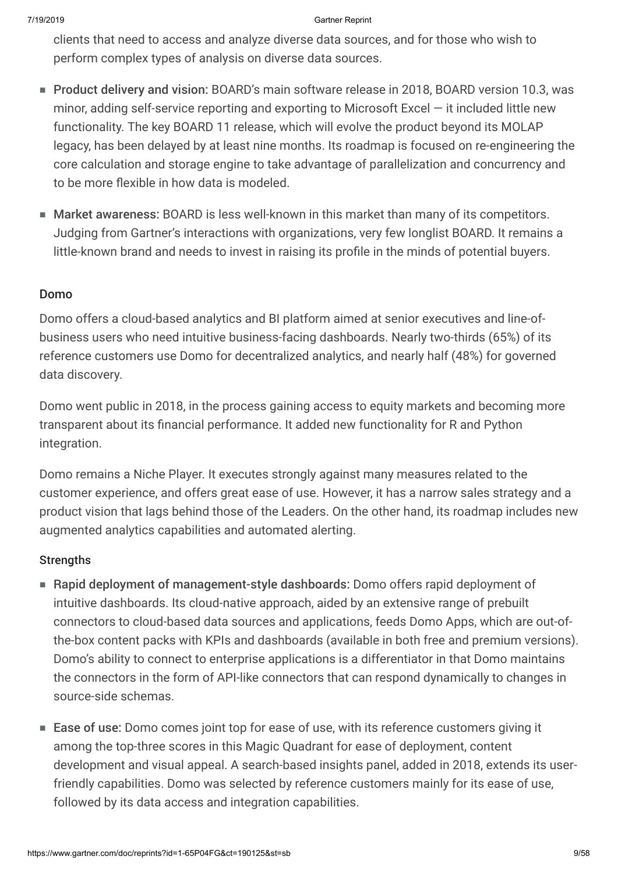clients that need to access and analyze diverse data sources, and for those who wish to perform complex types of analysis on diverse data sources.

- Product delivery and vision: BOARD's main software release in 2018, BOARD version 10.3, was minor, adding self-service reporting and exporting to Microsoft Excel — it included little new functionality. The key BOARD 11 release, which will evolve the product beyond its MOLAP legacy, has been delayed by at least nine months. Its roadmap is focused on re-engineering the core calculation and storage engine to take advantage of parallelization and concurrency and to be more flexible in how data is modeled.
- Market awareness: BOARD is less well-known in this market than many of its competitors. Judging from Gartner's interactions with organizations, very few longlist BOARD. It remains a little-known brand and needs to invest in raising its profile in the minds of potential buyers.

### Domo

Domo offers a cloud-based analytics and BI platform aimed at senior executives and line-ofbusiness users who need intuitive business-facing dashboards. Nearly two-thirds (65%) of its reference customers use Domo for decentralized analytics, and nearly half (48%) for governed data discovery.

Domo went public in 2018, in the process gaining access to equity markets and becoming more transparent about its financial performance. It added new functionality for R and Python integration.

Domo remains a Niche Player. It executes strongly against many measures related to the customer experience, and offers great ease of use. However, it has a narrow sales strategy and a product vision that lags behind those of the Leaders. On the other hand, its roadmap includes new augmented analytics capabilities and automated alerting.

### **Strengths**

- Rapid deployment of management-style dashboards: Domo offers rapid deployment of intuitive dashboards. Its cloud-native approach, aided by an extensive range of prebuilt connectors to cloud-based data sources and applications, feeds Domo Apps, which are out-ofthe-box content packs with KPIs and dashboards (available in both free and premium versions). Domo's ability to connect to enterprise applications is a differentiator in that Domo maintains the connectors in the form of API-like connectors that can respond dynamically to changes in source-side schemas.
- Ease of use: Domo comes joint top for ease of use, with its reference customers giving it among the top-three scores in this Magic Quadrant for ease of deployment, content development and visual appeal. A search-based insights panel, added in 2018, extends its userfriendly capabilities. Domo was selected by reference customers mainly for its ease of use, followed by its data access and integration capabilities.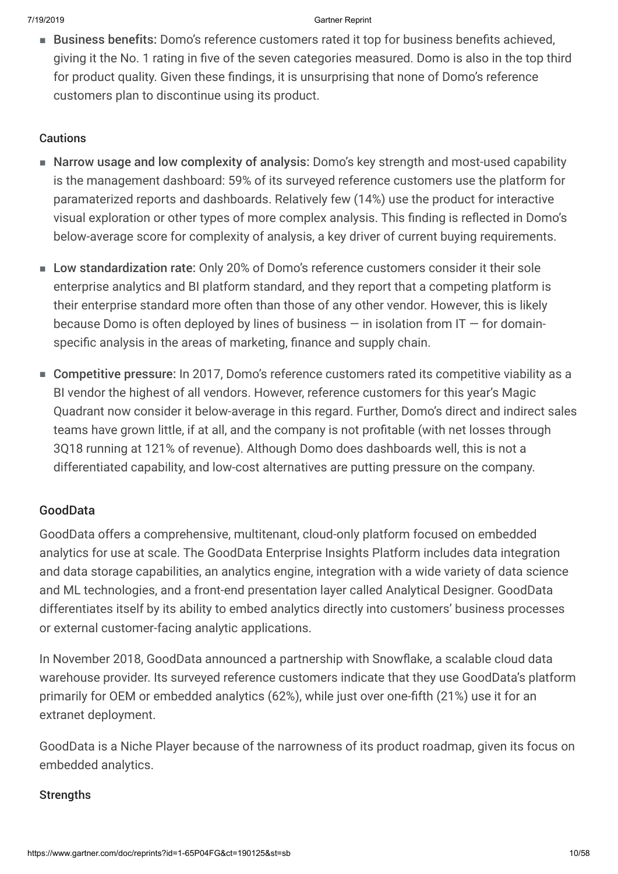■ Business benefits: Domo's reference customers rated it top for business benefits achieved, giving it the No. 1 rating in five of the seven categories measured. Domo is also in the top third for product quality. Given these findings, it is unsurprising that none of Domo's reference customers plan to discontinue using its product.

### Cautions

- Narrow usage and low complexity of analysis: Domo's key strength and most-used capability is the management dashboard: 59% of its surveyed reference customers use the platform for paramaterized reports and dashboards. Relatively few (14%) use the product for interactive visual exploration or other types of more complex analysis. This finding is reflected in Domo's below-average score for complexity of analysis, a key driver of current buying requirements.
- Low standardization rate: Only 20% of Domo's reference customers consider it their sole enterprise analytics and BI platform standard, and they report that a competing platform is their enterprise standard more often than those of any other vendor. However, this is likely because Domo is often deployed by lines of business  $-$  in isolation from IT  $-$  for domainspecific analysis in the areas of marketing, finance and supply chain.
- Competitive pressure: In 2017, Domo's reference customers rated its competitive viability as a BI vendor the highest of all vendors. However, reference customers for this year's Magic Quadrant now consider it below-average in this regard. Further, Domo's direct and indirect sales teams have grown little, if at all, and the company is not profitable (with net losses through 3Q18 running at 121% of revenue). Although Domo does dashboards well, this is not a differentiated capability, and low-cost alternatives are putting pressure on the company.

### GoodData

GoodData offers a comprehensive, multitenant, cloud-only platform focused on embedded analytics for use at scale. The GoodData Enterprise Insights Platform includes data integration and data storage capabilities, an analytics engine, integration with a wide variety of data science and ML technologies, and a front-end presentation layer called Analytical Designer. GoodData differentiates itself by its ability to embed analytics directly into customers' business processes or external customer-facing analytic applications.

In November 2018, GoodData announced a partnership with Snowflake, a scalable cloud data warehouse provider. Its surveyed reference customers indicate that they use GoodData's platform primarily for OEM or embedded analytics (62%), while just over one-fifth (21%) use it for an extranet deployment.

GoodData is a Niche Player because of the narrowness of its product roadmap, given its focus on embedded analytics.

### **Strengths**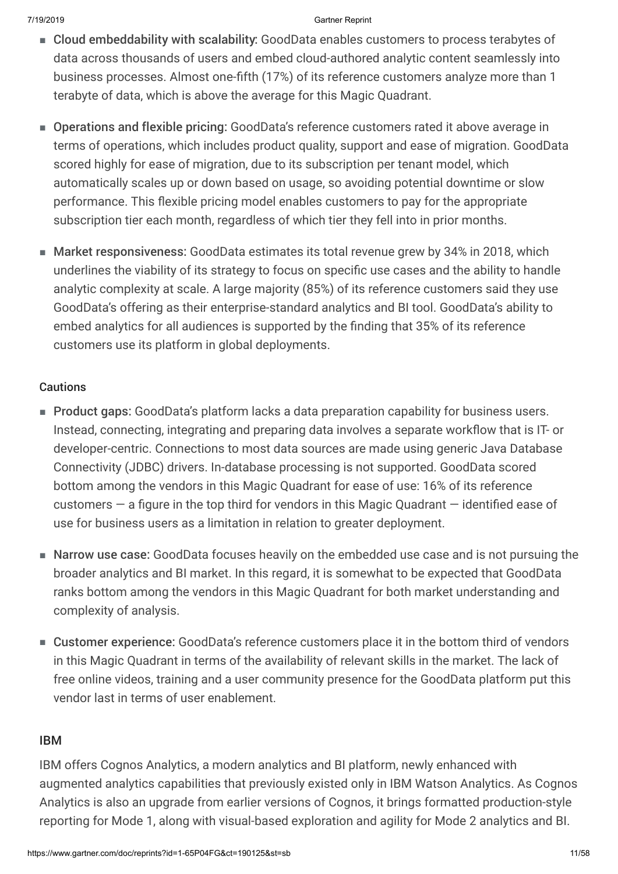- Cloud embeddability with scalability: GoodData enables customers to process terabytes of data across thousands of users and embed cloud-authored analytic content seamlessly into business processes. Almost one-fifth (17%) of its reference customers analyze more than 1 terabyte of data, which is above the average for this Magic Quadrant.
- Operations and flexible pricing: GoodData's reference customers rated it above average in terms of operations, which includes product quality, support and ease of migration. GoodData scored highly for ease of migration, due to its subscription per tenant model, which automatically scales up or down based on usage, so avoiding potential downtime or slow performance. This flexible pricing model enables customers to pay for the appropriate subscription tier each month, regardless of which tier they fell into in prior months.
- Market responsiveness: GoodData estimates its total revenue grew by 34% in 2018, which underlines the viability of its strategy to focus on specific use cases and the ability to handle analytic complexity at scale. A large majority (85%) of its reference customers said they use GoodData's offering as their enterprise-standard analytics and BI tool. GoodData's ability to embed analytics for all audiences is supported by the finding that 35% of its reference customers use its platform in global deployments.

### **Cautions**

- Product gaps: GoodData's platform lacks a data preparation capability for business users. Instead, connecting, integrating and preparing data involves a separate workflow that is IT- or developer-centric. Connections to most data sources are made using generic Java Database Connectivity (JDBC) drivers. In-database processing is not supported. GoodData scored bottom among the vendors in this Magic Quadrant for ease of use: 16% of its reference customers — a figure in the top third for vendors in this Magic Quadrant — identified ease of use for business users as a limitation in relation to greater deployment.
- Narrow use case: GoodData focuses heavily on the embedded use case and is not pursuing the broader analytics and BI market. In this regard, it is somewhat to be expected that GoodData ranks bottom among the vendors in this Magic Quadrant for both market understanding and complexity of analysis.
- Customer experience: GoodData's reference customers place it in the bottom third of vendors in this Magic Quadrant in terms of the availability of relevant skills in the market. The lack of free online videos, training and a user community presence for the GoodData platform put this vendor last in terms of user enablement.

### IBM

IBM offers Cognos Analytics, a modern analytics and BI platform, newly enhanced with augmented analytics capabilities that previously existed only in IBM Watson Analytics. As Cognos Analytics is also an upgrade from earlier versions of Cognos, it brings formatted production-style reporting for Mode 1, along with visual-based exploration and agility for Mode 2 analytics and BI.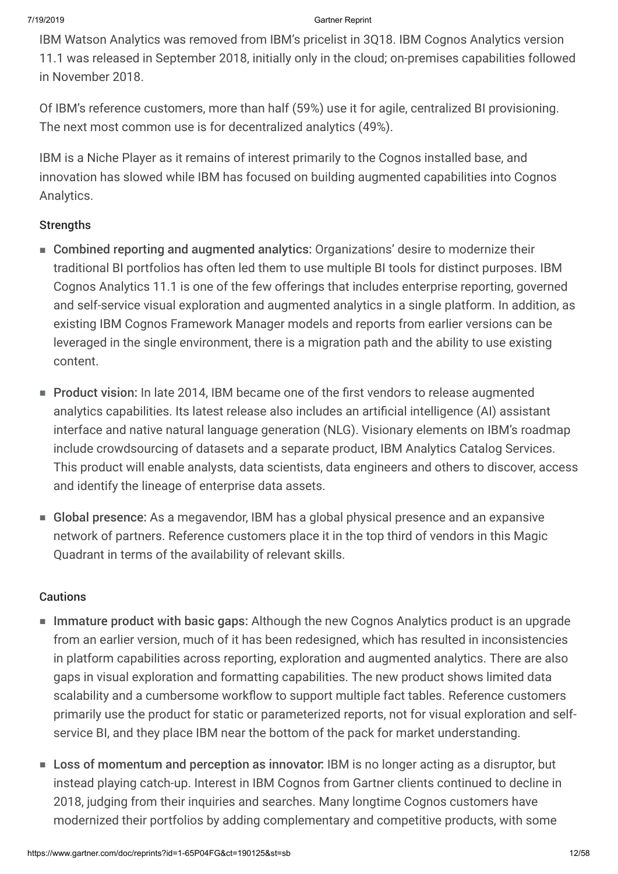IBM Watson Analytics was removed from IBM's pricelist in 3Q18. IBM Cognos Analytics version 11.1 was released in September 2018, initially only in the cloud; on-premises capabilities followed in November 2018.

Of IBM's reference customers, more than half (59%) use it for agile, centralized BI provisioning. The next most common use is for decentralized analytics (49%).

IBM is a Niche Player as it remains of interest primarily to the Cognos installed base, and innovation has slowed while IBM has focused on building augmented capabilities into Cognos Analytics.

### **Strengths**

- Combined reporting and augmented analytics: Organizations' desire to modernize their traditional BI portfolios has often led them to use multiple BI tools for distinct purposes. IBM Cognos Analytics 11.1 is one of the few offerings that includes enterprise reporting, governed and self-service visual exploration and augmented analytics in a single platform. In addition, as existing IBM Cognos Framework Manager models and reports from earlier versions can be leveraged in the single environment, there is a migration path and the ability to use existing content.
- Product vision: In late 2014, IBM became one of the first vendors to release augmented analytics capabilities. Its latest release also includes an artificial intelligence (AI) assistant interface and native natural language generation (NLG). Visionary elements on IBM's roadmap include crowdsourcing of datasets and a separate product, IBM Analytics Catalog Services. This product will enable analysts, data scientists, data engineers and others to discover, access and identify the lineage of enterprise data assets.
- Global presence: As a megavendor, IBM has a global physical presence and an expansive network of partners. Reference customers place it in the top third of vendors in this Magic Quadrant in terms of the availability of relevant skills.

### **Cautions**

- Immature product with basic gaps: Although the new Cognos Analytics product is an upgrade from an earlier version, much of it has been redesigned, which has resulted in inconsistencies in platform capabilities across reporting, exploration and augmented analytics. There are also gaps in visual exploration and formatting capabilities. The new product shows limited data scalability and a cumbersome workflow to support multiple fact tables. Reference customers primarily use the product for static or parameterized reports, not for visual exploration and selfservice BI, and they place IBM near the bottom of the pack for market understanding.
- Loss of momentum and perception as innovator: IBM is no longer acting as a disruptor, but instead playing catch-up. Interest in IBM Cognos from Gartner clients continued to decline in 2018, judging from their inquiries and searches. Many longtime Cognos customers have modernized their portfolios by adding complementary and competitive products, with some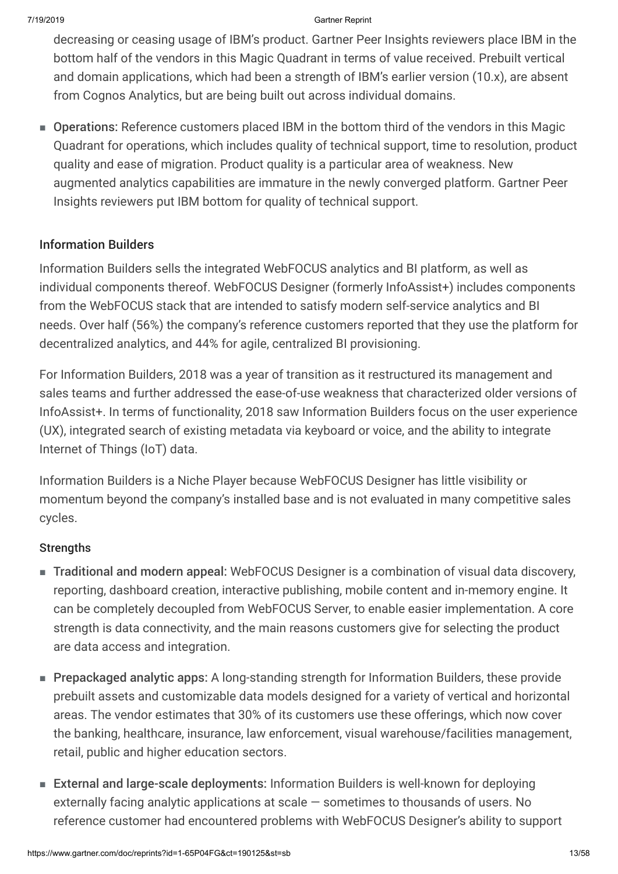decreasing or ceasing usage of IBM's product. Gartner Peer Insights reviewers place IBM in the bottom half of the vendors in this Magic Quadrant in terms of value received. Prebuilt vertical and domain applications, which had been a strength of IBM's earlier version (10.x), are absent from Cognos Analytics, but are being built out across individual domains.

■ Operations: Reference customers placed IBM in the bottom third of the vendors in this Magic Quadrant for operations, which includes quality of technical support, time to resolution, product quality and ease of migration. Product quality is a particular area of weakness. New augmented analytics capabilities are immature in the newly converged platform. Gartner Peer Insights reviewers put IBM bottom for quality of technical support.

### Information Builders

Information Builders sells the integrated WebFOCUS analytics and BI platform, as well as individual components thereof. WebFOCUS Designer (formerly InfoAssist+) includes components from the WebFOCUS stack that are intended to satisfy modern self-service analytics and BI needs. Over half (56%) the company's reference customers reported that they use the platform for decentralized analytics, and 44% for agile, centralized BI provisioning.

For Information Builders, 2018 was a year of transition as it restructured its management and sales teams and further addressed the ease-of-use weakness that characterized older versions of InfoAssist+. In terms of functionality, 2018 saw Information Builders focus on the user experience (UX), integrated search of existing metadata via keyboard or voice, and the ability to integrate Internet of Things (IoT) data.

Information Builders is a Niche Player because WebFOCUS Designer has little visibility or momentum beyond the company's installed base and is not evaluated in many competitive sales cycles.

### **Strengths**

- Traditional and modern appeal: WebFOCUS Designer is a combination of visual data discovery, reporting, dashboard creation, interactive publishing, mobile content and in-memory engine. It can be completely decoupled from WebFOCUS Server, to enable easier implementation. A core strength is data connectivity, and the main reasons customers give for selecting the product are data access and integration.
- Prepackaged analytic apps: A long-standing strength for Information Builders, these provide prebuilt assets and customizable data models designed for a variety of vertical and horizontal areas. The vendor estimates that 30% of its customers use these offerings, which now cover the banking, healthcare, insurance, law enforcement, visual warehouse/facilities management, retail, public and higher education sectors.
- External and large-scale deployments: Information Builders is well-known for deploying externally facing analytic applications at scale — sometimes to thousands of users. No reference customer had encountered problems with WebFOCUS Designer's ability to support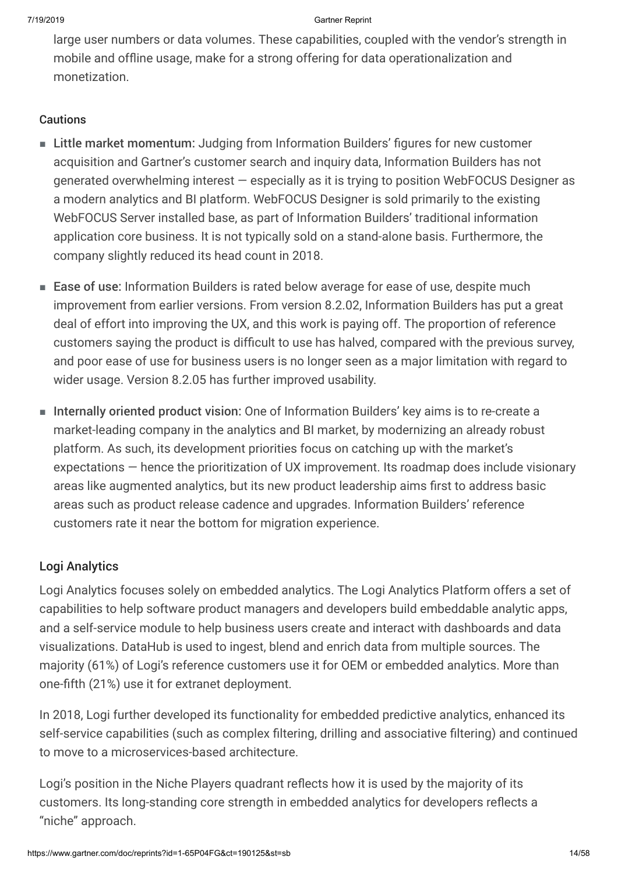large user numbers or data volumes. These capabilities, coupled with the vendor's strength in mobile and offline usage, make for a strong offering for data operationalization and monetization.

### **Cautions**

- Little market momentum: Judging from Information Builders' figures for new customer acquisition and Gartner's customer search and inquiry data, Information Builders has not generated overwhelming interest — especially as it is trying to position WebFOCUS Designer as a modern analytics and BI platform. WebFOCUS Designer is sold primarily to the existing WebFOCUS Server installed base, as part of Information Builders' traditional information application core business. It is not typically sold on a stand-alone basis. Furthermore, the company slightly reduced its head count in 2018.
- Ease of use: Information Builders is rated below average for ease of use, despite much improvement from earlier versions. From version 8.2.02, Information Builders has put a great deal of effort into improving the UX, and this work is paying off. The proportion of reference customers saying the product is difficult to use has halved, compared with the previous survey, and poor ease of use for business users is no longer seen as a major limitation with regard to wider usage. Version 8.2.05 has further improved usability.
- Internally oriented product vision: One of Information Builders' key aims is to re-create a market-leading company in the analytics and BI market, by modernizing an already robust platform. As such, its development priorities focus on catching up with the market's expectations — hence the prioritization of UX improvement. Its roadmap does include visionary areas like augmented analytics, but its new product leadership aims first to address basic areas such as product release cadence and upgrades. Information Builders' reference customers rate it near the bottom for migration experience.

### Logi Analytics

Logi Analytics focuses solely on embedded analytics. The Logi Analytics Platform offers a set of capabilities to help software product managers and developers build embeddable analytic apps, and a self-service module to help business users create and interact with dashboards and data visualizations. DataHub is used to ingest, blend and enrich data from multiple sources. The majority (61%) of Logi's reference customers use it for OEM or embedded analytics. More than one-fifth (21%) use it for extranet deployment.

In 2018, Logi further developed its functionality for embedded predictive analytics, enhanced its self-service capabilities (such as complex filtering, drilling and associative filtering) and continued to move to a microservices-based architecture.

Logi's position in the Niche Players quadrant reflects how it is used by the majority of its customers. Its long-standing core strength in embedded analytics for developers reflects a "niche" approach.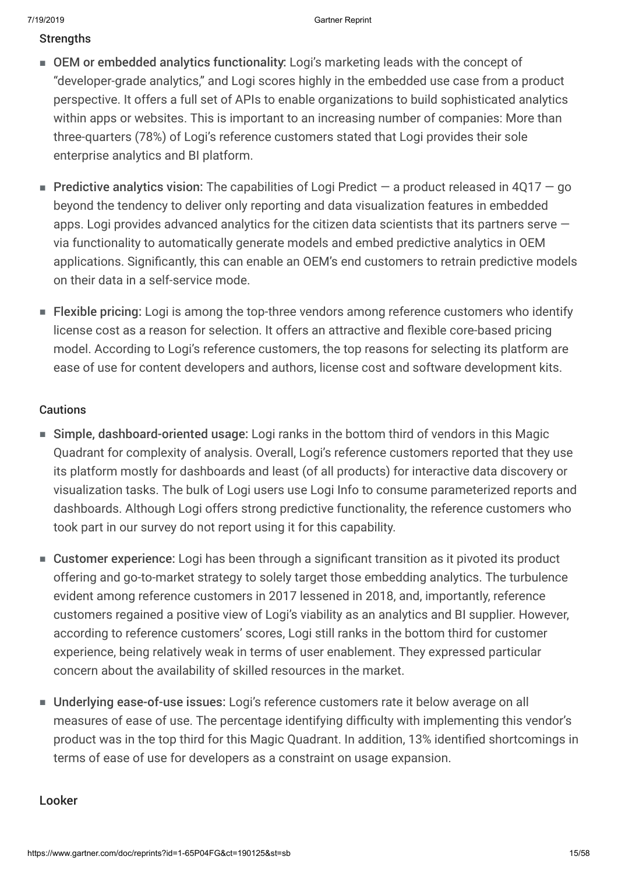### **Strengths**

- OEM or embedded analytics functionality: Logi's marketing leads with the concept of "developer-grade analytics," and Logi scores highly in the embedded use case from a product perspective. It offers a full set of APIs to enable organizations to build sophisticated analytics within apps or websites. This is important to an increasing number of companies: More than three-quarters (78%) of Logi's reference customers stated that Logi provides their sole enterprise analytics and BI platform.
- **Predictive analytics vision:** The capabilities of Logi Predict  $-$  a product released in 4Q17  $-$  go beyond the tendency to deliver only reporting and data visualization features in embedded apps. Logi provides advanced analytics for the citizen data scientists that its partners serve  $$ via functionality to automatically generate models and embed predictive analytics in OEM applications. Significantly, this can enable an OEM's end customers to retrain predictive models on their data in a self-service mode.
- Flexible pricing: Logi is among the top-three vendors among reference customers who identify license cost as a reason for selection. It offers an attractive and flexible core-based pricing model. According to Logi's reference customers, the top reasons for selecting its platform are ease of use for content developers and authors, license cost and software development kits.

### Cautions

- Simple, dashboard-oriented usage: Logi ranks in the bottom third of vendors in this Magic Quadrant for complexity of analysis. Overall, Logi's reference customers reported that they use its platform mostly for dashboards and least (of all products) for interactive data discovery or visualization tasks. The bulk of Logi users use Logi Info to consume parameterized reports and dashboards. Although Logi offers strong predictive functionality, the reference customers who took part in our survey do not report using it for this capability.
- Customer experience: Logi has been through a significant transition as it pivoted its product offering and go-to-market strategy to solely target those embedding analytics. The turbulence evident among reference customers in 2017 lessened in 2018, and, importantly, reference customers regained a positive view of Logi's viability as an analytics and BI supplier. However, according to reference customers' scores, Logi still ranks in the bottom third for customer experience, being relatively weak in terms of user enablement. They expressed particular concern about the availability of skilled resources in the market.
- Underlying ease-of-use issues: Logi's reference customers rate it below average on all measures of ease of use. The percentage identifying difficulty with implementing this vendor's product was in the top third for this Magic Quadrant. In addition, 13% identified shortcomings in terms of ease of use for developers as a constraint on usage expansion.

### Looker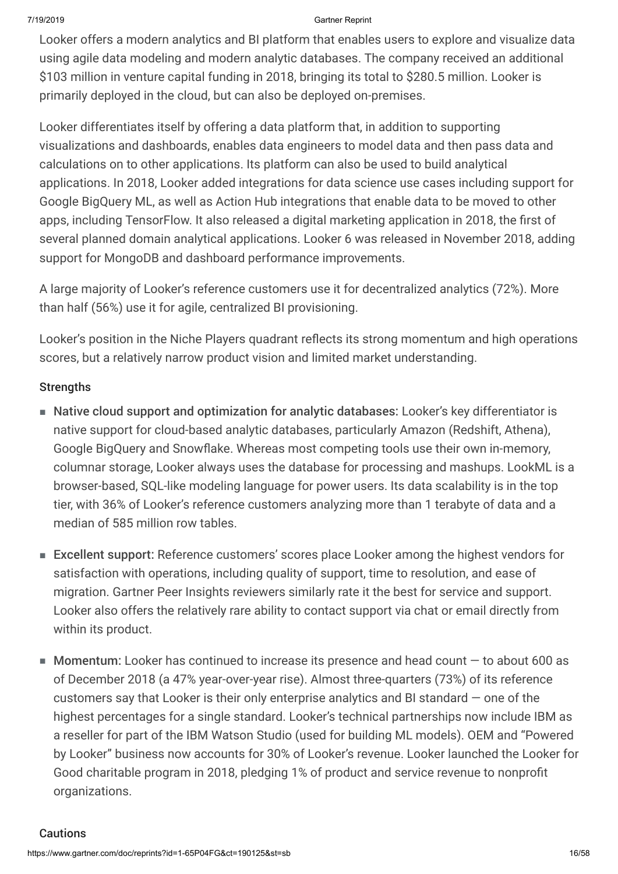Looker offers a modern analytics and BI platform that enables users to explore and visualize data using agile data modeling and modern analytic databases. The company received an additional \$103 million in venture capital funding in 2018, bringing its total to \$280.5 million. Looker is primarily deployed in the cloud, but can also be deployed on-premises.

Looker differentiates itself by offering a data platform that, in addition to supporting visualizations and dashboards, enables data engineers to model data and then pass data and calculations on to other applications. Its platform can also be used to build analytical applications. In 2018, Looker added integrations for data science use cases including support for Google BigQuery ML, as well as Action Hub integrations that enable data to be moved to other apps, including TensorFlow. It also released a digital marketing application in 2018, the first of several planned domain analytical applications. Looker 6 was released in November 2018, adding support for MongoDB and dashboard performance improvements.

A large majority of Looker's reference customers use it for decentralized analytics (72%). More than half (56%) use it for agile, centralized BI provisioning.

Looker's position in the Niche Players quadrant reflects its strong momentum and high operations scores, but a relatively narrow product vision and limited market understanding.

### **Strengths**

- Native cloud support and optimization for analytic databases: Looker's key differentiator is native support for cloud-based analytic databases, particularly Amazon (Redshift, Athena), Google BigQuery and Snowflake. Whereas most competing tools use their own in-memory, columnar storage, Looker always uses the database for processing and mashups. LookML is a browser-based, SQL-like modeling language for power users. Its data scalability is in the top tier, with 36% of Looker's reference customers analyzing more than 1 terabyte of data and a median of 585 million row tables.
- Excellent support: Reference customers' scores place Looker among the highest vendors for satisfaction with operations, including quality of support, time to resolution, and ease of migration. Gartner Peer Insights reviewers similarly rate it the best for service and support. Looker also offers the relatively rare ability to contact support via chat or email directly from within its product.
- Momentum: Looker has continued to increase its presence and head count to about 600 as of December 2018 (a 47% year-over-year rise). Almost three-quarters (73%) of its reference customers say that Looker is their only enterprise analytics and BI standard — one of the highest percentages for a single standard. Looker's technical partnerships now include IBM as a reseller for part of the IBM Watson Studio (used for building ML models). OEM and "Powered by Looker" business now accounts for 30% of Looker's revenue. Looker launched the Looker for Good charitable program in 2018, pledging 1% of product and service revenue to nonprofit organizations.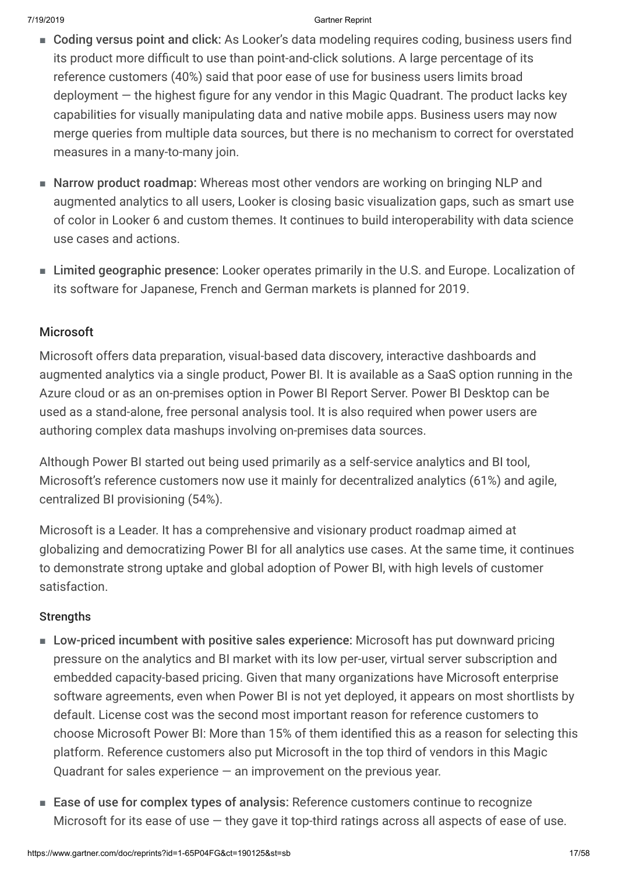- Coding versus point and click: As Looker's data modeling requires coding, business users find its product more difficult to use than point-and-click solutions. A large percentage of its reference customers (40%) said that poor ease of use for business users limits broad deployment — the highest figure for any vendor in this Magic Quadrant. The product lacks key capabilities for visually manipulating data and native mobile apps. Business users may now merge queries from multiple data sources, but there is no mechanism to correct for overstated measures in a many-to-many join.
- Narrow product roadmap: Whereas most other vendors are working on bringing NLP and augmented analytics to all users, Looker is closing basic visualization gaps, such as smart use of color in Looker 6 and custom themes. It continues to build interoperability with data science use cases and actions.
- Limited geographic presence: Looker operates primarily in the U.S. and Europe. Localization of its software for Japanese, French and German markets is planned for 2019.

### Microsoft

Microsoft offers data preparation, visual-based data discovery, interactive dashboards and augmented analytics via a single product, Power BI. It is available as a SaaS option running in the Azure cloud or as an on-premises option in Power BI Report Server. Power BI Desktop can be used as a stand-alone, free personal analysis tool. It is also required when power users are authoring complex data mashups involving on-premises data sources.

Although Power BI started out being used primarily as a self-service analytics and BI tool, Microsoft's reference customers now use it mainly for decentralized analytics (61%) and agile, centralized BI provisioning (54%).

Microsoft is a Leader. It has a comprehensive and visionary product roadmap aimed at globalizing and democratizing Power BI for all analytics use cases. At the same time, it continues to demonstrate strong uptake and global adoption of Power BI, with high levels of customer satisfaction.

### **Strengths**

- Low-priced incumbent with positive sales experience: Microsoft has put downward pricing pressure on the analytics and BI market with its low per-user, virtual server subscription and embedded capacity-based pricing. Given that many organizations have Microsoft enterprise software agreements, even when Power BI is not yet deployed, it appears on most shortlists by default. License cost was the second most important reason for reference customers to choose Microsoft Power BI: More than 15% of them identified this as a reason for selecting this platform. Reference customers also put Microsoft in the top third of vendors in this Magic Quadrant for sales experience  $-$  an improvement on the previous year.
- Ease of use for complex types of analysis: Reference customers continue to recognize Microsoft for its ease of use  $-$  they gave it top-third ratings across all aspects of ease of use.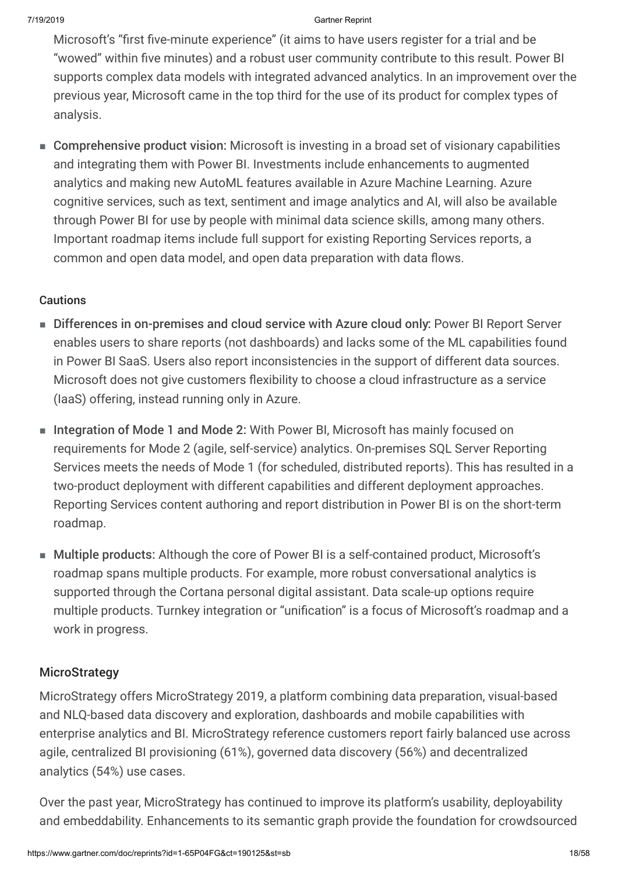Microsoft's "first five-minute experience" (it aims to have users register for a trial and be "wowed" within five minutes) and a robust user community contribute to this result. Power BI supports complex data models with integrated advanced analytics. In an improvement over the previous year, Microsoft came in the top third for the use of its product for complex types of analysis.

■ Comprehensive product vision: Microsoft is investing in a broad set of visionary capabilities and integrating them with Power BI. Investments include enhancements to augmented analytics and making new AutoML features available in Azure Machine Learning. Azure cognitive services, such as text, sentiment and image analytics and AI, will also be available through Power BI for use by people with minimal data science skills, among many others. Important roadmap items include full support for existing Reporting Services reports, a common and open data model, and open data preparation with data flows.

### **Cautions**

- Differences in on-premises and cloud service with Azure cloud only: Power BI Report Server enables users to share reports (not dashboards) and lacks some of the ML capabilities found in Power BI SaaS. Users also report inconsistencies in the support of different data sources. Microsoft does not give customers flexibility to choose a cloud infrastructure as a service (IaaS) offering, instead running only in Azure.
- Integration of Mode 1 and Mode 2: With Power BI, Microsoft has mainly focused on requirements for Mode 2 (agile, self-service) analytics. On-premises SQL Server Reporting Services meets the needs of Mode 1 (for scheduled, distributed reports). This has resulted in a two-product deployment with different capabilities and different deployment approaches. Reporting Services content authoring and report distribution in Power BI is on the short-term roadmap.
- Multiple products: Although the core of Power BI is a self-contained product, Microsoft's roadmap spans multiple products. For example, more robust conversational analytics is supported through the Cortana personal digital assistant. Data scale-up options require multiple products. Turnkey integration or "unification" is a focus of Microsoft's roadmap and a work in progress.

### **MicroStrategy**

MicroStrategy offers MicroStrategy 2019, a platform combining data preparation, visual-based and NLQ-based data discovery and exploration, dashboards and mobile capabilities with enterprise analytics and BI. MicroStrategy reference customers report fairly balanced use across agile, centralized BI provisioning (61%), governed data discovery (56%) and decentralized analytics (54%) use cases.

Over the past year, MicroStrategy has continued to improve its platform's usability, deployability and embeddability. Enhancements to its semantic graph provide the foundation for crowdsourced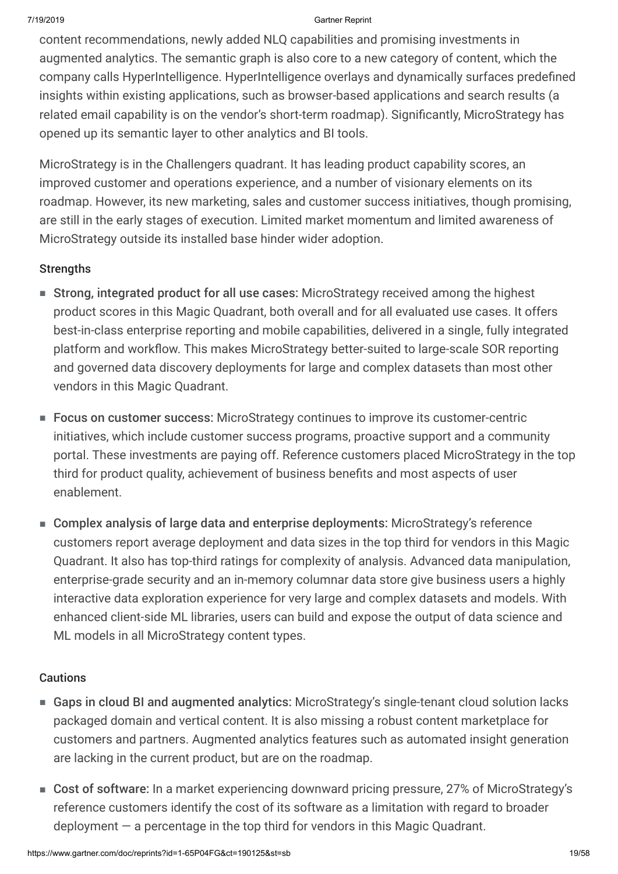content recommendations, newly added NLQ capabilities and promising investments in augmented analytics. The semantic graph is also core to a new category of content, which the company calls HyperIntelligence. HyperIntelligence overlays and dynamically surfaces predefined insights within existing applications, such as browser-based applications and search results (a related email capability is on the vendor's short-term roadmap). Significantly, MicroStrategy has opened up its semantic layer to other analytics and BI tools.

MicroStrategy is in the Challengers quadrant. It has leading product capability scores, an improved customer and operations experience, and a number of visionary elements on its roadmap. However, its new marketing, sales and customer success initiatives, though promising, are still in the early stages of execution. Limited market momentum and limited awareness of MicroStrategy outside its installed base hinder wider adoption.

### **Strengths**

- Strong, integrated product for all use cases: MicroStrategy received among the highest product scores in this Magic Quadrant, both overall and for all evaluated use cases. It offers best-in-class enterprise reporting and mobile capabilities, delivered in a single, fully integrated platform and workflow. This makes MicroStrategy better-suited to large-scale SOR reporting and governed data discovery deployments for large and complex datasets than most other vendors in this Magic Quadrant.
- Focus on customer success: MicroStrategy continues to improve its customer-centric initiatives, which include customer success programs, proactive support and a community portal. These investments are paying off. Reference customers placed MicroStrategy in the top third for product quality, achievement of business benefits and most aspects of user enablement.
- Complex analysis of large data and enterprise deployments: MicroStrategy's reference customers report average deployment and data sizes in the top third for vendors in this Magic Quadrant. It also has top-third ratings for complexity of analysis. Advanced data manipulation, enterprise-grade security and an in-memory columnar data store give business users a highly interactive data exploration experience for very large and complex datasets and models. With enhanced client-side ML libraries, users can build and expose the output of data science and ML models in all MicroStrategy content types.

### **Cautions**

- Gaps in cloud BI and augmented analytics: MicroStrategy's single-tenant cloud solution lacks packaged domain and vertical content. It is also missing a robust content marketplace for customers and partners. Augmented analytics features such as automated insight generation are lacking in the current product, but are on the roadmap.
- Cost of software: In a market experiencing downward pricing pressure, 27% of MicroStrategy's reference customers identify the cost of its software as a limitation with regard to broader deployment — a percentage in the top third for vendors in this Magic Quadrant.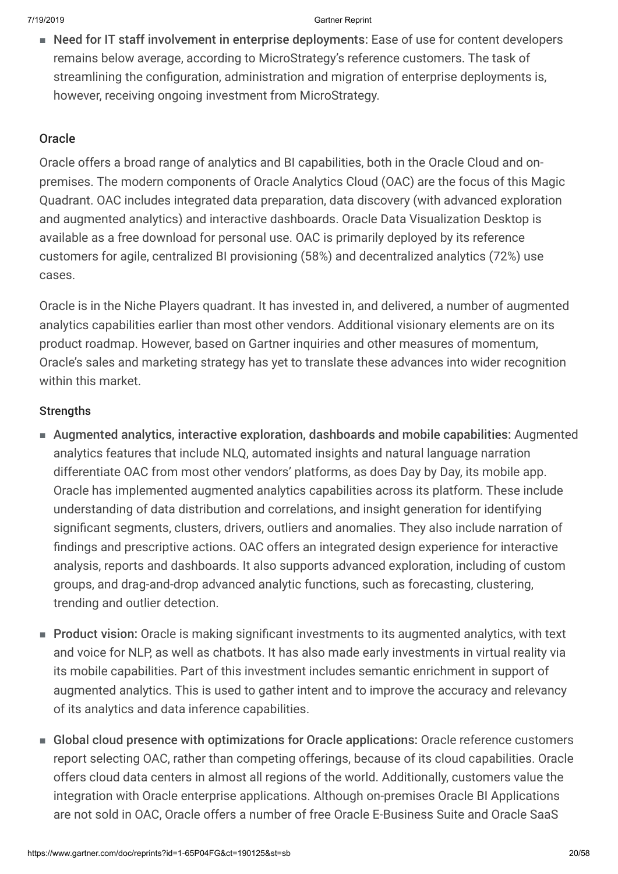■ Need for IT staff involvement in enterprise deployments: Ease of use for content developers remains below average, according to MicroStrategy's reference customers. The task of streamlining the configuration, administration and migration of enterprise deployments is, however, receiving ongoing investment from MicroStrategy.

### **Oracle**

Oracle offers a broad range of analytics and BI capabilities, both in the Oracle Cloud and onpremises. The modern components of Oracle Analytics Cloud (OAC) are the focus of this Magic Quadrant. OAC includes integrated data preparation, data discovery (with advanced exploration and augmented analytics) and interactive dashboards. Oracle Data Visualization Desktop is available as a free download for personal use. OAC is primarily deployed by its reference customers for agile, centralized BI provisioning (58%) and decentralized analytics (72%) use cases.

Oracle is in the Niche Players quadrant. It has invested in, and delivered, a number of augmented analytics capabilities earlier than most other vendors. Additional visionary elements are on its product roadmap. However, based on Gartner inquiries and other measures of momentum, Oracle's sales and marketing strategy has yet to translate these advances into wider recognition within this market.

### **Strengths**

- Augmented analytics, interactive exploration, dashboards and mobile capabilities: Augmented analytics features that include NLQ, automated insights and natural language narration differentiate OAC from most other vendors' platforms, as does Day by Day, its mobile app. Oracle has implemented augmented analytics capabilities across its platform. These include understanding of data distribution and correlations, and insight generation for identifying significant segments, clusters, drivers, outliers and anomalies. They also include narration of findings and prescriptive actions. OAC offers an integrated design experience for interactive analysis, reports and dashboards. It also supports advanced exploration, including of custom groups, and drag-and-drop advanced analytic functions, such as forecasting, clustering, trending and outlier detection.
- Product vision: Oracle is making significant investments to its augmented analytics, with text and voice for NLP, as well as chatbots. It has also made early investments in virtual reality via its mobile capabilities. Part of this investment includes semantic enrichment in support of augmented analytics. This is used to gather intent and to improve the accuracy and relevancy of its analytics and data inference capabilities.
- Global cloud presence with optimizations for Oracle applications: Oracle reference customers report selecting OAC, rather than competing offerings, because of its cloud capabilities. Oracle offers cloud data centers in almost all regions of the world. Additionally, customers value the integration with Oracle enterprise applications. Although on-premises Oracle BI Applications are not sold in OAC, Oracle offers a number of free Oracle E-Business Suite and Oracle SaaS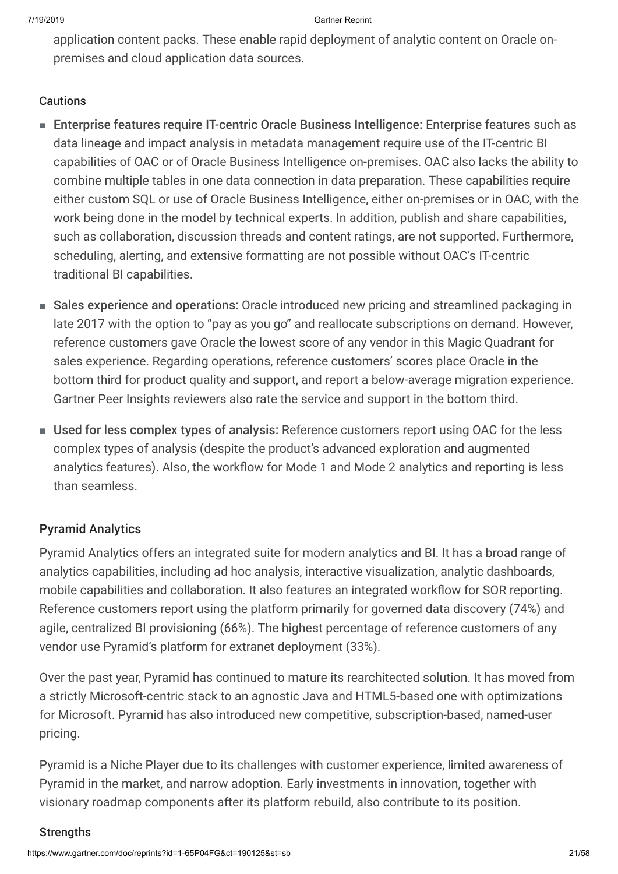application content packs. These enable rapid deployment of analytic content on Oracle onpremises and cloud application data sources.

### **Cautions**

- Enterprise features require IT-centric Oracle Business Intelligence: Enterprise features such as data lineage and impact analysis in metadata management require use of the IT-centric BI capabilities of OAC or of Oracle Business Intelligence on-premises. OAC also lacks the ability to combine multiple tables in one data connection in data preparation. These capabilities require either custom SQL or use of Oracle Business Intelligence, either on-premises or in OAC, with the work being done in the model by technical experts. In addition, publish and share capabilities, such as collaboration, discussion threads and content ratings, are not supported. Furthermore, scheduling, alerting, and extensive formatting are not possible without OAC's IT-centric traditional BI capabilities.
- Sales experience and operations: Oracle introduced new pricing and streamlined packaging in late 2017 with the option to "pay as you go" and reallocate subscriptions on demand. However, reference customers gave Oracle the lowest score of any vendor in this Magic Quadrant for sales experience. Regarding operations, reference customers' scores place Oracle in the bottom third for product quality and support, and report a below-average migration experience. Gartner Peer Insights reviewers also rate the service and support in the bottom third.
- Used for less complex types of analysis: Reference customers report using OAC for the less complex types of analysis (despite the product's advanced exploration and augmented analytics features). Also, the workflow for Mode 1 and Mode 2 analytics and reporting is less than seamless.

### Pyramid Analytics

Pyramid Analytics offers an integrated suite for modern analytics and BI. It has a broad range of analytics capabilities, including ad hoc analysis, interactive visualization, analytic dashboards, mobile capabilities and collaboration. It also features an integrated workflow for SOR reporting. Reference customers report using the platform primarily for governed data discovery (74%) and agile, centralized BI provisioning (66%). The highest percentage of reference customers of any vendor use Pyramid's platform for extranet deployment (33%).

Over the past year, Pyramid has continued to mature its rearchitected solution. It has moved from a strictly Microsoft-centric stack to an agnostic Java and HTML5-based one with optimizations for Microsoft. Pyramid has also introduced new competitive, subscription-based, named-user pricing.

Pyramid is a Niche Player due to its challenges with customer experience, limited awareness of Pyramid in the market, and narrow adoption. Early investments in innovation, together with visionary roadmap components after its platform rebuild, also contribute to its position.

### **Strengths**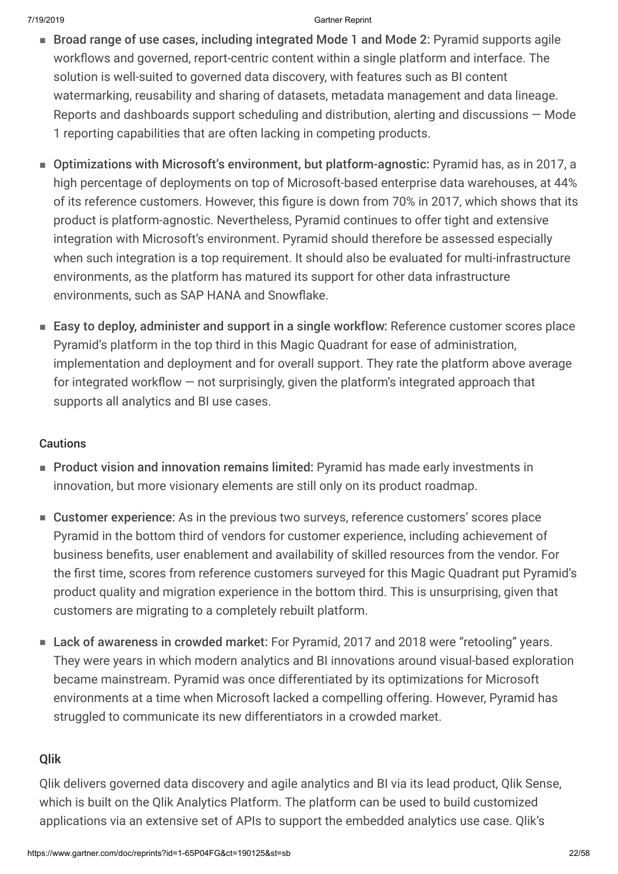- Broad range of use cases, including integrated Mode 1 and Mode 2: Pyramid supports agile workflows and governed, report-centric content within a single platform and interface. The solution is well-suited to governed data discovery, with features such as BI content watermarking, reusability and sharing of datasets, metadata management and data lineage. Reports and dashboards support scheduling and distribution, alerting and discussions — Mode 1 reporting capabilities that are often lacking in competing products.
- Optimizations with Microsoft's environment, but platform-agnostic: Pyramid has, as in 2017, a high percentage of deployments on top of Microsoft-based enterprise data warehouses, at 44% of its reference customers. However, this figure is down from 70% in 2017, which shows that its product is platform-agnostic. Nevertheless, Pyramid continues to offer tight and extensive integration with Microsoft's environment. Pyramid should therefore be assessed especially when such integration is a top requirement. It should also be evaluated for multi-infrastructure environments, as the platform has matured its support for other data infrastructure environments, such as SAP HANA and Snowflake.
- Easy to deploy, administer and support in a single workflow: Reference customer scores place Pyramid's platform in the top third in this Magic Quadrant for ease of administration, implementation and deployment and for overall support. They rate the platform above average for integrated workflow — not surprisingly, given the platform's integrated approach that supports all analytics and BI use cases.

### **Cautions**

- Product vision and innovation remains limited: Pyramid has made early investments in innovation, but more visionary elements are still only on its product roadmap.
- Customer experience: As in the previous two surveys, reference customers' scores place Pyramid in the bottom third of vendors for customer experience, including achievement of business benefits, user enablement and availability of skilled resources from the vendor. For the first time, scores from reference customers surveyed for this Magic Quadrant put Pyramid's product quality and migration experience in the bottom third. This is unsurprising, given that customers are migrating to a completely rebuilt platform.
- Lack of awareness in crowded market: For Pyramid, 2017 and 2018 were "retooling" years. They were years in which modern analytics and BI innovations around visual-based exploration became mainstream. Pyramid was once differentiated by its optimizations for Microsoft environments at a time when Microsoft lacked a compelling offering. However, Pyramid has struggled to communicate its new differentiators in a crowded market.

### Qlik

Qlik delivers governed data discovery and agile analytics and BI via its lead product, Qlik Sense, which is built on the Qlik Analytics Platform. The platform can be used to build customized applications via an extensive set of APIs to support the embedded analytics use case. Qlik's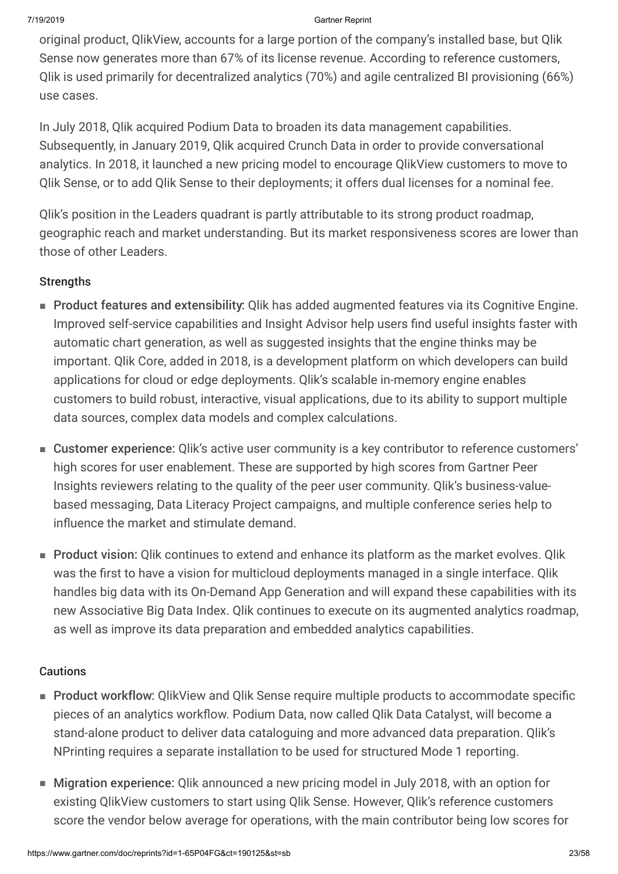original product, QlikView, accounts for a large portion of the company's installed base, but Qlik Sense now generates more than 67% of its license revenue. According to reference customers, Qlik is used primarily for decentralized analytics (70%) and agile centralized BI provisioning (66%) use cases.

In July 2018, Qlik acquired Podium Data to broaden its data management capabilities. Subsequently, in January 2019, Qlik acquired Crunch Data in order to provide conversational analytics. In 2018, it launched a new pricing model to encourage QlikView customers to move to Qlik Sense, or to add Qlik Sense to their deployments; it offers dual licenses for a nominal fee.

Qlik's position in the Leaders quadrant is partly attributable to its strong product roadmap, geographic reach and market understanding. But its market responsiveness scores are lower than those of other Leaders.

### **Strengths**

- Product features and extensibility: Qlik has added augmented features via its Cognitive Engine. Improved self-service capabilities and Insight Advisor help users find useful insights faster with automatic chart generation, as well as suggested insights that the engine thinks may be important. Qlik Core, added in 2018, is a development platform on which developers can build applications for cloud or edge deployments. Qlik's scalable in-memory engine enables customers to build robust, interactive, visual applications, due to its ability to support multiple data sources, complex data models and complex calculations.
- Customer experience: Qlik's active user community is a key contributor to reference customers' high scores for user enablement. These are supported by high scores from Gartner Peer Insights reviewers relating to the quality of the peer user community. Qlik's business-valuebased messaging, Data Literacy Project campaigns, and multiple conference series help to influence the market and stimulate demand.
- Product vision: Qlik continues to extend and enhance its platform as the market evolves. Qlik was the first to have a vision for multicloud deployments managed in a single interface. Qlik handles big data with its On-Demand App Generation and will expand these capabilities with its new Associative Big Data Index. Qlik continues to execute on its augmented analytics roadmap, as well as improve its data preparation and embedded analytics capabilities.

### Cautions

- Product workflow: QlikView and Qlik Sense require multiple products to accommodate specific pieces of an analytics workflow. Podium Data, now called Qlik Data Catalyst, will become a stand-alone product to deliver data cataloguing and more advanced data preparation. Qlik's NPrinting requires a separate installation to be used for structured Mode 1 reporting.
- Migration experience: Qlik announced a new pricing model in July 2018, with an option for existing QlikView customers to start using Qlik Sense. However, Qlik's reference customers score the vendor below average for operations, with the main contributor being low scores for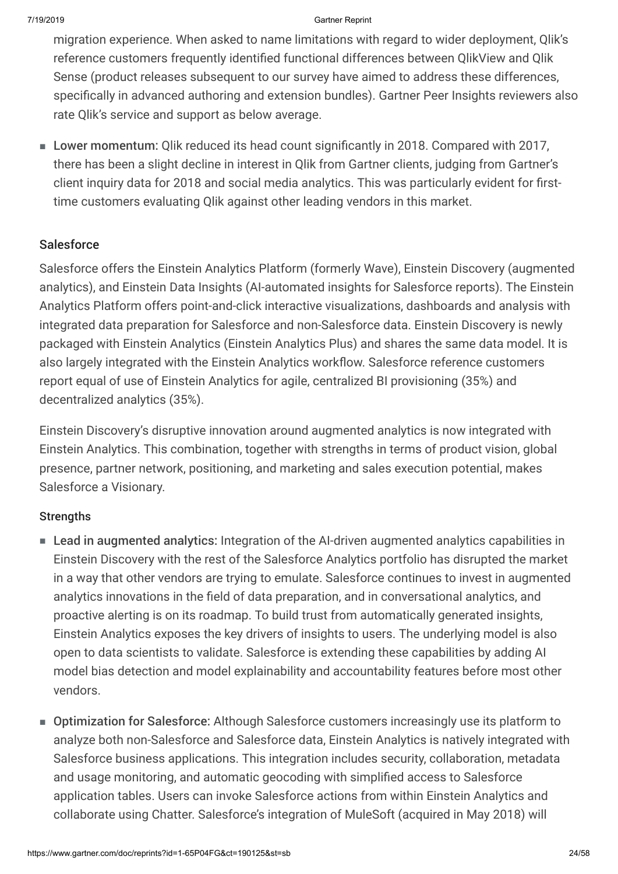migration experience. When asked to name limitations with regard to wider deployment, Qlik's reference customers frequently identified functional differences between QlikView and Qlik Sense (product releases subsequent to our survey have aimed to address these differences, specifically in advanced authoring and extension bundles). Gartner Peer Insights reviewers also rate Qlik's service and support as below average.

■ Lower momentum: Qlik reduced its head count significantly in 2018. Compared with 2017, there has been a slight decline in interest in Qlik from Gartner clients, judging from Gartner's client inquiry data for 2018 and social media analytics. This was particularly evident for firsttime customers evaluating Qlik against other leading vendors in this market.

### **Salesforce**

Salesforce offers the Einstein Analytics Platform (formerly Wave), Einstein Discovery (augmented analytics), and Einstein Data Insights (AI-automated insights for Salesforce reports). The Einstein Analytics Platform offers point-and-click interactive visualizations, dashboards and analysis with integrated data preparation for Salesforce and non-Salesforce data. Einstein Discovery is newly packaged with Einstein Analytics (Einstein Analytics Plus) and shares the same data model. It is also largely integrated with the Einstein Analytics workflow. Salesforce reference customers report equal of use of Einstein Analytics for agile, centralized BI provisioning (35%) and decentralized analytics (35%).

Einstein Discovery's disruptive innovation around augmented analytics is now integrated with Einstein Analytics. This combination, together with strengths in terms of product vision, global presence, partner network, positioning, and marketing and sales execution potential, makes Salesforce a Visionary.

### **Strengths**

- Lead in augmented analytics: Integration of the AI-driven augmented analytics capabilities in Einstein Discovery with the rest of the Salesforce Analytics portfolio has disrupted the market in a way that other vendors are trying to emulate. Salesforce continues to invest in augmented analytics innovations in the field of data preparation, and in conversational analytics, and proactive alerting is on its roadmap. To build trust from automatically generated insights, Einstein Analytics exposes the key drivers of insights to users. The underlying model is also open to data scientists to validate. Salesforce is extending these capabilities by adding AI model bias detection and model explainability and accountability features before most other vendors.
- Optimization for Salesforce: Although Salesforce customers increasingly use its platform to analyze both non-Salesforce and Salesforce data, Einstein Analytics is natively integrated with Salesforce business applications. This integration includes security, collaboration, metadata and usage monitoring, and automatic geocoding with simplified access to Salesforce application tables. Users can invoke Salesforce actions from within Einstein Analytics and collaborate using Chatter. Salesforce's integration of MuleSoft (acquired in May 2018) will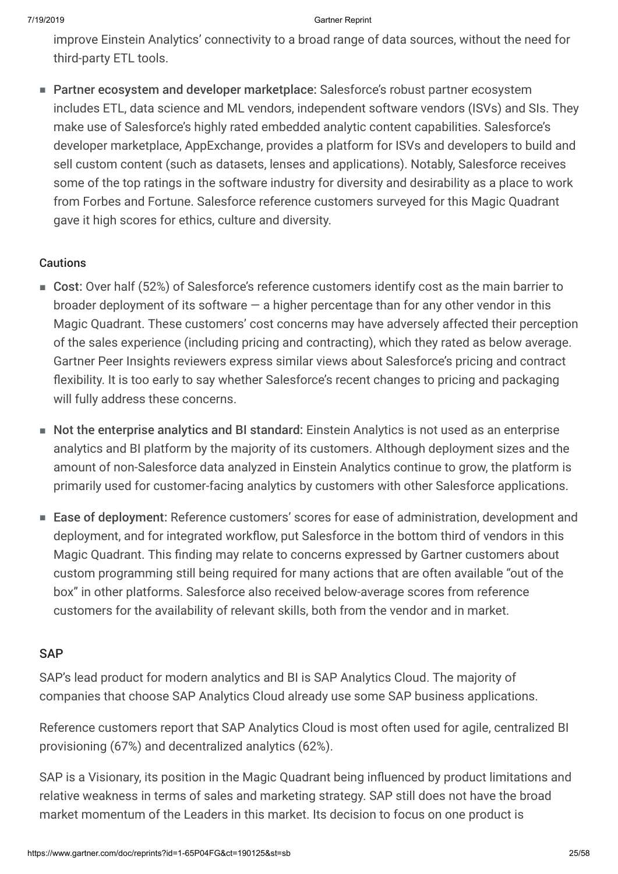improve Einstein Analytics' connectivity to a broad range of data sources, without the need for third-party ETL tools.

■ Partner ecosystem and developer marketplace: Salesforce's robust partner ecosystem includes ETL, data science and ML vendors, independent software vendors (ISVs) and SIs. They make use of Salesforce's highly rated embedded analytic content capabilities. Salesforce's developer marketplace, AppExchange, provides a platform for ISVs and developers to build and sell custom content (such as datasets, lenses and applications). Notably, Salesforce receives some of the top ratings in the software industry for diversity and desirability as a place to work from Forbes and Fortune. Salesforce reference customers surveyed for this Magic Quadrant gave it high scores for ethics, culture and diversity.

### **Cautions**

- Cost: Over half (52%) of Salesforce's reference customers identify cost as the main barrier to broader deployment of its software  $-$  a higher percentage than for any other vendor in this Magic Quadrant. These customers' cost concerns may have adversely affected their perception of the sales experience (including pricing and contracting), which they rated as below average. Gartner Peer Insights reviewers express similar views about Salesforce's pricing and contract flexibility. It is too early to say whether Salesforce's recent changes to pricing and packaging will fully address these concerns.
- Not the enterprise analytics and BI standard: Einstein Analytics is not used as an enterprise analytics and BI platform by the majority of its customers. Although deployment sizes and the amount of non-Salesforce data analyzed in Einstein Analytics continue to grow, the platform is primarily used for customer-facing analytics by customers with other Salesforce applications.
- Ease of deployment: Reference customers' scores for ease of administration, development and deployment, and for integrated workflow, put Salesforce in the bottom third of vendors in this Magic Quadrant. This finding may relate to concerns expressed by Gartner customers about custom programming still being required for many actions that are often available "out of the box" in other platforms. Salesforce also received below-average scores from reference customers for the availability of relevant skills, both from the vendor and in market.

### **SAP**

SAP's lead product for modern analytics and BI is SAP Analytics Cloud. The majority of companies that choose SAP Analytics Cloud already use some SAP business applications.

Reference customers report that SAP Analytics Cloud is most often used for agile, centralized BI provisioning (67%) and decentralized analytics (62%).

SAP is a Visionary, its position in the Magic Quadrant being influenced by product limitations and relative weakness in terms of sales and marketing strategy. SAP still does not have the broad market momentum of the Leaders in this market. Its decision to focus on one product is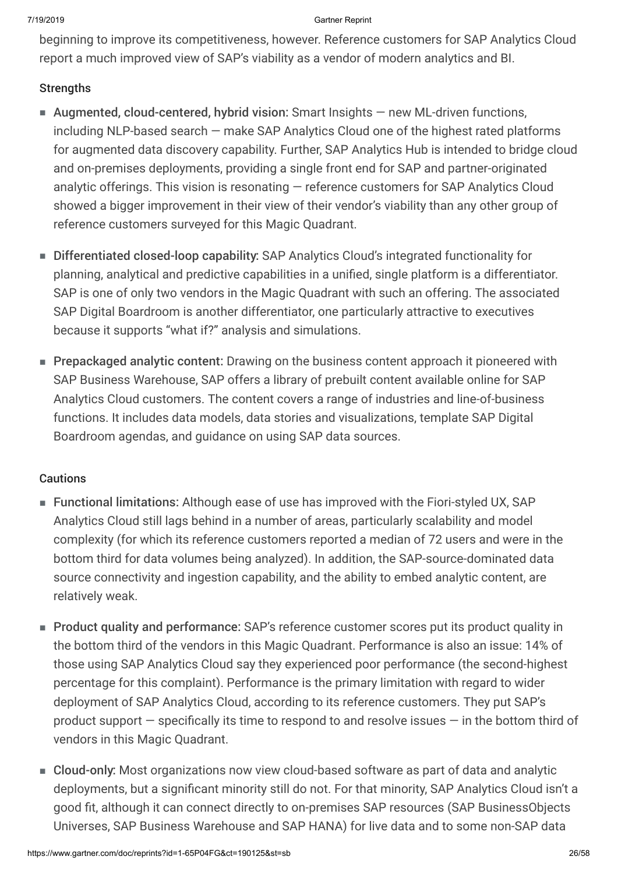beginning to improve its competitiveness, however. Reference customers for SAP Analytics Cloud report a much improved view of SAP's viability as a vendor of modern analytics and BI.

### **Strengths**

- Augmented, cloud-centered, hybrid vision: Smart Insights new ML-driven functions, including NLP-based search — make SAP Analytics Cloud one of the highest rated platforms for augmented data discovery capability. Further, SAP Analytics Hub is intended to bridge cloud and on-premises deployments, providing a single front end for SAP and partner-originated analytic offerings. This vision is resonating — reference customers for SAP Analytics Cloud showed a bigger improvement in their view of their vendor's viability than any other group of reference customers surveyed for this Magic Quadrant.
- Differentiated closed-loop capability: SAP Analytics Cloud's integrated functionality for planning, analytical and predictive capabilities in a unified, single platform is a differentiator. SAP is one of only two vendors in the Magic Quadrant with such an offering. The associated SAP Digital Boardroom is another differentiator, one particularly attractive to executives because it supports "what if?" analysis and simulations.
- Prepackaged analytic content: Drawing on the business content approach it pioneered with SAP Business Warehouse, SAP offers a library of prebuilt content available online for SAP Analytics Cloud customers. The content covers a range of industries and line-of-business functions. It includes data models, data stories and visualizations, template SAP Digital Boardroom agendas, and guidance on using SAP data sources.

### **Cautions**

- Functional limitations: Although ease of use has improved with the Fiori-styled UX, SAP Analytics Cloud still lags behind in a number of areas, particularly scalability and model complexity (for which its reference customers reported a median of 72 users and were in the bottom third for data volumes being analyzed). In addition, the SAP-source-dominated data source connectivity and ingestion capability, and the ability to embed analytic content, are relatively weak.
- Product quality and performance: SAP's reference customer scores put its product quality in the bottom third of the vendors in this Magic Quadrant. Performance is also an issue: 14% of those using SAP Analytics Cloud say they experienced poor performance (the second-highest percentage for this complaint). Performance is the primary limitation with regard to wider deployment of SAP Analytics Cloud, according to its reference customers. They put SAP's product support — specifically its time to respond to and resolve issues — in the bottom third of vendors in this Magic Quadrant.
- Cloud-only: Most organizations now view cloud-based software as part of data and analytic deployments, but a significant minority still do not. For that minority, SAP Analytics Cloud isn't a good fit, although it can connect directly to on-premises SAP resources (SAP BusinessObjects Universes, SAP Business Warehouse and SAP HANA) for live data and to some non-SAP data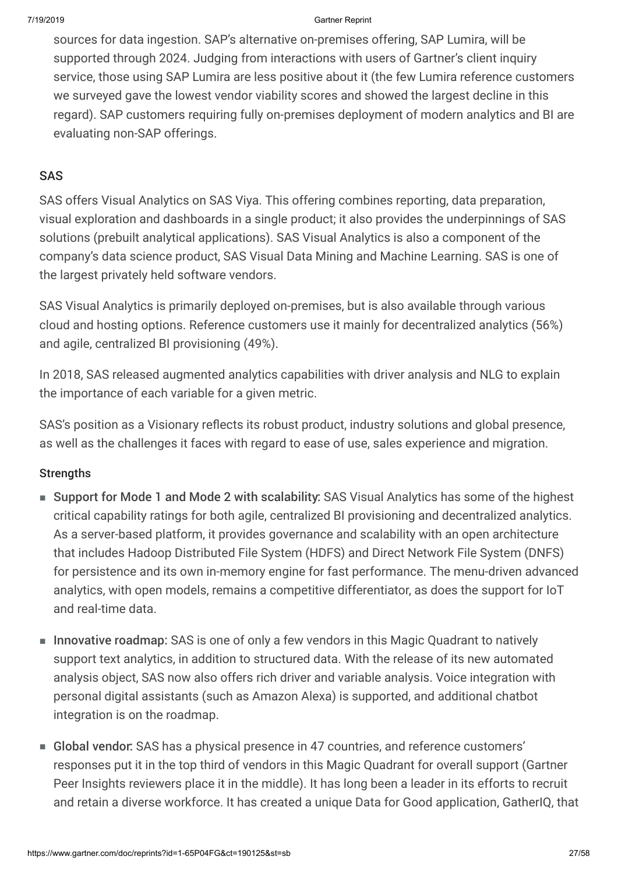sources for data ingestion. SAP's alternative on-premises offering, SAP Lumira, will be supported through 2024. Judging from interactions with users of Gartner's client inquiry service, those using SAP Lumira are less positive about it (the few Lumira reference customers we surveyed gave the lowest vendor viability scores and showed the largest decline in this regard). SAP customers requiring fully on-premises deployment of modern analytics and BI are evaluating non-SAP offerings.

### SAS

SAS offers Visual Analytics on SAS Viya. This offering combines reporting, data preparation, visual exploration and dashboards in a single product; it also provides the underpinnings of SAS solutions (prebuilt analytical applications). SAS Visual Analytics is also a component of the company's data science product, SAS Visual Data Mining and Machine Learning. SAS is one of the largest privately held software vendors.

SAS Visual Analytics is primarily deployed on-premises, but is also available through various cloud and hosting options. Reference customers use it mainly for decentralized analytics (56%) and agile, centralized BI provisioning (49%).

In 2018, SAS released augmented analytics capabilities with driver analysis and NLG to explain the importance of each variable for a given metric.

SAS's position as a Visionary reflects its robust product, industry solutions and global presence, as well as the challenges it faces with regard to ease of use, sales experience and migration.

### **Strengths**

- Support for Mode 1 and Mode 2 with scalability: SAS Visual Analytics has some of the highest critical capability ratings for both agile, centralized BI provisioning and decentralized analytics. As a server-based platform, it provides governance and scalability with an open architecture that includes Hadoop Distributed File System (HDFS) and Direct Network File System (DNFS) for persistence and its own in-memory engine for fast performance. The menu-driven advanced analytics, with open models, remains a competitive differentiator, as does the support for IoT and real-time data.
- Innovative roadmap: SAS is one of only a few vendors in this Magic Quadrant to natively support text analytics, in addition to structured data. With the release of its new automated analysis object, SAS now also offers rich driver and variable analysis. Voice integration with personal digital assistants (such as Amazon Alexa) is supported, and additional chatbot integration is on the roadmap.
- Global vendor: SAS has a physical presence in 47 countries, and reference customers' responses put it in the top third of vendors in this Magic Quadrant for overall support (Gartner Peer Insights reviewers place it in the middle). It has long been a leader in its efforts to recruit and retain a diverse workforce. It has created a unique Data for Good application, GatherIQ, that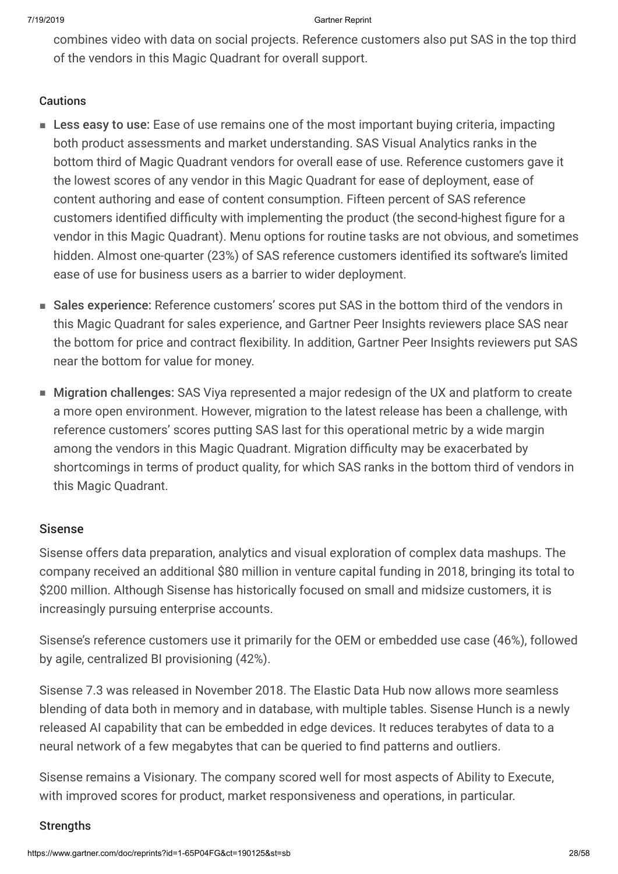combines video with data on social projects. Reference customers also put SAS in the top third of the vendors in this Magic Quadrant for overall support.

### **Cautions**

- Less easy to use: Ease of use remains one of the most important buying criteria, impacting both product assessments and market understanding. SAS Visual Analytics ranks in the bottom third of Magic Quadrant vendors for overall ease of use. Reference customers gave it the lowest scores of any vendor in this Magic Quadrant for ease of deployment, ease of content authoring and ease of content consumption. Fifteen percent of SAS reference customers identified difficulty with implementing the product (the second-highest figure for a vendor in this Magic Quadrant). Menu options for routine tasks are not obvious, and sometimes hidden. Almost one-quarter (23%) of SAS reference customers identified its software's limited ease of use for business users as a barrier to wider deployment.
- Sales experience: Reference customers' scores put SAS in the bottom third of the vendors in this Magic Quadrant for sales experience, and Gartner Peer Insights reviewers place SAS near the bottom for price and contract flexibility. In addition, Gartner Peer Insights reviewers put SAS near the bottom for value for money.
- Migration challenges: SAS Viya represented a major redesign of the UX and platform to create a more open environment. However, migration to the latest release has been a challenge, with reference customers' scores putting SAS last for this operational metric by a wide margin among the vendors in this Magic Quadrant. Migration difficulty may be exacerbated by shortcomings in terms of product quality, for which SAS ranks in the bottom third of vendors in this Magic Quadrant.

### Sisense

Sisense offers data preparation, analytics and visual exploration of complex data mashups. The company received an additional \$80 million in venture capital funding in 2018, bringing its total to \$200 million. Although Sisense has historically focused on small and midsize customers, it is increasingly pursuing enterprise accounts.

Sisense's reference customers use it primarily for the OEM or embedded use case (46%), followed by agile, centralized BI provisioning (42%).

Sisense 7.3 was released in November 2018. The Elastic Data Hub now allows more seamless blending of data both in memory and in database, with multiple tables. Sisense Hunch is a newly released AI capability that can be embedded in edge devices. It reduces terabytes of data to a neural network of a few megabytes that can be queried to find patterns and outliers.

Sisense remains a Visionary. The company scored well for most aspects of Ability to Execute, with improved scores for product, market responsiveness and operations, in particular.

### **Strengths**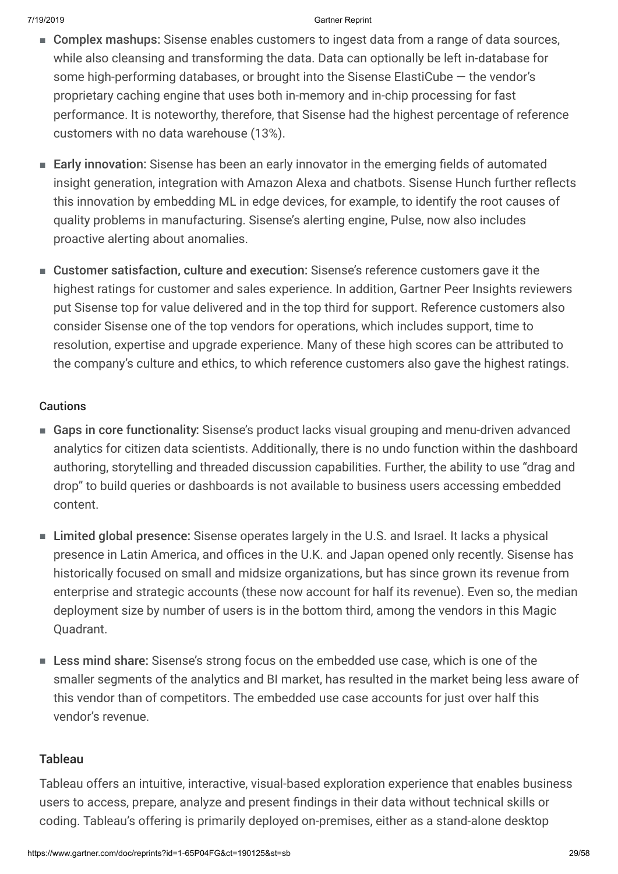- Complex mashups: Sisense enables customers to ingest data from a range of data sources, while also cleansing and transforming the data. Data can optionally be left in-database for some high-performing databases, or brought into the Sisense ElastiCube — the vendor's proprietary caching engine that uses both in-memory and in-chip processing for fast performance. It is noteworthy, therefore, that Sisense had the highest percentage of reference customers with no data warehouse (13%).
- Early innovation: Sisense has been an early innovator in the emerging fields of automated insight generation, integration with Amazon Alexa and chatbots. Sisense Hunch further reflects this innovation by embedding ML in edge devices, for example, to identify the root causes of quality problems in manufacturing. Sisense's alerting engine, Pulse, now also includes proactive alerting about anomalies.
- Customer satisfaction, culture and execution: Sisense's reference customers gave it the highest ratings for customer and sales experience. In addition, Gartner Peer Insights reviewers put Sisense top for value delivered and in the top third for support. Reference customers also consider Sisense one of the top vendors for operations, which includes support, time to resolution, expertise and upgrade experience. Many of these high scores can be attributed to the company's culture and ethics, to which reference customers also gave the highest ratings.

### **Cautions**

- Gaps in core functionality: Sisense's product lacks visual grouping and menu-driven advanced analytics for citizen data scientists. Additionally, there is no undo function within the dashboard authoring, storytelling and threaded discussion capabilities. Further, the ability to use "drag and drop" to build queries or dashboards is not available to business users accessing embedded content.
- Limited global presence: Sisense operates largely in the U.S. and Israel. It lacks a physical presence in Latin America, and offices in the U.K. and Japan opened only recently. Sisense has historically focused on small and midsize organizations, but has since grown its revenue from enterprise and strategic accounts (these now account for half its revenue). Even so, the median deployment size by number of users is in the bottom third, among the vendors in this Magic Quadrant.
- Less mind share: Sisense's strong focus on the embedded use case, which is one of the smaller segments of the analytics and BI market, has resulted in the market being less aware of this vendor than of competitors. The embedded use case accounts for just over half this vendor's revenue.

### Tableau

Tableau offers an intuitive, interactive, visual-based exploration experience that enables business users to access, prepare, analyze and present findings in their data without technical skills or coding. Tableau's offering is primarily deployed on-premises, either as a stand-alone desktop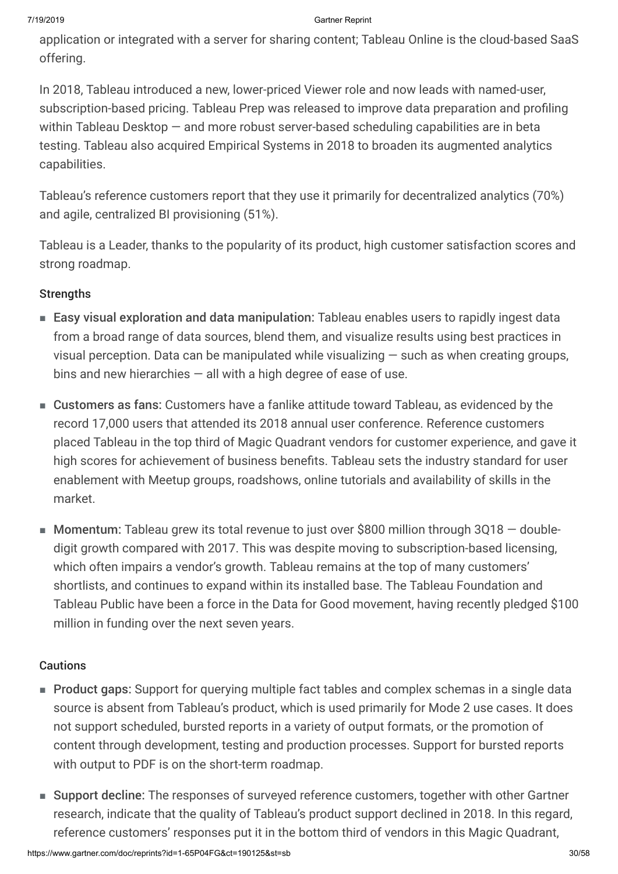application or integrated with a server for sharing content; Tableau Online is the cloud-based SaaS offering.

In 2018, Tableau introduced a new, lower-priced Viewer role and now leads with named-user, subscription-based pricing. Tableau Prep was released to improve data preparation and profiling within Tableau Desktop — and more robust server-based scheduling capabilities are in beta testing. Tableau also acquired Empirical Systems in 2018 to broaden its augmented analytics capabilities.

Tableau's reference customers report that they use it primarily for decentralized analytics (70%) and agile, centralized BI provisioning (51%).

Tableau is a Leader, thanks to the popularity of its product, high customer satisfaction scores and strong roadmap.

### **Strengths**

- Easy visual exploration and data manipulation: Tableau enables users to rapidly ingest data from a broad range of data sources, blend them, and visualize results using best practices in visual perception. Data can be manipulated while visualizing  $-$  such as when creating groups, bins and new hierarchies  $-$  all with a high degree of ease of use.
- Customers as fans: Customers have a fanlike attitude toward Tableau, as evidenced by the record 17,000 users that attended its 2018 annual user conference. Reference customers placed Tableau in the top third of Magic Quadrant vendors for customer experience, and gave it high scores for achievement of business benefits. Tableau sets the industry standard for user enablement with Meetup groups, roadshows, online tutorials and availability of skills in the market.
- Momentum: Tableau grew its total revenue to just over \$800 million through 3Q18 doubledigit growth compared with 2017. This was despite moving to subscription-based licensing, which often impairs a vendor's growth. Tableau remains at the top of many customers' shortlists, and continues to expand within its installed base. The Tableau Foundation and Tableau Public have been a force in the Data for Good movement, having recently pledged \$100 million in funding over the next seven years.

### Cautions

- Product gaps: Support for querying multiple fact tables and complex schemas in a single data source is absent from Tableau's product, which is used primarily for Mode 2 use cases. It does not support scheduled, bursted reports in a variety of output formats, or the promotion of content through development, testing and production processes. Support for bursted reports with output to PDF is on the short-term roadmap.
- Support decline: The responses of surveyed reference customers, together with other Gartner research, indicate that the quality of Tableau's product support declined in 2018. In this regard, reference customers' responses put it in the bottom third of vendors in this Magic Quadrant,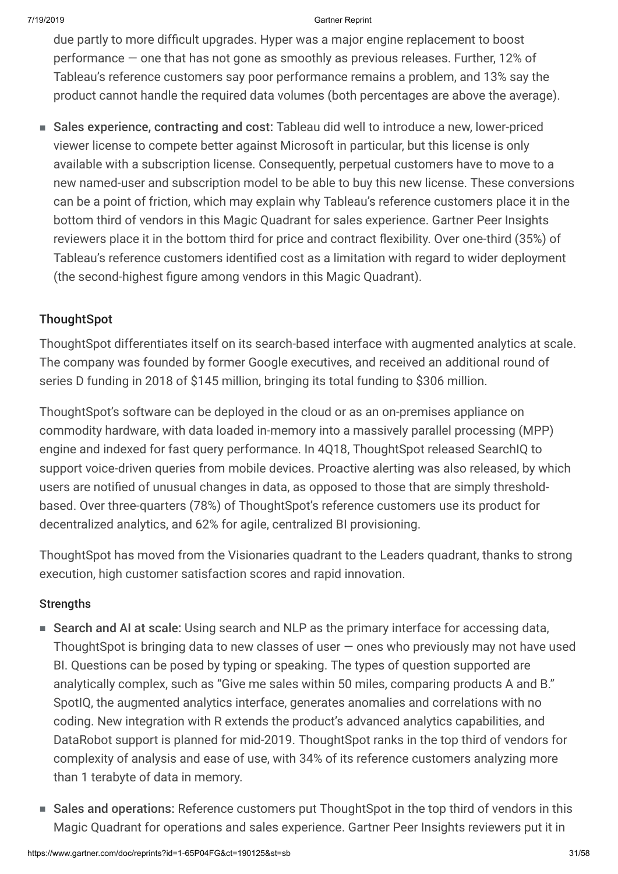due partly to more difficult upgrades. Hyper was a major engine replacement to boost performance — one that has not gone as smoothly as previous releases. Further, 12% of Tableau's reference customers say poor performance remains a problem, and 13% say the product cannot handle the required data volumes (both percentages are above the average).

■ Sales experience, contracting and cost: Tableau did well to introduce a new, lower-priced viewer license to compete better against Microsoft in particular, but this license is only available with a subscription license. Consequently, perpetual customers have to move to a new named-user and subscription model to be able to buy this new license. These conversions can be a point of friction, which may explain why Tableau's reference customers place it in the bottom third of vendors in this Magic Quadrant for sales experience. Gartner Peer Insights reviewers place it in the bottom third for price and contract flexibility. Over one-third (35%) of Tableau's reference customers identified cost as a limitation with regard to wider deployment (the second-highest figure among vendors in this Magic Quadrant).

### **ThoughtSpot**

ThoughtSpot differentiates itself on its search-based interface with augmented analytics at scale. The company was founded by former Google executives, and received an additional round of series D funding in 2018 of \$145 million, bringing its total funding to \$306 million.

ThoughtSpot's software can be deployed in the cloud or as an on-premises appliance on commodity hardware, with data loaded in-memory into a massively parallel processing (MPP) engine and indexed for fast query performance. In 4Q18, ThoughtSpot released SearchIQ to support voice-driven queries from mobile devices. Proactive alerting was also released, by which users are notified of unusual changes in data, as opposed to those that are simply thresholdbased. Over three-quarters (78%) of ThoughtSpot's reference customers use its product for decentralized analytics, and 62% for agile, centralized BI provisioning.

ThoughtSpot has moved from the Visionaries quadrant to the Leaders quadrant, thanks to strong execution, high customer satisfaction scores and rapid innovation.

### **Strengths**

- Search and AI at scale: Using search and NLP as the primary interface for accessing data, ThoughtSpot is bringing data to new classes of user — ones who previously may not have used BI. Questions can be posed by typing or speaking. The types of question supported are analytically complex, such as "Give me sales within 50 miles, comparing products A and B." SpotIQ, the augmented analytics interface, generates anomalies and correlations with no coding. New integration with R extends the product's advanced analytics capabilities, and DataRobot support is planned for mid-2019. ThoughtSpot ranks in the top third of vendors for complexity of analysis and ease of use, with 34% of its reference customers analyzing more than 1 terabyte of data in memory.
- Sales and operations: Reference customers put ThoughtSpot in the top third of vendors in this Magic Quadrant for operations and sales experience. Gartner Peer Insights reviewers put it in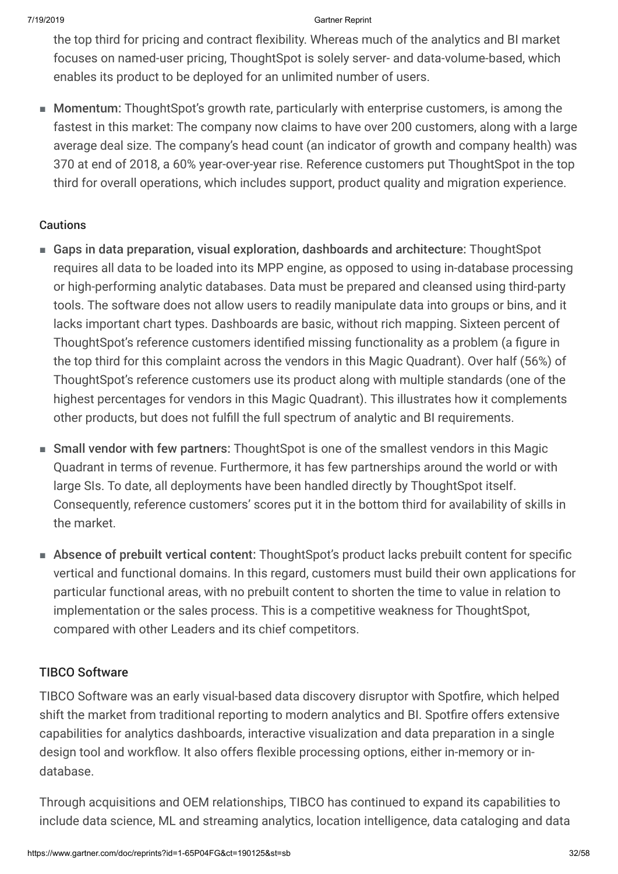the top third for pricing and contract flexibility. Whereas much of the analytics and BI market focuses on named-user pricing, ThoughtSpot is solely server- and data-volume-based, which enables its product to be deployed for an unlimited number of users.

■ Momentum: ThoughtSpot's growth rate, particularly with enterprise customers, is among the fastest in this market: The company now claims to have over 200 customers, along with a large average deal size. The company's head count (an indicator of growth and company health) was 370 at end of 2018, a 60% year-over-year rise. Reference customers put ThoughtSpot in the top third for overall operations, which includes support, product quality and migration experience.

### **Cautions**

- Gaps in data preparation, visual exploration, dashboards and architecture: ThoughtSpot requires all data to be loaded into its MPP engine, as opposed to using in-database processing or high-performing analytic databases. Data must be prepared and cleansed using third-party tools. The software does not allow users to readily manipulate data into groups or bins, and it lacks important chart types. Dashboards are basic, without rich mapping. Sixteen percent of ThoughtSpot's reference customers identified missing functionality as a problem (a figure in the top third for this complaint across the vendors in this Magic Quadrant). Over half (56%) of ThoughtSpot's reference customers use its product along with multiple standards (one of the highest percentages for vendors in this Magic Quadrant). This illustrates how it complements other products, but does not fulfill the full spectrum of analytic and BI requirements.
- Small vendor with few partners: ThoughtSpot is one of the smallest vendors in this Magic Quadrant in terms of revenue. Furthermore, it has few partnerships around the world or with large SIs. To date, all deployments have been handled directly by ThoughtSpot itself. Consequently, reference customers' scores put it in the bottom third for availability of skills in the market.
- Absence of prebuilt vertical content: ThoughtSpot's product lacks prebuilt content for specific vertical and functional domains. In this regard, customers must build their own applications for particular functional areas, with no prebuilt content to shorten the time to value in relation to implementation or the sales process. This is a competitive weakness for ThoughtSpot, compared with other Leaders and its chief competitors.

### TIBCO Software

TIBCO Software was an early visual-based data discovery disruptor with Spotfire, which helped shift the market from traditional reporting to modern analytics and BI. Spotfire offers extensive capabilities for analytics dashboards, interactive visualization and data preparation in a single design tool and workflow. It also offers flexible processing options, either in-memory or indatabase.

Through acquisitions and OEM relationships, TIBCO has continued to expand its capabilities to include data science, ML and streaming analytics, location intelligence, data cataloging and data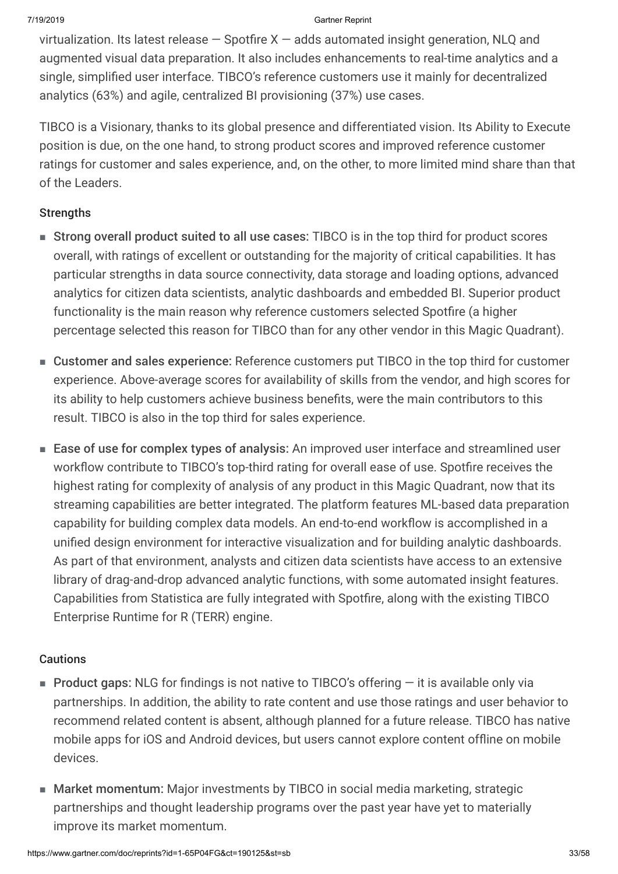virtualization. Its latest release  $-$  Spotfire X  $-$  adds automated insight generation, NLQ and augmented visual data preparation. It also includes enhancements to real-time analytics and a single, simplified user interface. TIBCO's reference customers use it mainly for decentralized analytics (63%) and agile, centralized BI provisioning (37%) use cases.

TIBCO is a Visionary, thanks to its global presence and differentiated vision. Its Ability to Execute position is due, on the one hand, to strong product scores and improved reference customer ratings for customer and sales experience, and, on the other, to more limited mind share than that of the Leaders.

### **Strengths**

- Strong overall product suited to all use cases: TIBCO is in the top third for product scores overall, with ratings of excellent or outstanding for the majority of critical capabilities. It has particular strengths in data source connectivity, data storage and loading options, advanced analytics for citizen data scientists, analytic dashboards and embedded BI. Superior product functionality is the main reason why reference customers selected Spotfire (a higher percentage selected this reason for TIBCO than for any other vendor in this Magic Quadrant).
- Customer and sales experience: Reference customers put TIBCO in the top third for customer experience. Above-average scores for availability of skills from the vendor, and high scores for its ability to help customers achieve business benefits, were the main contributors to this result. TIBCO is also in the top third for sales experience.
- Ease of use for complex types of analysis: An improved user interface and streamlined user workflow contribute to TIBCO's top-third rating for overall ease of use. Spotfire receives the highest rating for complexity of analysis of any product in this Magic Quadrant, now that its streaming capabilities are better integrated. The platform features ML-based data preparation capability for building complex data models. An end-to-end workflow is accomplished in a unified design environment for interactive visualization and for building analytic dashboards. As part of that environment, analysts and citizen data scientists have access to an extensive library of drag-and-drop advanced analytic functions, with some automated insight features. Capabilities from Statistica are fully integrated with Spotfire, along with the existing TIBCO Enterprise Runtime for R (TERR) engine.

### **Cautions**

- Product gaps: NLG for findings is not native to TIBCO's offering it is available only via partnerships. In addition, the ability to rate content and use those ratings and user behavior to recommend related content is absent, although planned for a future release. TIBCO has native mobile apps for iOS and Android devices, but users cannot explore content offline on mobile devices.
- Market momentum: Major investments by TIBCO in social media marketing, strategic partnerships and thought leadership programs over the past year have yet to materially improve its market momentum.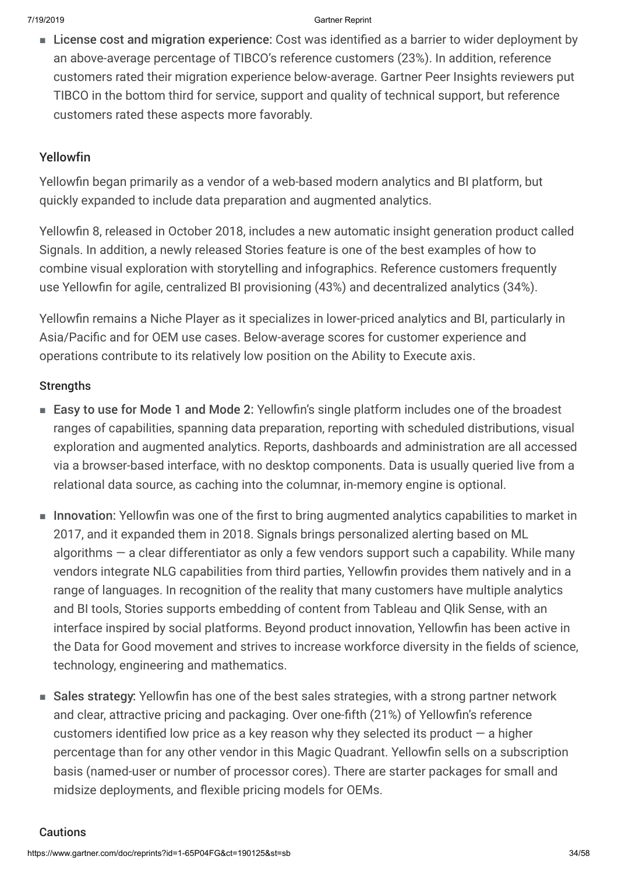■ License cost and migration experience: Cost was identified as a barrier to wider deployment by an above-average percentage of TIBCO's reference customers (23%). In addition, reference customers rated their migration experience below-average. Gartner Peer Insights reviewers put TIBCO in the bottom third for service, support and quality of technical support, but reference customers rated these aspects more favorably.

### Yellowfin

Yellowfin began primarily as a vendor of a web-based modern analytics and BI platform, but quickly expanded to include data preparation and augmented analytics.

Yellowfin 8, released in October 2018, includes a new automatic insight generation product called Signals. In addition, a newly released Stories feature is one of the best examples of how to combine visual exploration with storytelling and infographics. Reference customers frequently use Yellowfin for agile, centralized BI provisioning (43%) and decentralized analytics (34%).

Yellowfin remains a Niche Player as it specializes in lower-priced analytics and BI, particularly in Asia/Pacific and for OEM use cases. Below-average scores for customer experience and operations contribute to its relatively low position on the Ability to Execute axis.

### **Strengths**

- Easy to use for Mode 1 and Mode 2: Yellowfin's single platform includes one of the broadest ranges of capabilities, spanning data preparation, reporting with scheduled distributions, visual exploration and augmented analytics. Reports, dashboards and administration are all accessed via a browser-based interface, with no desktop components. Data is usually queried live from a relational data source, as caching into the columnar, in-memory engine is optional.
- Innovation: Yellowfin was one of the first to bring augmented analytics capabilities to market in 2017, and it expanded them in 2018. Signals brings personalized alerting based on ML algorithms — a clear differentiator as only a few vendors support such a capability. While many vendors integrate NLG capabilities from third parties, Yellowfin provides them natively and in a range of languages. In recognition of the reality that many customers have multiple analytics and BI tools, Stories supports embedding of content from Tableau and Qlik Sense, with an interface inspired by social platforms. Beyond product innovation, Yellowfin has been active in the Data for Good movement and strives to increase workforce diversity in the fields of science, technology, engineering and mathematics.
- Sales strategy: Yellowfin has one of the best sales strategies, with a strong partner network and clear, attractive pricing and packaging. Over one-fifth (21%) of Yellowfin's reference customers identified low price as a key reason why they selected its product  $-$  a higher percentage than for any other vendor in this Magic Quadrant. Yellowfin sells on a subscription basis (named-user or number of processor cores). There are starter packages for small and midsize deployments, and flexible pricing models for OEMs.

### Cautions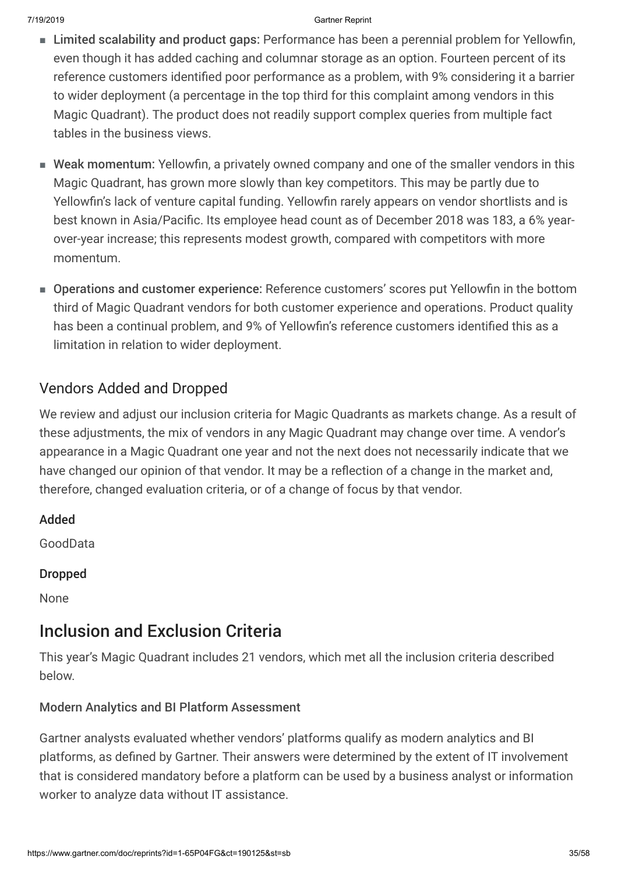- Limited scalability and product gaps: Performance has been a perennial problem for Yellowfin, even though it has added caching and columnar storage as an option. Fourteen percent of its reference customers identified poor performance as a problem, with 9% considering it a barrier to wider deployment (a percentage in the top third for this complaint among vendors in this Magic Quadrant). The product does not readily support complex queries from multiple fact tables in the business views.
- Weak momentum: Yellowfin, a privately owned company and one of the smaller vendors in this Magic Quadrant, has grown more slowly than key competitors. This may be partly due to Yellowfin's lack of venture capital funding. Yellowfin rarely appears on vendor shortlists and is best known in Asia/Pacific. Its employee head count as of December 2018 was 183, a 6% yearover-year increase; this represents modest growth, compared with competitors with more momentum.
- Operations and customer experience: Reference customers' scores put Yellowfin in the bottom third of Magic Quadrant vendors for both customer experience and operations. Product quality has been a continual problem, and 9% of Yellowfin's reference customers identified this as a limitation in relation to wider deployment.

## Vendors Added and Dropped

We review and adjust our inclusion criteria for Magic Quadrants as markets change. As a result of these adjustments, the mix of vendors in any Magic Quadrant may change over time. A vendor's appearance in a Magic Quadrant one year and not the next does not necessarily indicate that we have changed our opinion of that vendor. It may be a reflection of a change in the market and, therefore, changed evaluation criteria, or of a change of focus by that vendor.

Added

GoodData

Dropped

None

## Inclusion and Exclusion Criteria

This year's Magic Quadrant includes 21 vendors, which met all the inclusion criteria described below.

### Modern Analytics and BI Platform Assessment

Gartner analysts evaluated whether vendors' platforms qualify as modern analytics and BI platforms, as defined by Gartner. Their answers were determined by the extent of IT involvement that is considered mandatory before a platform can be used by a business analyst or information worker to analyze data without IT assistance.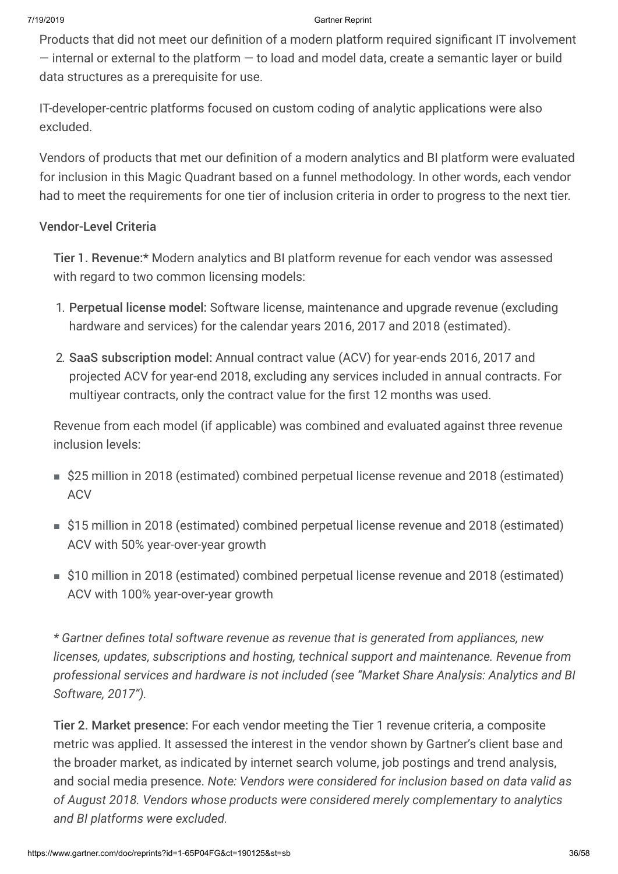Products that did not meet our definition of a modern platform required significant IT involvement  $-$  internal or external to the platform  $-$  to load and model data, create a semantic layer or build data structures as a prerequisite for use.

IT-developer-centric platforms focused on custom coding of analytic applications were also excluded.

Vendors of products that met our definition of a modern analytics and BI platform were evaluated for inclusion in this Magic Quadrant based on a funnel methodology. In other words, each vendor had to meet the requirements for one tier of inclusion criteria in order to progress to the next tier.

### Vendor-Level Criteria

Tier 1. Revenue:\* Modern analytics and BI platform revenue for each vendor was assessed with regard to two common licensing models:

- 1. Perpetual license model: Software license, maintenance and upgrade revenue (excluding hardware and services) for the calendar years 2016, 2017 and 2018 (estimated).
- 2. SaaS subscription model: Annual contract value (ACV) for year-ends 2016, 2017 and projected ACV for year-end 2018, excluding any services included in annual contracts. For multiyear contracts, only the contract value for the first 12 months was used.

Revenue from each model (if applicable) was combined and evaluated against three revenue inclusion levels:

- \$25 million in 2018 (estimated) combined perpetual license revenue and 2018 (estimated) **ACV**
- \$15 million in 2018 (estimated) combined perpetual license revenue and 2018 (estimated) ACV with 50% year-over-year growth
- \$10 million in 2018 (estimated) combined perpetual license revenue and 2018 (estimated) ACV with 100% year-over-year growth

*\* Gartner defines total software revenue as revenue that is generated from appliances, new licenses, updates, subscriptions and hosting, technical support and maintenance. Revenue from professional services and hardware is not included (see "Market Share Analysis: Analytics and BI Software, 2017").*

Tier 2. Market presence: For each vendor meeting the Tier 1 revenue criteria, a composite metric was applied. It assessed the interest in the vendor shown by Gartner's client base and the broader market, as indicated by internet search volume, job postings and trend analysis, and social media presence. *Note: Vendors were considered for inclusion based on data valid as of August 2018. Vendors whose products were considered merely complementary to analytics and BI platforms were excluded.*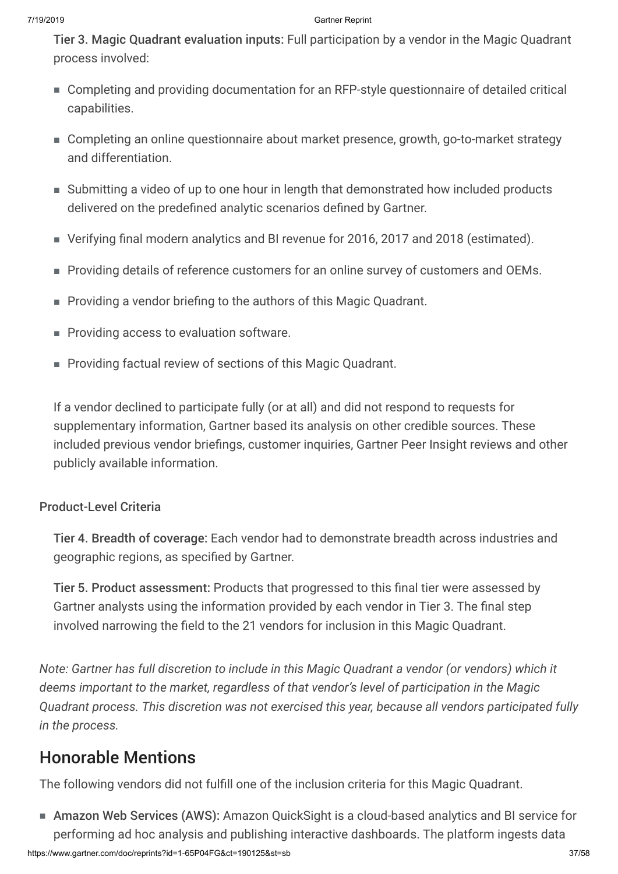Tier 3. Magic Quadrant evaluation inputs: Full participation by a vendor in the Magic Quadrant process involved:

- Completing and providing documentation for an RFP-style questionnaire of detailed critical capabilities.
- Completing an online questionnaire about market presence, growth, go-to-market strategy and differentiation.
- Submitting a video of up to one hour in length that demonstrated how included products delivered on the predefined analytic scenarios defined by Gartner.
- Verifying final modern analytics and BI revenue for 2016, 2017 and 2018 (estimated).
- Providing details of reference customers for an online survey of customers and OEMs.
- Providing a vendor briefing to the authors of this Magic Quadrant.
- Providing access to evaluation software.
- Providing factual review of sections of this Magic Quadrant.

If a vendor declined to participate fully (or at all) and did not respond to requests for supplementary information, Gartner based its analysis on other credible sources. These included previous vendor briefings, customer inquiries, Gartner Peer Insight reviews and other publicly available information.

## Product-Level Criteria

Tier 4. Breadth of coverage: Each vendor had to demonstrate breadth across industries and geographic regions, as specified by Gartner.

Tier 5. Product assessment: Products that progressed to this final tier were assessed by Gartner analysts using the information provided by each vendor in Tier 3. The final step involved narrowing the field to the 21 vendors for inclusion in this Magic Quadrant.

*Note: Gartner has full discretion to include in this Magic Quadrant a vendor (or vendors) which it deems important to the market, regardless of that vendor's level of participation in the Magic Quadrant process. This discretion was not exercised this year, because all vendors participated fully in the process.*

## Honorable Mentions

The following vendors did not fulfill one of the inclusion criteria for this Magic Quadrant.

■ Amazon Web Services (AWS): Amazon QuickSight is a cloud-based analytics and BI service for performing ad hoc analysis and publishing interactive dashboards. The platform ingests data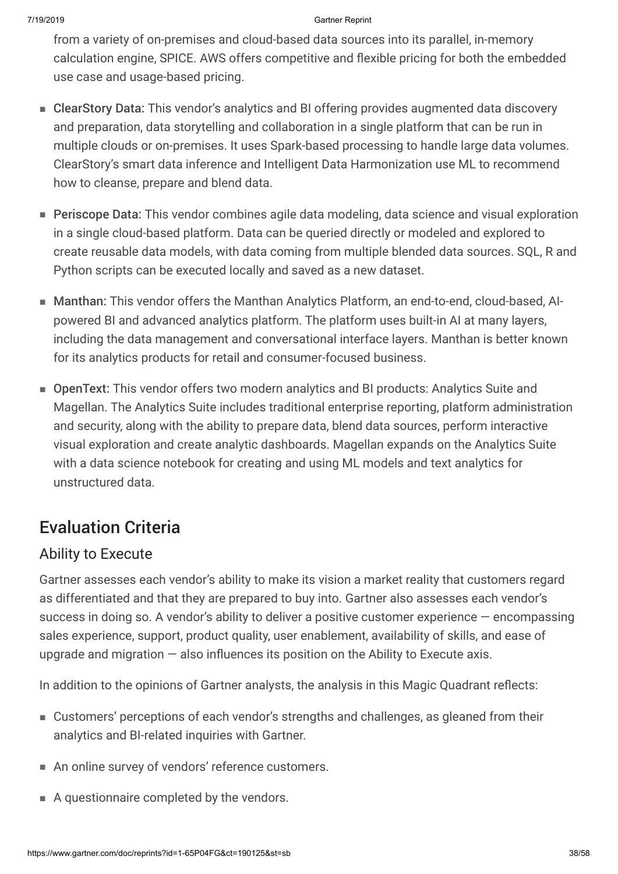from a variety of on-premises and cloud-based data sources into its parallel, in-memory calculation engine, SPICE. AWS offers competitive and flexible pricing for both the embedded use case and usage-based pricing.

- ClearStory Data: This vendor's analytics and BI offering provides augmented data discovery and preparation, data storytelling and collaboration in a single platform that can be run in multiple clouds or on-premises. It uses Spark-based processing to handle large data volumes. ClearStory's smart data inference and Intelligent Data Harmonization use ML to recommend how to cleanse, prepare and blend data.
- Periscope Data: This vendor combines agile data modeling, data science and visual exploration in a single cloud-based platform. Data can be queried directly or modeled and explored to create reusable data models, with data coming from multiple blended data sources. SQL, R and Python scripts can be executed locally and saved as a new dataset.
- Manthan: This vendor offers the Manthan Analytics Platform, an end-to-end, cloud-based, AIpowered BI and advanced analytics platform. The platform uses built-in AI at many layers, including the data management and conversational interface layers. Manthan is better known for its analytics products for retail and consumer-focused business.
- OpenText: This vendor offers two modern analytics and BI products: Analytics Suite and Magellan. The Analytics Suite includes traditional enterprise reporting, platform administration and security, along with the ability to prepare data, blend data sources, perform interactive visual exploration and create analytic dashboards. Magellan expands on the Analytics Suite with a data science notebook for creating and using ML models and text analytics for unstructured data.

## Evaluation Criteria

## Ability to Execute

Gartner assesses each vendor's ability to make its vision a market reality that customers regard as differentiated and that they are prepared to buy into. Gartner also assesses each vendor's success in doing so. A vendor's ability to deliver a positive customer experience — encompassing sales experience, support, product quality, user enablement, availability of skills, and ease of upgrade and migration  $-$  also influences its position on the Ability to Execute axis.

In addition to the opinions of Gartner analysts, the analysis in this Magic Quadrant reflects:

- Customers' perceptions of each vendor's strengths and challenges, as gleaned from their analytics and BI-related inquiries with Gartner.
- An online survey of vendors' reference customers.
- A questionnaire completed by the vendors.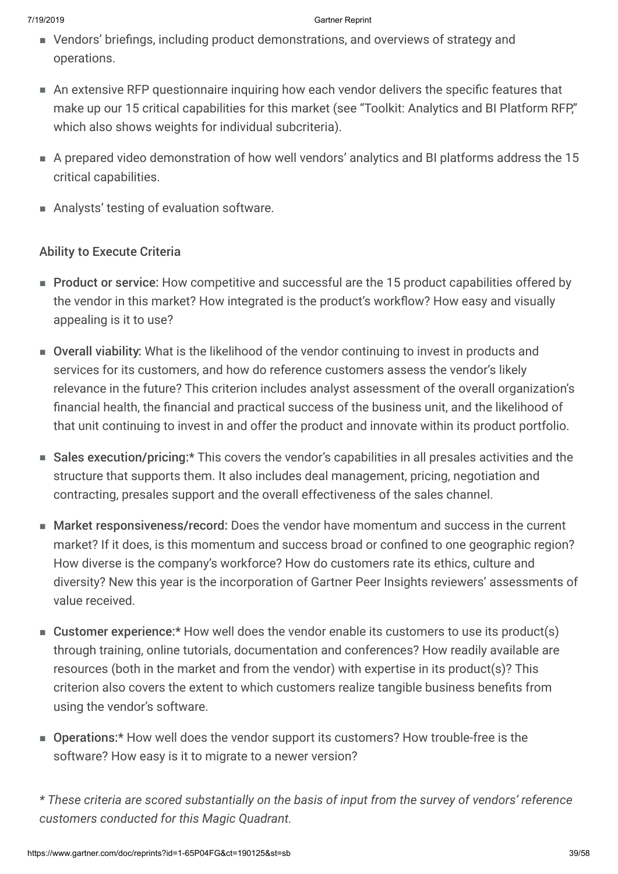- Vendors' briefings, including product demonstrations, and overviews of strategy and operations.
- An extensive RFP questionnaire inquiring how each vendor delivers the specific features that make up our 15 critical capabilities for this market (see "Toolkit: Analytics and BI Platform RFP," which also shows weights for individual subcriteria).
- A prepared video demonstration of how well vendors' analytics and BI platforms address the 15 critical capabilities.
- Analysts' testing of evaluation software.

### Ability to Execute Criteria

- Product or service: How competitive and successful are the 15 product capabilities offered by the vendor in this market? How integrated is the product's workflow? How easy and visually appealing is it to use?
- Overall viability: What is the likelihood of the vendor continuing to invest in products and services for its customers, and how do reference customers assess the vendor's likely relevance in the future? This criterion includes analyst assessment of the overall organization's financial health, the financial and practical success of the business unit, and the likelihood of that unit continuing to invest in and offer the product and innovate within its product portfolio.
- Sales execution/pricing:\* This covers the vendor's capabilities in all presales activities and the structure that supports them. It also includes deal management, pricing, negotiation and contracting, presales support and the overall effectiveness of the sales channel.
- Market responsiveness/record: Does the vendor have momentum and success in the current market? If it does, is this momentum and success broad or confined to one geographic region? How diverse is the company's workforce? How do customers rate its ethics, culture and diversity? New this year is the incorporation of Gartner Peer Insights reviewers' assessments of value received.
- Customer experience:\* How well does the vendor enable its customers to use its product(s) through training, online tutorials, documentation and conferences? How readily available are resources (both in the market and from the vendor) with expertise in its product(s)? This criterion also covers the extent to which customers realize tangible business benefits from using the vendor's software.
- Operations:\* How well does the vendor support its customers? How trouble-free is the software? How easy is it to migrate to a newer version?
- *\* These criteria are scored substantially on the basis of input from the survey of vendors' reference customers conducted for this Magic Quadrant.*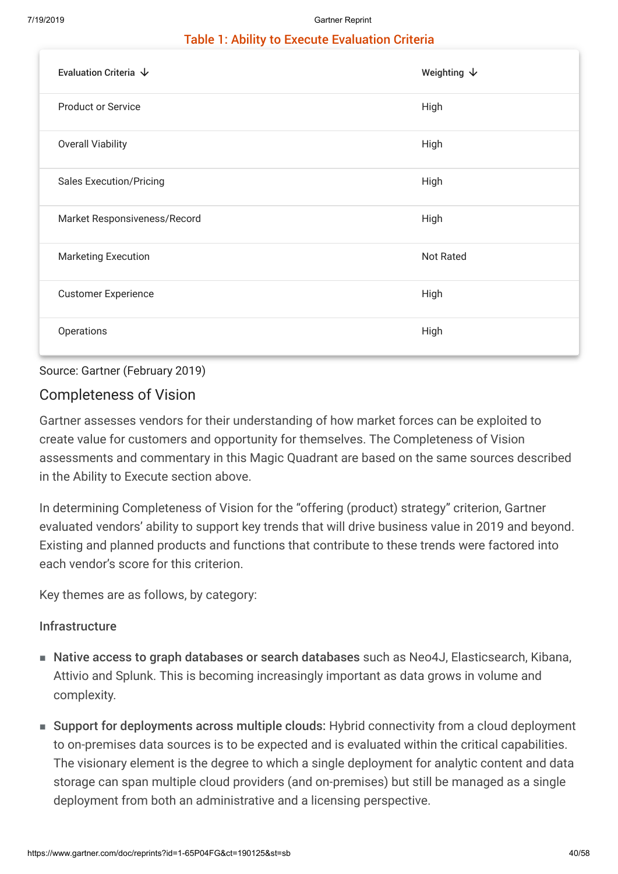### Table 1: Ability to Execute Evaluation Criteria

| Evaluation Criteria $\,\,\downarrow$ | Weighting $\,\,\downarrow$ |
|--------------------------------------|----------------------------|
| <b>Product or Service</b>            | High                       |
| <b>Overall Viability</b>             | High                       |
| <b>Sales Execution/Pricing</b>       | High                       |
| Market Responsiveness/Record         | High                       |
| <b>Marketing Execution</b>           | <b>Not Rated</b>           |
| <b>Customer Experience</b>           | High                       |
| Operations                           | High                       |

### Source: Gartner (February 2019)

### Completeness of Vision

Gartner assesses vendors for their understanding of how market forces can be exploited to create value for customers and opportunity for themselves. The Completeness of Vision assessments and commentary in this Magic Quadrant are based on the same sources described in the Ability to Execute section above.

In determining Completeness of Vision for the "offering (product) strategy" criterion, Gartner evaluated vendors' ability to support key trends that will drive business value in 2019 and beyond. Existing and planned products and functions that contribute to these trends were factored into each vendor's score for this criterion.

Key themes are as follows, by category:

### Infrastructure

- Native access to graph databases or search databases such as Neo4J, Elasticsearch, Kibana, Attivio and Splunk. This is becoming increasingly important as data grows in volume and complexity.
- Support for deployments across multiple clouds: Hybrid connectivity from a cloud deployment to on-premises data sources is to be expected and is evaluated within the critical capabilities. The visionary element is the degree to which a single deployment for analytic content and data storage can span multiple cloud providers (and on-premises) but still be managed as a single deployment from both an administrative and a licensing perspective.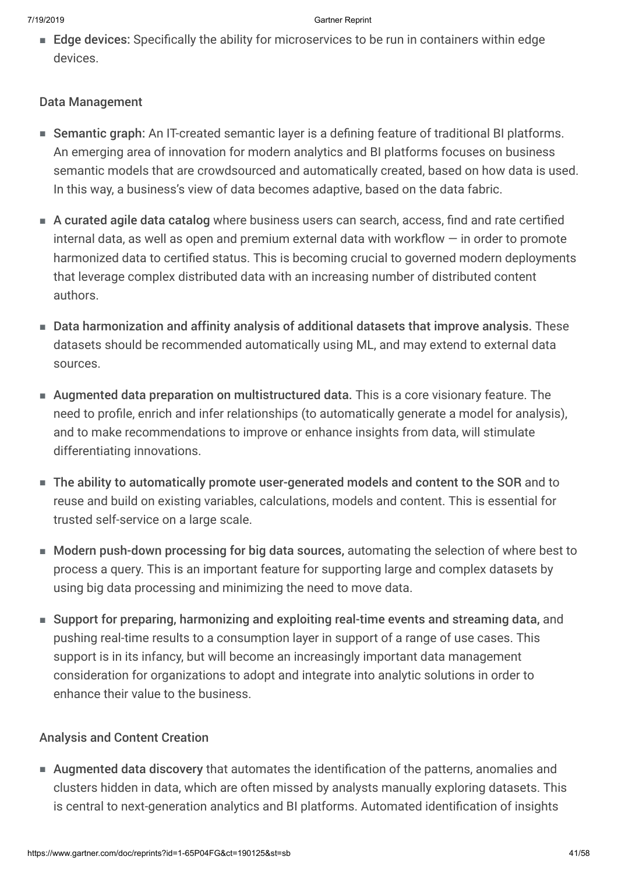■ Edge devices: Specifically the ability for microservices to be run in containers within edge devices.

### Data Management

- Semantic graph: An IT-created semantic layer is a defining feature of traditional BI platforms. An emerging area of innovation for modern analytics and BI platforms focuses on business semantic models that are crowdsourced and automatically created, based on how data is used. In this way, a business's view of data becomes adaptive, based on the data fabric.
- A curated agile data catalog where business users can search, access, find and rate certified internal data, as well as open and premium external data with workflow  $-$  in order to promote harmonized data to certified status. This is becoming crucial to governed modern deployments that leverage complex distributed data with an increasing number of distributed content authors.
- Data harmonization and affinity analysis of additional datasets that improve analysis. These datasets should be recommended automatically using ML, and may extend to external data sources.
- Augmented data preparation on multistructured data. This is a core visionary feature. The need to profile, enrich and infer relationships (to automatically generate a model for analysis), and to make recommendations to improve or enhance insights from data, will stimulate differentiating innovations.
- The ability to automatically promote user-generated models and content to the SOR and to reuse and build on existing variables, calculations, models and content. This is essential for trusted self-service on a large scale.
- Modern push-down processing for big data sources, automating the selection of where best to process a query. This is an important feature for supporting large and complex datasets by using big data processing and minimizing the need to move data.
- Support for preparing, harmonizing and exploiting real-time events and streaming data, and pushing real-time results to a consumption layer in support of a range of use cases. This support is in its infancy, but will become an increasingly important data management consideration for organizations to adopt and integrate into analytic solutions in order to enhance their value to the business.

### Analysis and Content Creation

■ Augmented data discovery that automates the identification of the patterns, anomalies and clusters hidden in data, which are often missed by analysts manually exploring datasets. This is central to next-generation analytics and BI platforms. Automated identification of insights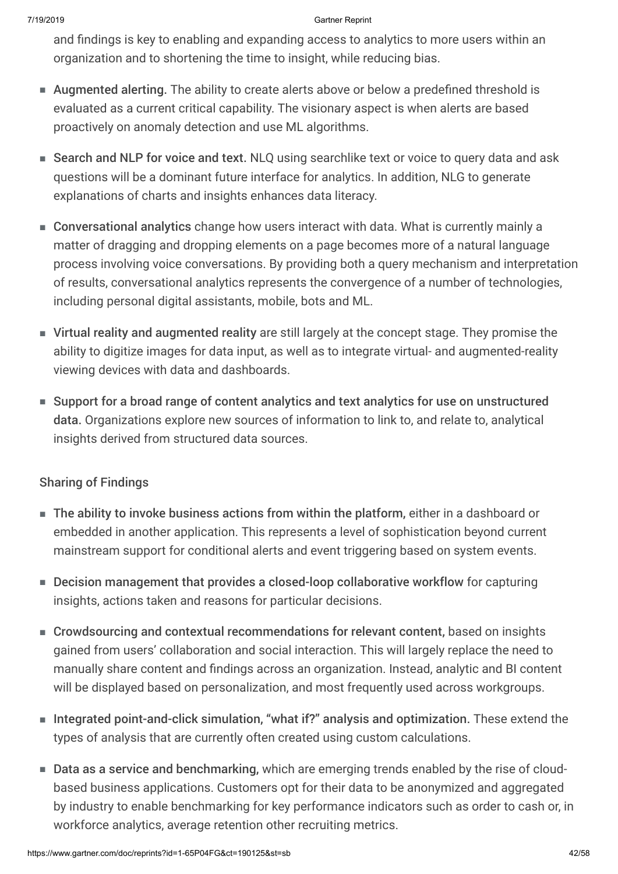and findings is key to enabling and expanding access to analytics to more users within an organization and to shortening the time to insight, while reducing bias.

- Augmented alerting. The ability to create alerts above or below a predefined threshold is evaluated as a current critical capability. The visionary aspect is when alerts are based proactively on anomaly detection and use ML algorithms.
- Search and NLP for voice and text. NLQ using searchlike text or voice to query data and ask questions will be a dominant future interface for analytics. In addition, NLG to generate explanations of charts and insights enhances data literacy.
- Conversational analytics change how users interact with data. What is currently mainly a matter of dragging and dropping elements on a page becomes more of a natural language process involving voice conversations. By providing both a query mechanism and interpretation of results, conversational analytics represents the convergence of a number of technologies, including personal digital assistants, mobile, bots and ML.
- Virtual reality and augmented reality are still largely at the concept stage. They promise the ability to digitize images for data input, as well as to integrate virtual- and augmented-reality viewing devices with data and dashboards.
- Support for a broad range of content analytics and text analytics for use on unstructured data. Organizations explore new sources of information to link to, and relate to, analytical insights derived from structured data sources.

### Sharing of Findings

- The ability to invoke business actions from within the platform, either in a dashboard or embedded in another application. This represents a level of sophistication beyond current mainstream support for conditional alerts and event triggering based on system events.
- Decision management that provides a closed-loop collaborative workflow for capturing insights, actions taken and reasons for particular decisions.
- Crowdsourcing and contextual recommendations for relevant content, based on insights gained from users' collaboration and social interaction. This will largely replace the need to manually share content and findings across an organization. Instead, analytic and BI content will be displayed based on personalization, and most frequently used across workgroups.
- Integrated point-and-click simulation, "what if?" analysis and optimization. These extend the types of analysis that are currently often created using custom calculations.
- Data as a service and benchmarking, which are emerging trends enabled by the rise of cloudbased business applications. Customers opt for their data to be anonymized and aggregated by industry to enable benchmarking for key performance indicators such as order to cash or, in workforce analytics, average retention other recruiting metrics.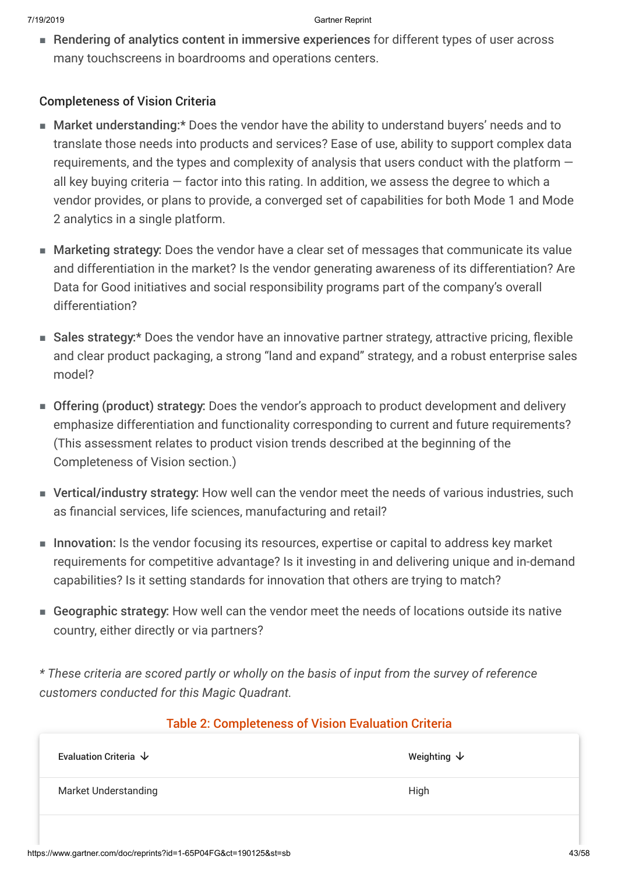■ Rendering of analytics content in immersive experiences for different types of user across many touchscreens in boardrooms and operations centers.

### Completeness of Vision Criteria

- Market understanding:\* Does the vendor have the ability to understand buyers' needs and to translate those needs into products and services? Ease of use, ability to support complex data requirements, and the types and complexity of analysis that users conduct with the platform  $$ all key buying criteria  $-$  factor into this rating. In addition, we assess the degree to which a vendor provides, or plans to provide, a converged set of capabilities for both Mode 1 and Mode 2 analytics in a single platform.
- Marketing strategy: Does the vendor have a clear set of messages that communicate its value and differentiation in the market? Is the vendor generating awareness of its differentiation? Are Data for Good initiatives and social responsibility programs part of the company's overall differentiation?
- Sales strategy:\* Does the vendor have an innovative partner strategy, attractive pricing, flexible and clear product packaging, a strong "land and expand" strategy, and a robust enterprise sales model?
- Offering (product) strategy: Does the vendor's approach to product development and delivery emphasize differentiation and functionality corresponding to current and future requirements? (This assessment relates to product vision trends described at the beginning of the Completeness of Vision section.)
- Vertical/industry strategy: How well can the vendor meet the needs of various industries, such as financial services, life sciences, manufacturing and retail?
- Innovation: Is the vendor focusing its resources, expertise or capital to address key market requirements for competitive advantage? Is it investing in and delivering unique and in-demand capabilities? Is it setting standards for innovation that others are trying to match?
- Geographic strategy: How well can the vendor meet the needs of locations outside its native country, either directly or via partners?

*\* These criteria are scored partly or wholly on the basis of input from the survey of reference customers conducted for this Magic Quadrant.*

### Table 2: Completeness of Vision Evaluation Criteria

| Evaluation Criteria $\downarrow$ | Weighting $\psi$ |
|----------------------------------|------------------|
| <b>Market Understanding</b>      | High             |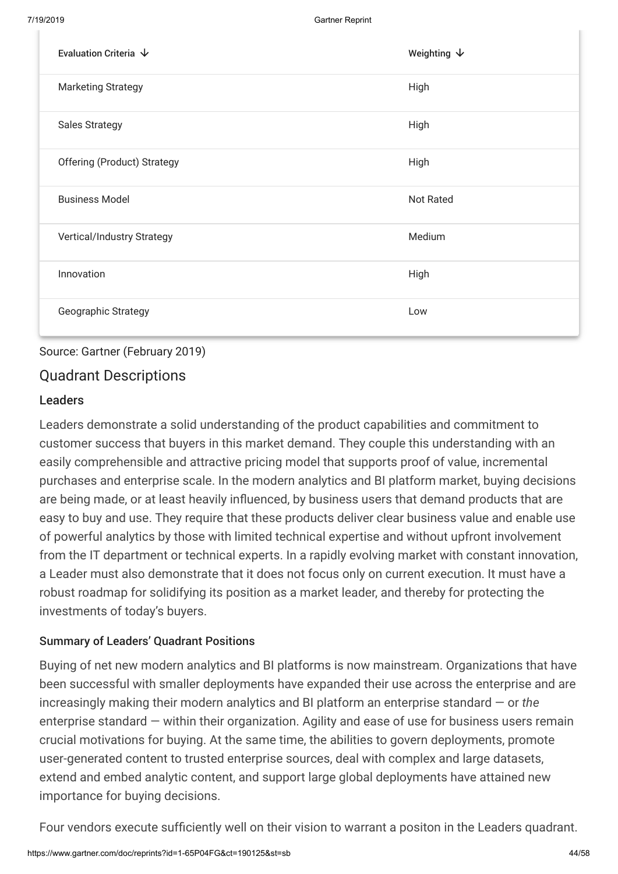| Evaluation Criteria $\,\,\downarrow$ | Weighting $\downarrow$ |
|--------------------------------------|------------------------|
| <b>Marketing Strategy</b>            | High                   |
| <b>Sales Strategy</b>                | High                   |
| <b>Offering (Product) Strategy</b>   | High                   |
| <b>Business Model</b>                | <b>Not Rated</b>       |
| Vertical/Industry Strategy           | Medium                 |
| Innovation                           | High                   |
| Geographic Strategy                  | Low                    |

### Source: Gartner (February 2019)

### Quadrant Descriptions

### Leaders

Leaders demonstrate a solid understanding of the product capabilities and commitment to customer success that buyers in this market demand. They couple this understanding with an easily comprehensible and attractive pricing model that supports proof of value, incremental purchases and enterprise scale. In the modern analytics and BI platform market, buying decisions are being made, or at least heavily influenced, by business users that demand products that are easy to buy and use. They require that these products deliver clear business value and enable use of powerful analytics by those with limited technical expertise and without upfront involvement from the IT department or technical experts. In a rapidly evolving market with constant innovation, a Leader must also demonstrate that it does not focus only on current execution. It must have a robust roadmap for solidifying its position as a market leader, and thereby for protecting the investments of today's buyers.

### Summary of Leaders' Quadrant Positions

Buying of net new modern analytics and BI platforms is now mainstream. Organizations that have been successful with smaller deployments have expanded their use across the enterprise and are increasingly making their modern analytics and BI platform an enterprise standard — or *the* enterprise standard — within their organization. Agility and ease of use for business users remain crucial motivations for buying. At the same time, the abilities to govern deployments, promote user-generated content to trusted enterprise sources, deal with complex and large datasets, extend and embed analytic content, and support large global deployments have attained new importance for buying decisions.

Four vendors execute sufficiently well on their vision to warrant a positon in the Leaders quadrant.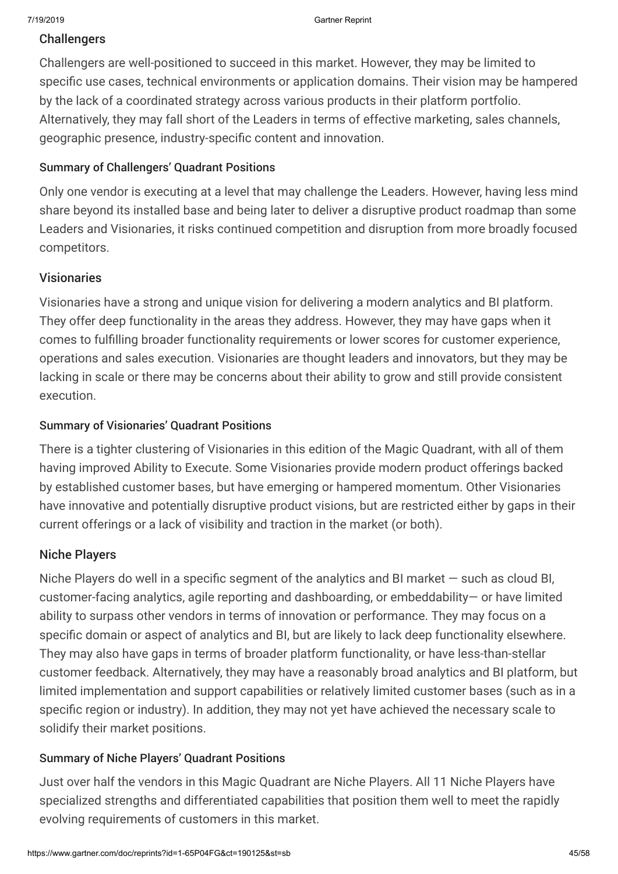### **Challengers**

Challengers are well-positioned to succeed in this market. However, they may be limited to specific use cases, technical environments or application domains. Their vision may be hampered by the lack of a coordinated strategy across various products in their platform portfolio. Alternatively, they may fall short of the Leaders in terms of effective marketing, sales channels, geographic presence, industry-specific content and innovation.

### Summary of Challengers' Quadrant Positions

Only one vendor is executing at a level that may challenge the Leaders. However, having less mind share beyond its installed base and being later to deliver a disruptive product roadmap than some Leaders and Visionaries, it risks continued competition and disruption from more broadly focused competitors.

### Visionaries

Visionaries have a strong and unique vision for delivering a modern analytics and BI platform. They offer deep functionality in the areas they address. However, they may have gaps when it comes to fulfilling broader functionality requirements or lower scores for customer experience, operations and sales execution. Visionaries are thought leaders and innovators, but they may be lacking in scale or there may be concerns about their ability to grow and still provide consistent execution.

### Summary of Visionaries' Quadrant Positions

There is a tighter clustering of Visionaries in this edition of the Magic Quadrant, with all of them having improved Ability to Execute. Some Visionaries provide modern product offerings backed by established customer bases, but have emerging or hampered momentum. Other Visionaries have innovative and potentially disruptive product visions, but are restricted either by gaps in their current offerings or a lack of visibility and traction in the market (or both).

### Niche Players

Niche Players do well in a specific segment of the analytics and BI market — such as cloud BI, customer-facing analytics, agile reporting and dashboarding, or embeddability— or have limited ability to surpass other vendors in terms of innovation or performance. They may focus on a specific domain or aspect of analytics and BI, but are likely to lack deep functionality elsewhere. They may also have gaps in terms of broader platform functionality, or have less-than-stellar customer feedback. Alternatively, they may have a reasonably broad analytics and BI platform, but limited implementation and support capabilities or relatively limited customer bases (such as in a specific region or industry). In addition, they may not yet have achieved the necessary scale to solidify their market positions.

### Summary of Niche Players' Quadrant Positions

Just over half the vendors in this Magic Quadrant are Niche Players. All 11 Niche Players have specialized strengths and differentiated capabilities that position them well to meet the rapidly evolving requirements of customers in this market.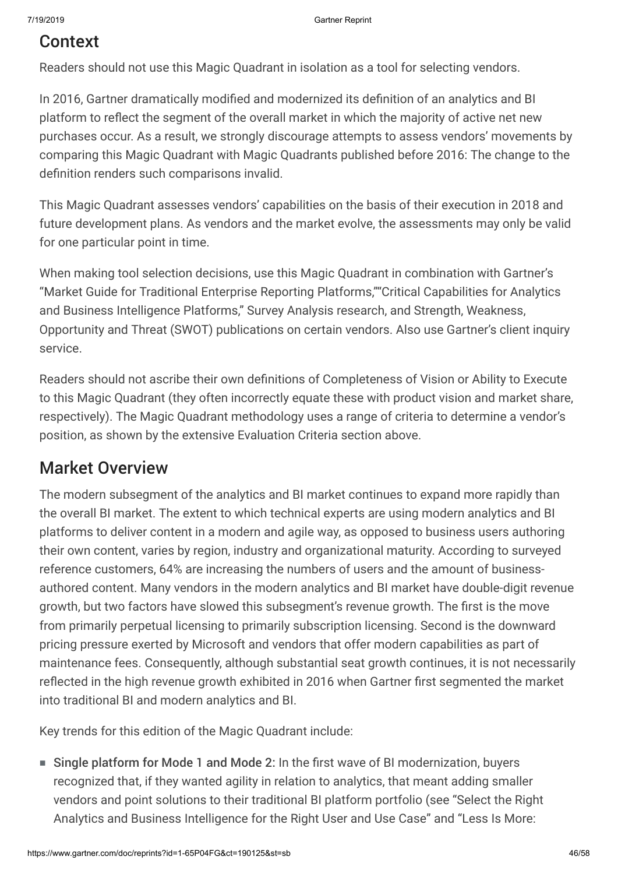## Context

Readers should not use this Magic Quadrant in isolation as a tool for selecting vendors.

In 2016, Gartner dramatically modified and modernized its definition of an analytics and BI platform to reflect the segment of the overall market in which the majority of active net new purchases occur. As a result, we strongly discourage attempts to assess vendors' movements by comparing this Magic Quadrant with Magic Quadrants published before 2016: The change to the definition renders such comparisons invalid.

This Magic Quadrant assesses vendors' capabilities on the basis of their execution in 2018 and future development plans. As vendors and the market evolve, the assessments may only be valid for one particular point in time.

When making tool selection decisions, use this Magic Quadrant in combination with Gartner's "Market Guide for Traditional Enterprise Reporting Platforms,""Critical Capabilities for Analytics and Business Intelligence Platforms," Survey Analysis research, and Strength, Weakness, Opportunity and Threat (SWOT) publications on certain vendors. Also use Gartner's client inquiry service.

Readers should not ascribe their own definitions of Completeness of Vision or Ability to Execute to this Magic Quadrant (they often incorrectly equate these with product vision and market share, respectively). The Magic Quadrant methodology uses a range of criteria to determine a vendor's position, as shown by the extensive Evaluation Criteria section above.

## Market Overview

The modern subsegment of the analytics and BI market continues to expand more rapidly than the overall BI market. The extent to which technical experts are using modern analytics and BI platforms to deliver content in a modern and agile way, as opposed to business users authoring their own content, varies by region, industry and organizational maturity. According to surveyed reference customers, 64% are increasing the numbers of users and the amount of businessauthored content. Many vendors in the modern analytics and BI market have double-digit revenue growth, but two factors have slowed this subsegment's revenue growth. The first is the move from primarily perpetual licensing to primarily subscription licensing. Second is the downward pricing pressure exerted by Microsoft and vendors that offer modern capabilities as part of maintenance fees. Consequently, although substantial seat growth continues, it is not necessarily reflected in the high revenue growth exhibited in 2016 when Gartner first segmented the market into traditional BI and modern analytics and BI.

Key trends for this edition of the Magic Quadrant include:

■ Single platform for Mode 1 and Mode 2: In the first wave of BI modernization, buyers recognized that, if they wanted agility in relation to analytics, that meant adding smaller vendors and point solutions to their traditional BI platform portfolio (see "Select the Right Analytics and Business Intelligence for the Right User and Use Case" and "Less Is More: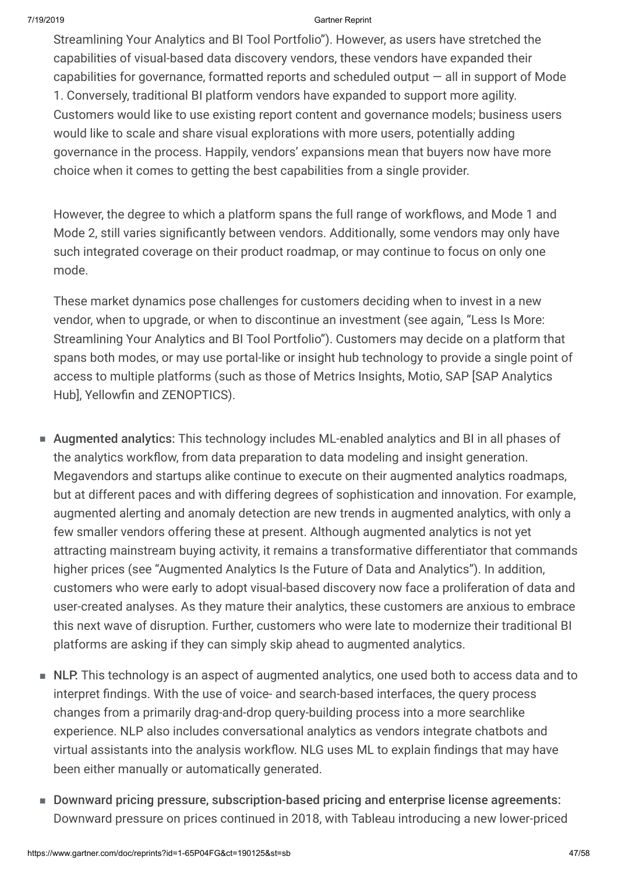Streamlining Your Analytics and BI Tool Portfolio"). However, as users have stretched the capabilities of visual-based data discovery vendors, these vendors have expanded their capabilities for governance, formatted reports and scheduled output  $-$  all in support of Mode 1. Conversely, traditional BI platform vendors have expanded to support more agility. Customers would like to use existing report content and governance models; business users would like to scale and share visual explorations with more users, potentially adding governance in the process. Happily, vendors' expansions mean that buyers now have more choice when it comes to getting the best capabilities from a single provider.

However, the degree to which a platform spans the full range of workflows, and Mode 1 and Mode 2, still varies significantly between vendors. Additionally, some vendors may only have such integrated coverage on their product roadmap, or may continue to focus on only one mode.

These market dynamics pose challenges for customers deciding when to invest in a new vendor, when to upgrade, or when to discontinue an investment (see again, "Less Is More: Streamlining Your Analytics and BI Tool Portfolio"). Customers may decide on a platform that spans both modes, or may use portal-like or insight hub technology to provide a single point of access to multiple platforms (such as those of Metrics Insights, Motio, SAP [SAP Analytics Hub], Yellowfin and ZENOPTICS).

- Augmented analytics: This technology includes ML-enabled analytics and BI in all phases of the analytics workflow, from data preparation to data modeling and insight generation. Megavendors and startups alike continue to execute on their augmented analytics roadmaps, but at different paces and with differing degrees of sophistication and innovation. For example, augmented alerting and anomaly detection are new trends in augmented analytics, with only a few smaller vendors offering these at present. Although augmented analytics is not yet attracting mainstream buying activity, it remains a transformative differentiator that commands higher prices (see "Augmented Analytics Is the Future of Data and Analytics"). In addition, customers who were early to adopt visual-based discovery now face a proliferation of data and user-created analyses. As they mature their analytics, these customers are anxious to embrace this next wave of disruption. Further, customers who were late to modernize their traditional BI platforms are asking if they can simply skip ahead to augmented analytics.
- NLP. This technology is an aspect of augmented analytics, one used both to access data and to interpret findings. With the use of voice- and search-based interfaces, the query process changes from a primarily drag-and-drop query-building process into a more searchlike experience. NLP also includes conversational analytics as vendors integrate chatbots and virtual assistants into the analysis workflow. NLG uses ML to explain findings that may have been either manually or automatically generated.
- Downward pricing pressure, subscription-based pricing and enterprise license agreements: Downward pressure on prices continued in 2018, with Tableau introducing a new lower-priced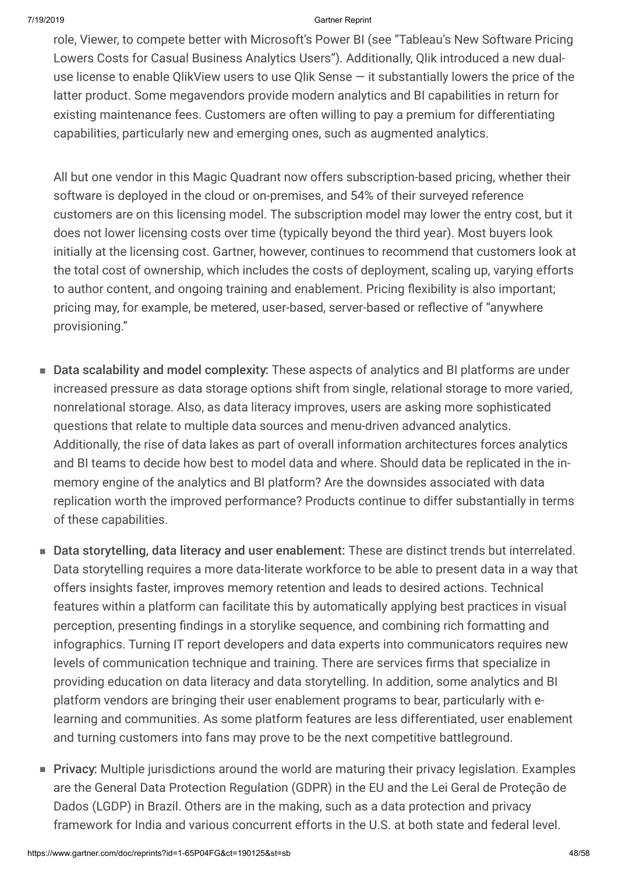role, Viewer, to compete better with Microsoft's Power BI (see "Tableau's New Software Pricing Lowers Costs for Casual Business Analytics Users"). Additionally, Qlik introduced a new dualuse license to enable QlikView users to use Qlik Sense — it substantially lowers the price of the latter product. Some megavendors provide modern analytics and BI capabilities in return for existing maintenance fees. Customers are often willing to pay a premium for differentiating capabilities, particularly new and emerging ones, such as augmented analytics.

All but one vendor in this Magic Quadrant now offers subscription-based pricing, whether their software is deployed in the cloud or on-premises, and 54% of their surveyed reference customers are on this licensing model. The subscription model may lower the entry cost, but it does not lower licensing costs over time (typically beyond the third year). Most buyers look initially at the licensing cost. Gartner, however, continues to recommend that customers look at the total cost of ownership, which includes the costs of deployment, scaling up, varying efforts to author content, and ongoing training and enablement. Pricing flexibility is also important; pricing may, for example, be metered, user-based, server-based or reflective of "anywhere provisioning."

- Data scalability and model complexity: These aspects of analytics and BI platforms are under increased pressure as data storage options shift from single, relational storage to more varied, nonrelational storage. Also, as data literacy improves, users are asking more sophisticated questions that relate to multiple data sources and menu-driven advanced analytics. Additionally, the rise of data lakes as part of overall information architectures forces analytics and BI teams to decide how best to model data and where. Should data be replicated in the inmemory engine of the analytics and BI platform? Are the downsides associated with data replication worth the improved performance? Products continue to differ substantially in terms of these capabilities.
- Data storytelling, data literacy and user enablement: These are distinct trends but interrelated. Data storytelling requires a more data-literate workforce to be able to present data in a way that offers insights faster, improves memory retention and leads to desired actions. Technical features within a platform can facilitate this by automatically applying best practices in visual perception, presenting findings in a storylike sequence, and combining rich formatting and infographics. Turning IT report developers and data experts into communicators requires new levels of communication technique and training. There are services firms that specialize in providing education on data literacy and data storytelling. In addition, some analytics and BI platform vendors are bringing their user enablement programs to bear, particularly with elearning and communities. As some platform features are less differentiated, user enablement and turning customers into fans may prove to be the next competitive battleground.
- Privacy: Multiple jurisdictions around the world are maturing their privacy legislation. Examples are the General Data Protection Regulation (GDPR) in the EU and the Lei Geral de Proteção de Dados (LGDP) in Brazil. Others are in the making, such as a data protection and privacy framework for India and various concurrent efforts in the U.S. at both state and federal level.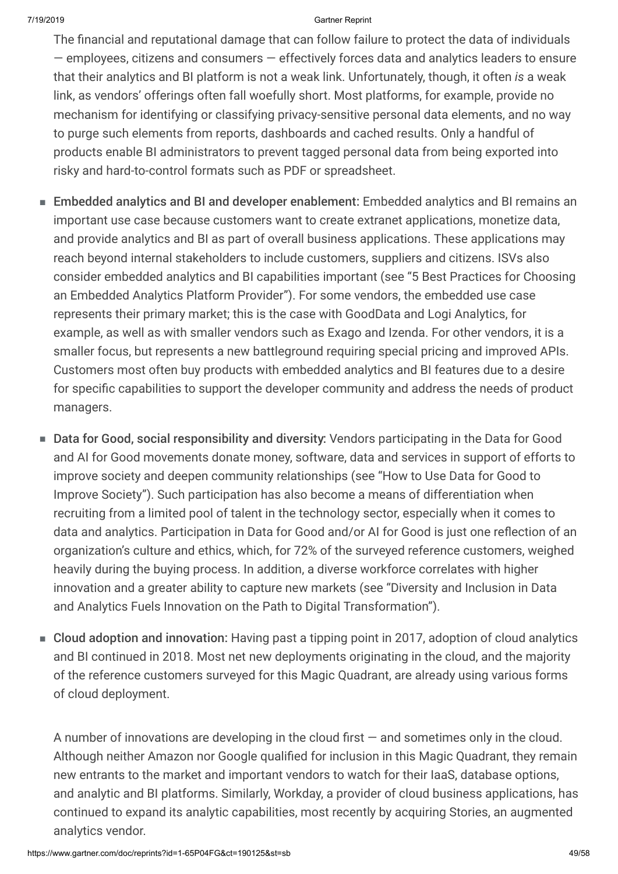The financial and reputational damage that can follow failure to protect the data of individuals — employees, citizens and consumers — effectively forces data and analytics leaders to ensure that their analytics and BI platform is not a weak link. Unfortunately, though, it often *is* a weak link, as vendors' offerings often fall woefully short. Most platforms, for example, provide no mechanism for identifying or classifying privacy-sensitive personal data elements, and no way to purge such elements from reports, dashboards and cached results. Only a handful of products enable BI administrators to prevent tagged personal data from being exported into risky and hard-to-control formats such as PDF or spreadsheet.

- Embedded analytics and BI and developer enablement: Embedded analytics and BI remains an important use case because customers want to create extranet applications, monetize data, and provide analytics and BI as part of overall business applications. These applications may reach beyond internal stakeholders to include customers, suppliers and citizens. ISVs also consider embedded analytics and BI capabilities important (see "5 Best Practices for Choosing an Embedded Analytics Platform Provider"). For some vendors, the embedded use case represents their primary market; this is the case with GoodData and Logi Analytics, for example, as well as with smaller vendors such as Exago and Izenda. For other vendors, it is a smaller focus, but represents a new battleground requiring special pricing and improved APIs. Customers most often buy products with embedded analytics and BI features due to a desire for specific capabilities to support the developer community and address the needs of product managers.
- Data for Good, social responsibility and diversity: Vendors participating in the Data for Good and AI for Good movements donate money, software, data and services in support of efforts to improve society and deepen community relationships (see "How to Use Data for Good to Improve Society"). Such participation has also become a means of differentiation when recruiting from a limited pool of talent in the technology sector, especially when it comes to data and analytics. Participation in Data for Good and/or AI for Good is just one reflection of an organization's culture and ethics, which, for 72% of the surveyed reference customers, weighed heavily during the buying process. In addition, a diverse workforce correlates with higher innovation and a greater ability to capture new markets (see "Diversity and Inclusion in Data and Analytics Fuels Innovation on the Path to Digital Transformation").
- Cloud adoption and innovation: Having past a tipping point in 2017, adoption of cloud analytics and BI continued in 2018. Most net new deployments originating in the cloud, and the majority of the reference customers surveyed for this Magic Quadrant, are already using various forms of cloud deployment.

A number of innovations are developing in the cloud first — and sometimes only in the cloud. Although neither Amazon nor Google qualified for inclusion in this Magic Quadrant, they remain new entrants to the market and important vendors to watch for their IaaS, database options, and analytic and BI platforms. Similarly, Workday, a provider of cloud business applications, has continued to expand its analytic capabilities, most recently by acquiring Stories, an augmented analytics vendor.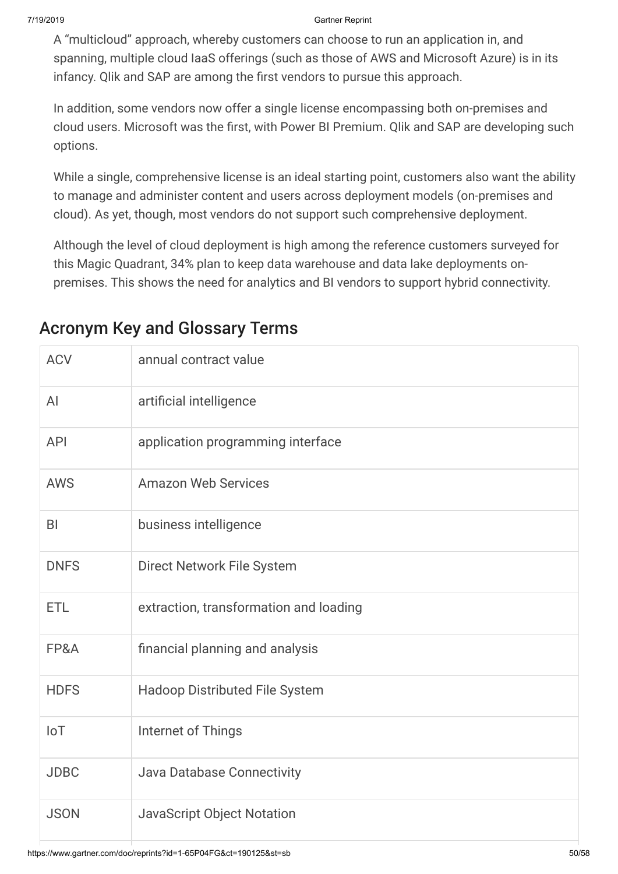A "multicloud" approach, whereby customers can choose to run an application in, and spanning, multiple cloud IaaS offerings (such as those of AWS and Microsoft Azure) is in its infancy. Qlik and SAP are among the first vendors to pursue this approach.

In addition, some vendors now offer a single license encompassing both on-premises and cloud users. Microsoft was the first, with Power BI Premium. Qlik and SAP are developing such options.

While a single, comprehensive license is an ideal starting point, customers also want the ability to manage and administer content and users across deployment models (on-premises and cloud). As yet, though, most vendors do not support such comprehensive deployment.

Although the level of cloud deployment is high among the reference customers surveyed for this Magic Quadrant, 34% plan to keep data warehouse and data lake deployments onpremises. This shows the need for analytics and BI vendors to support hybrid connectivity.

| <b>ACV</b>     | annual contract value                  |
|----------------|----------------------------------------|
| AI             | artificial intelligence                |
| <b>API</b>     | application programming interface      |
| <b>AWS</b>     | <b>Amazon Web Services</b>             |
| B <sub>l</sub> | business intelligence                  |
| <b>DNFS</b>    | Direct Network File System             |
| <b>ETL</b>     | extraction, transformation and loading |
| FP&A           | financial planning and analysis        |
| <b>HDFS</b>    | <b>Hadoop Distributed File System</b>  |
| IoT            | Internet of Things                     |
| <b>JDBC</b>    | Java Database Connectivity             |
| <b>JSON</b>    | <b>JavaScript Object Notation</b>      |

## Acronym Key and Glossary Terms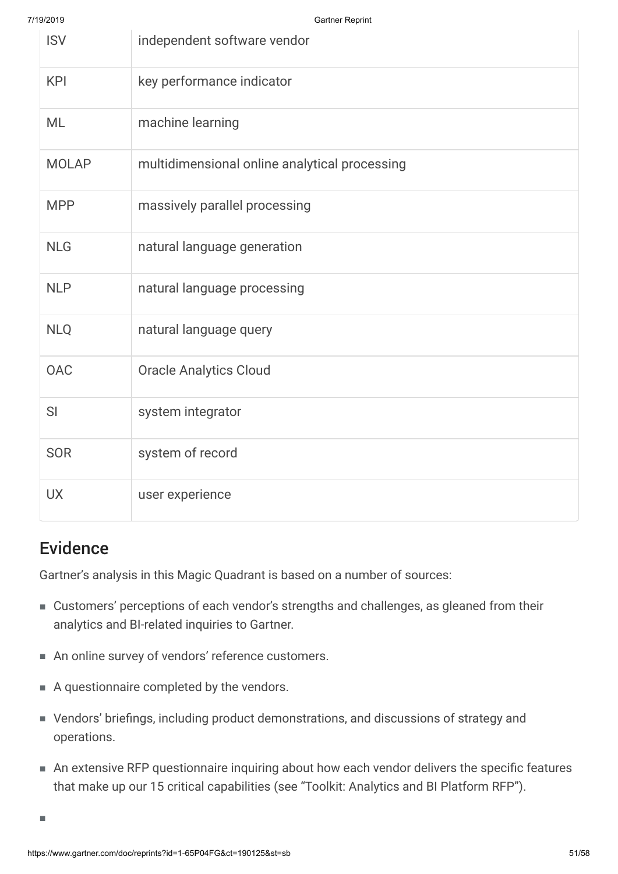| <b>ISV</b>   | independent software vendor                   |
|--------------|-----------------------------------------------|
| <b>KPI</b>   | key performance indicator                     |
| <b>ML</b>    | machine learning                              |
| <b>MOLAP</b> | multidimensional online analytical processing |
| <b>MPP</b>   | massively parallel processing                 |
| <b>NLG</b>   | natural language generation                   |
| <b>NLP</b>   | natural language processing                   |
| <b>NLQ</b>   | natural language query                        |
| <b>OAC</b>   | <b>Oracle Analytics Cloud</b>                 |
| SI           | system integrator                             |
| <b>SOR</b>   | system of record                              |
| <b>UX</b>    | user experience                               |

## Evidence

Gartner's analysis in this Magic Quadrant is based on a number of sources:

- Customers' perceptions of each vendor's strengths and challenges, as gleaned from their analytics and BI-related inquiries to Gartner.
- An online survey of vendors' reference customers.
- A questionnaire completed by the vendors.
- Vendors' briefings, including product demonstrations, and discussions of strategy and operations.
- An extensive RFP questionnaire inquiring about how each vendor delivers the specific features that make up our 15 critical capabilities (see "Toolkit: Analytics and BI Platform RFP").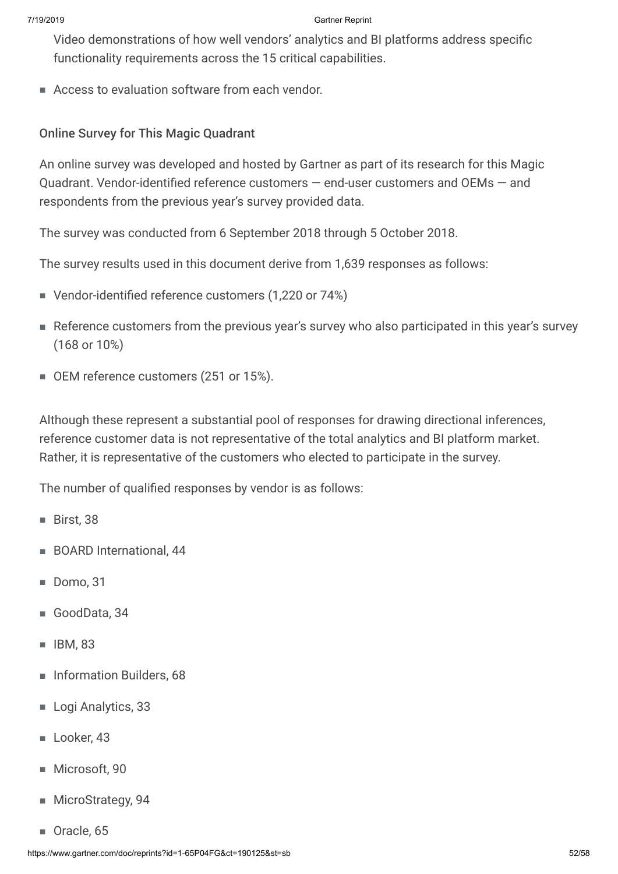Video demonstrations of how well vendors' analytics and BI platforms address specific functionality requirements across the 15 critical capabilities.

■ Access to evaluation software from each vendor.

### Online Survey for This Magic Quadrant

An online survey was developed and hosted by Gartner as part of its research for this Magic Quadrant. Vendor-identified reference customers — end-user customers and OEMs — and respondents from the previous year's survey provided data.

The survey was conducted from 6 September 2018 through 5 October 2018.

The survey results used in this document derive from 1,639 responses as follows:

- Vendor-identified reference customers (1,220 or 74%)
- Reference customers from the previous year's survey who also participated in this year's survey (168 or 10%)
- OEM reference customers (251 or 15%).

Although these represent a substantial pool of responses for drawing directional inferences, reference customer data is not representative of the total analytics and BI platform market. Rather, it is representative of the customers who elected to participate in the survey.

The number of qualified responses by vendor is as follows:

- Birst, 38
- BOARD International, 44
- Domo, 31
- GoodData, 34
- IBM, 83
- Information Builders, 68
- Logi Analytics, 33
- Looker, 43
- Microsoft, 90
- MicroStrategy, 94
- Oracle, 65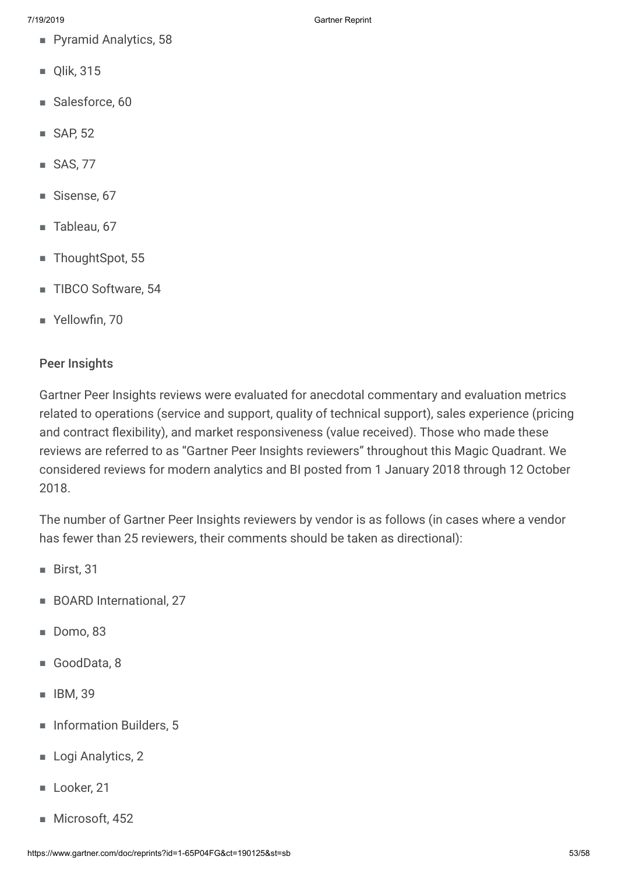- Pyramid Analytics, 58
- Qlik, 315
- Salesforce, 60
- SAP, 52
- SAS, 77
- Sisense, 67
- Tableau, 67
- ThoughtSpot, 55
- TIBCO Software, 54
- Yellowfin, 70

### Peer Insights

Gartner Peer Insights reviews were evaluated for anecdotal commentary and evaluation metrics related to operations (service and support, quality of technical support), sales experience (pricing and contract flexibility), and market responsiveness (value received). Those who made these reviews are referred to as "Gartner Peer Insights reviewers" throughout this Magic Quadrant. We considered reviews for modern analytics and BI posted from 1 January 2018 through 12 October 2018.

The number of Gartner Peer Insights reviewers by vendor is as follows (in cases where a vendor has fewer than 25 reviewers, their comments should be taken as directional):

- Birst, 31
- BOARD International, 27
- Domo, 83
- GoodData, 8
- IBM, 39
- Information Builders, 5
- Logi Analytics, 2
- Looker, 21
- Microsoft, 452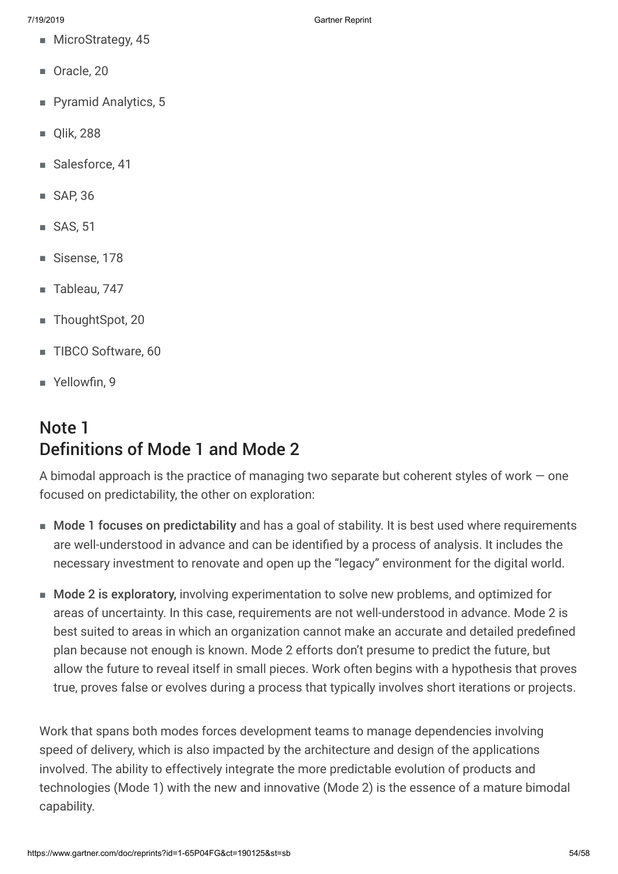- MicroStrategy, 45
- Oracle, 20
- Pyramid Analytics, 5
- Olik, 288
- Salesforce, 41
- SAP, 36
- SAS, 51
- Sisense, 178
- Tableau, 747
- ThoughtSpot, 20
- TIBCO Software, 60
- Yellowfin, 9

## Note 1 Definitions of Mode 1 and Mode 2

A bimodal approach is the practice of managing two separate but coherent styles of work  $-$  one focused on predictability, the other on exploration:

- Mode 1 focuses on predictability and has a goal of stability. It is best used where requirements are well-understood in advance and can be identified by a process of analysis. It includes the necessary investment to renovate and open up the "legacy" environment for the digital world.
- Mode 2 is exploratory, involving experimentation to solve new problems, and optimized for areas of uncertainty. In this case, requirements are not well-understood in advance. Mode 2 is best suited to areas in which an organization cannot make an accurate and detailed predefined plan because not enough is known. Mode 2 efforts don't presume to predict the future, but allow the future to reveal itself in small pieces. Work often begins with a hypothesis that proves true, proves false or evolves during a process that typically involves short iterations or projects.

Work that spans both modes forces development teams to manage dependencies involving speed of delivery, which is also impacted by the architecture and design of the applications involved. The ability to effectively integrate the more predictable evolution of products and technologies (Mode 1) with the new and innovative (Mode 2) is the essence of a mature bimodal capability.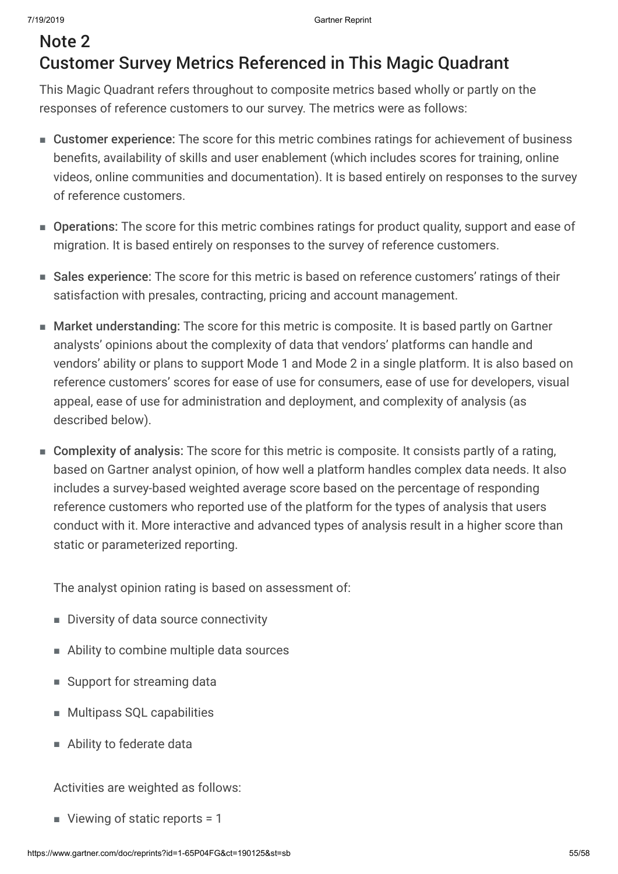## Note 2 Customer Survey Metrics Referenced in This Magic Quadrant

This Magic Quadrant refers throughout to composite metrics based wholly or partly on the responses of reference customers to our survey. The metrics were as follows:

- Customer experience: The score for this metric combines ratings for achievement of business benefits, availability of skills and user enablement (which includes scores for training, online videos, online communities and documentation). It is based entirely on responses to the survey of reference customers.
- Operations: The score for this metric combines ratings for product quality, support and ease of migration. It is based entirely on responses to the survey of reference customers.
- Sales experience: The score for this metric is based on reference customers' ratings of their satisfaction with presales, contracting, pricing and account management.
- Market understanding: The score for this metric is composite. It is based partly on Gartner analysts' opinions about the complexity of data that vendors' platforms can handle and vendors' ability or plans to support Mode 1 and Mode 2 in a single platform. It is also based on reference customers' scores for ease of use for consumers, ease of use for developers, visual appeal, ease of use for administration and deployment, and complexity of analysis (as described below).
- Complexity of analysis: The score for this metric is composite. It consists partly of a rating, based on Gartner analyst opinion, of how well a platform handles complex data needs. It also includes a survey-based weighted average score based on the percentage of responding reference customers who reported use of the platform for the types of analysis that users conduct with it. More interactive and advanced types of analysis result in a higher score than static or parameterized reporting.

The analyst opinion rating is based on assessment of:

- Diversity of data source connectivity
- Ability to combine multiple data sources
- Support for streaming data
- Multipass SQL capabilities
- Ability to federate data

Activities are weighted as follows:

■ Viewing of static reports = 1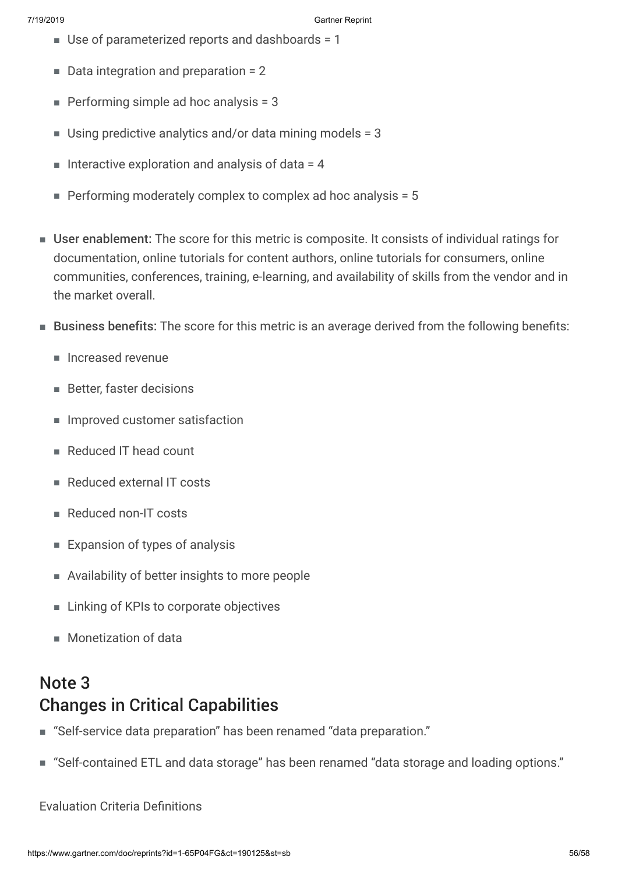- Use of parameterized reports and dashboards = 1
- Data integration and preparation = 2
- $\blacksquare$  Performing simple ad hoc analysis = 3
- $\blacksquare$  Using predictive analytics and/or data mining models = 3
- $\blacksquare$  Interactive exploration and analysis of data = 4
- **Performing moderately complex to complex ad hoc analysis = 5**
- User enablement: The score for this metric is composite. It consists of individual ratings for documentation, online tutorials for content authors, online tutorials for consumers, online communities, conferences, training, e-learning, and availability of skills from the vendor and in the market overall.
- Business benefits: The score for this metric is an average derived from the following benefits:
	- Increased revenue
	- Better, faster decisions
	- Improved customer satisfaction
	- Reduced IT head count
	- Reduced external IT costs
	- Reduced non-IT costs
	- Expansion of types of analysis
	- Availability of better insights to more people
	- Linking of KPIs to corporate objectives
	- Monetization of data

## Note 3 Changes in Critical Capabilities

- "Self-service data preparation" has been renamed "data preparation."
- "Self-contained ETL and data storage" has been renamed "data storage and loading options."

Evaluation Criteria Definitions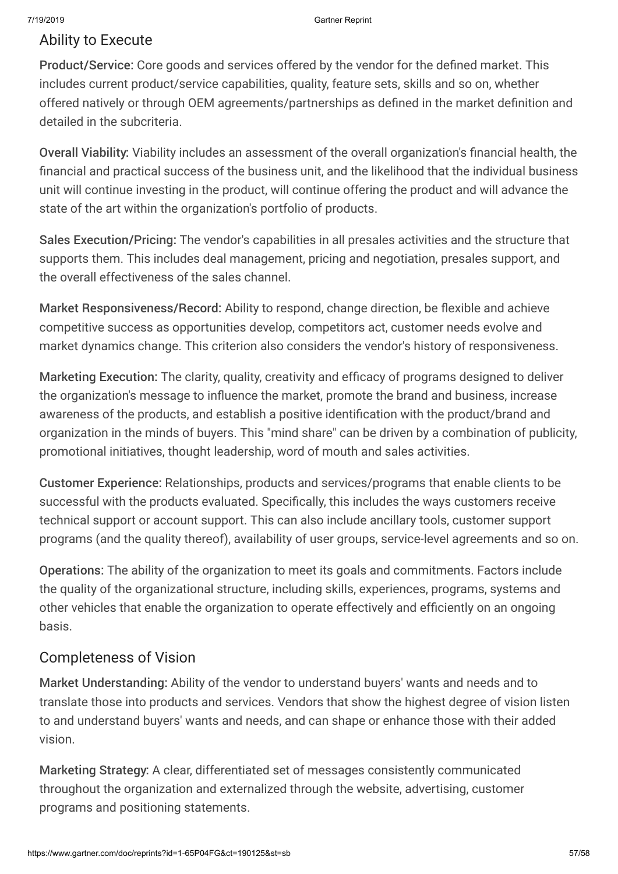### Ability to Execute

Product/Service: Core goods and services offered by the vendor for the defined market. This includes current product/service capabilities, quality, feature sets, skills and so on, whether offered natively or through OEM agreements/partnerships as defined in the market definition and detailed in the subcriteria.

Overall Viability: Viability includes an assessment of the overall organization's financial health, the financial and practical success of the business unit, and the likelihood that the individual business unit will continue investing in the product, will continue offering the product and will advance the state of the art within the organization's portfolio of products.

Sales Execution/Pricing: The vendor's capabilities in all presales activities and the structure that supports them. This includes deal management, pricing and negotiation, presales support, and the overall effectiveness of the sales channel.

Market Responsiveness/Record: Ability to respond, change direction, be flexible and achieve competitive success as opportunities develop, competitors act, customer needs evolve and market dynamics change. This criterion also considers the vendor's history of responsiveness.

Marketing Execution: The clarity, quality, creativity and efficacy of programs designed to deliver the organization's message to influence the market, promote the brand and business, increase awareness of the products, and establish a positive identification with the product/brand and organization in the minds of buyers. This "mind share" can be driven by a combination of publicity, promotional initiatives, thought leadership, word of mouth and sales activities.

Customer Experience: Relationships, products and services/programs that enable clients to be successful with the products evaluated. Specifically, this includes the ways customers receive technical support or account support. This can also include ancillary tools, customer support programs (and the quality thereof), availability of user groups, service-level agreements and so on.

Operations: The ability of the organization to meet its goals and commitments. Factors include the quality of the organizational structure, including skills, experiences, programs, systems and other vehicles that enable the organization to operate effectively and efficiently on an ongoing basis.

### Completeness of Vision

Market Understanding: Ability of the vendor to understand buyers' wants and needs and to translate those into products and services. Vendors that show the highest degree of vision listen to and understand buyers' wants and needs, and can shape or enhance those with their added vision.

Marketing Strategy: A clear, differentiated set of messages consistently communicated throughout the organization and externalized through the website, advertising, customer programs and positioning statements.